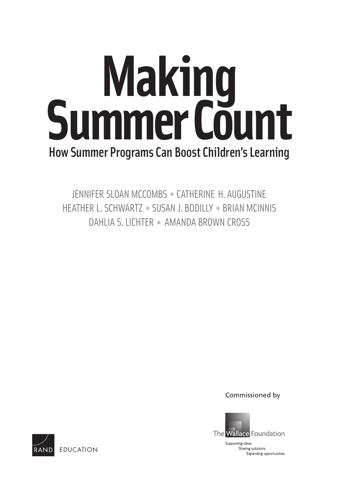# How Summer Programs Can Boost Children's Learning **Making Summer Count**

JENNIFER SLOAN MCCOMBS ✲ CATHERINE H. AUGUSTINE HEATHER L. SCHWARTZ ✲ SUSAN J. BODILLY ✲ BRIAN MCINNIS DAHLIA S. LICHTER ✲ AMANDA BROWN CROSS

Commissioned by



Sharing solutions. Expanding opportunities.

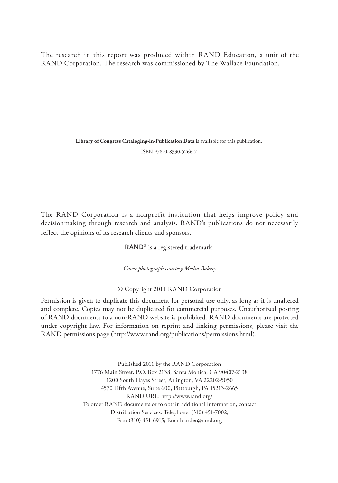The research in this report was produced within R AND Education, a unit of the RAND Corporation. The research was commissioned by The Wallace Foundation.

**Library of Congress Cataloging-in-Publication Data** is available for this publication.

ISBN 978-0-8330-5266-7

The RAND Corporation is a nonprofit institution that helps improve policy and decisionmaking through research and analysis. RAND's publications do not necessarily reflect the opinions of its research clients and sponsors.

RAND<sup>®</sup> is a registered trademark.

*Cover photograph courtesy Media Bakery*

© Copyright 2011 RAND Corporation

Permission is given to duplicate this document for personal use only, as long as it is unaltered and complete. Copies may not be duplicated for commercial purposes. Unauthorized posting of RAND documents to a non-RAND website is prohibited. RAND documents are protected under copyright law. For information on reprint and linking permissions, please visit the RAND permissions page (http://www.rand.org/publications/permissions.html).

> Published 2011 by the RAND Corporation 1776 Main Street, P.O. Box 2138, Santa Monica, CA 90407-2138 1200 South Hayes Street, Arlington, VA 22202-5050 4570 Fifth Avenue, Suite 600, Pittsburgh, PA 15213-2665 RAND URL: http://www.rand.org/ To order RAND documents or to obtain additional information, contact Distribution Services: Telephone: (310) 451-7002; Fax: (310) 451-6915; Email: order@rand.org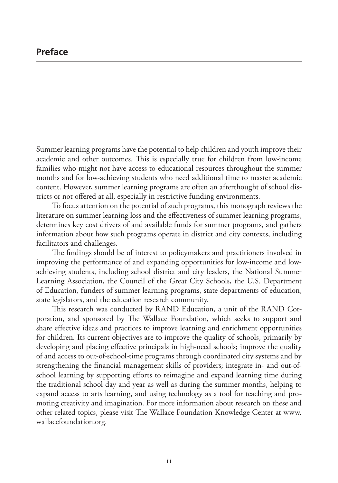Summer learning programs have the potential to help children and youth improve their academic and other outcomes. This is especially true for children from low-income families who might not have access to educational resources throughout the summer months and for low-achieving students who need additional time to master academic content. However, summer learning programs are often an afterthought of school districts or not offered at all, especially in restrictive funding environments.

To focus attention on the potential of such programs, this monograph reviews the literature on summer learning loss and the effectiveness of summer learning programs, determines key cost drivers of and available funds for summer programs, and gathers information about how such programs operate in district and city contexts, including facilitators and challenges.

The findings should be of interest to policymakers and practitioners involved in improving the performance of and expanding opportunities for low-income and lowachieving students, including school district and city leaders, the National Summer Learning Association, the Council of the Great City Schools, the U.S. Department of Education, funders of summer learning programs, state departments of education, state legislators, and the education research community.

This research was conducted by RAND Education, a unit of the RAND Corporation, and sponsored by The Wallace Foundation, which seeks to support and share effective ideas and practices to improve learning and enrichment opportunities for children. Its current objectives are to improve the quality of schools, primarily by developing and placing effective principals in high-need schools; improve the quality of and access to out-of-school-time programs through coordinated city systems and by strengthening the financial management skills of providers; integrate in- and out-ofschool learning by supporting efforts to reimagine and expand learning time during the traditional school day and year as well as during the summer months, helping to expand access to arts learning, and using technology as a tool for teaching and promoting creativity and imagination. For more information about research on these and other related topics, please visit The Wallace Foundation Knowledge Center at www. wallacefoundation.org.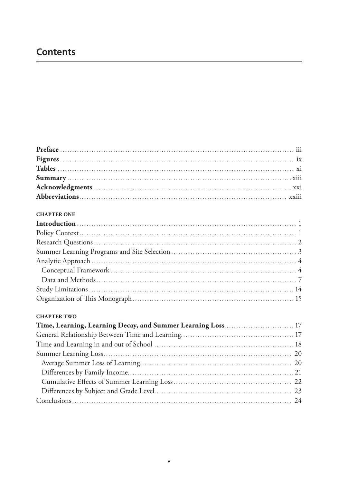## **Contents**

#### **CHAPTER ONE**

#### **CHAPTER TWO**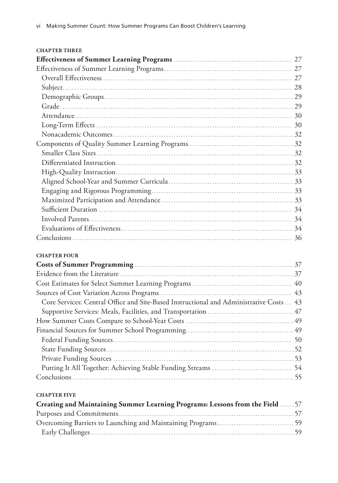| <b>CHAPTER THREE</b> |  |
|----------------------|--|
|                      |  |
|                      |  |
|                      |  |
|                      |  |
|                      |  |
|                      |  |
|                      |  |
|                      |  |
|                      |  |
|                      |  |
|                      |  |
|                      |  |
|                      |  |
|                      |  |
|                      |  |
|                      |  |
|                      |  |
|                      |  |
|                      |  |
|                      |  |

#### **Chapter Four**

| Core Services: Central Office and Site-Based Instructional and Administrative Costs  43 |  |
|-----------------------------------------------------------------------------------------|--|
|                                                                                         |  |
|                                                                                         |  |
|                                                                                         |  |
|                                                                                         |  |
|                                                                                         |  |
|                                                                                         |  |
|                                                                                         |  |
|                                                                                         |  |
|                                                                                         |  |

#### **Chapter Five**

| Creating and Maintaining Summer Learning Programs: Lessons from the Field  57 |  |
|-------------------------------------------------------------------------------|--|
|                                                                               |  |
|                                                                               |  |
|                                                                               |  |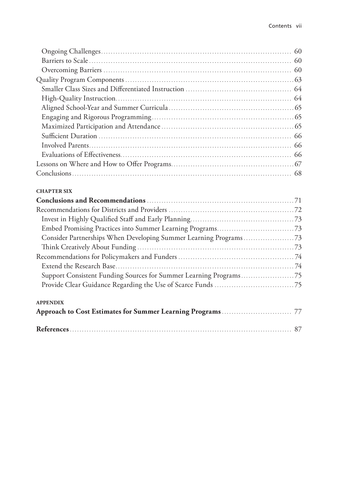#### **Chapter Six**

| <b>APPENDIX</b> |  |  |  |
|-----------------|--|--|--|
|                 |  |  |  |
|                 |  |  |  |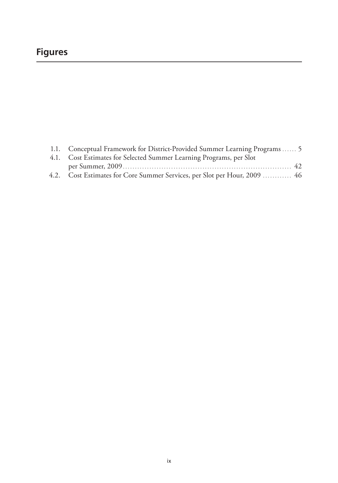# **Figures**

| 1.1. Conceptual Framework for District-Provided Summer Learning Programs  5 |  |
|-----------------------------------------------------------------------------|--|
| 4.1. Cost Estimates for Selected Summer Learning Programs, per Slot         |  |
|                                                                             |  |
| 4.2. Cost Estimates for Core Summer Services, per Slot per Hour, 2009  46   |  |
|                                                                             |  |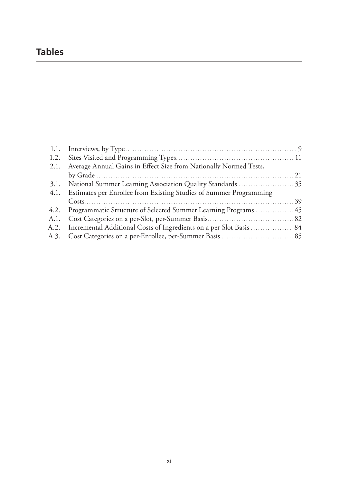# **Tables**

| 2.1. Average Annual Gains in Effect Size from Nationally Normed Tests,   |  |
|--------------------------------------------------------------------------|--|
|                                                                          |  |
| 31. National Summer Learning Association Quality Standards 35            |  |
| 4.1. Estimates per Enrollee from Existing Studies of Summer Programming  |  |
|                                                                          |  |
| 4.2. Programmatic Structure of Selected Summer Learning Programs  45     |  |
|                                                                          |  |
| A.2. Incremental Additional Costs of Ingredients on a per-Slot Basis  84 |  |
|                                                                          |  |
|                                                                          |  |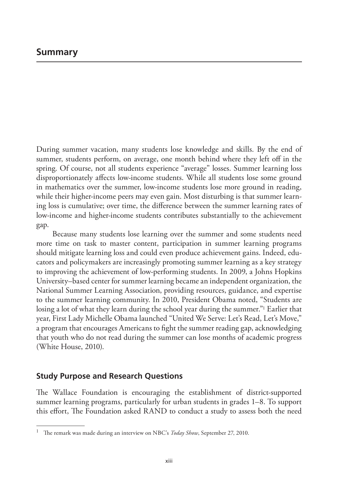During summer vacation, many students lose knowledge and skills. By the end of summer, students perform, on average, one month behind where they left off in the spring. Of course, not all students experience "average" losses. Summer learning loss disproportionately affects low-income students. While all students lose some ground in mathematics over the summer, low-income students lose more ground in reading, while their higher-income peers may even gain. Most disturbing is that summer learning loss is cumulative; over time, the difference between the summer learning rates of low-income and higher-income students contributes substantially to the achievement gap.

Because many students lose learning over the summer and some students need more time on task to master content, participation in summer learning programs should mitigate learning loss and could even produce achievement gains. Indeed, educators and policymakers are increasingly promoting summer learning as a key strategy to improving the achievement of low-performing students. In 2009, a Johns Hopkins University–based center for summer learning became an independent organization, the National Summer Learning Association, providing resources, guidance, and expertise to the summer learning community. In 2010, President Obama noted, "Students are losing a lot of what they learn during the school year during the summer."<sup>1</sup> Earlier that year, First Lady Michelle Obama launched "United We Serve: Let's Read, Let's Move," a program that encourages Americans to fight the summer reading gap, acknowledging that youth who do not read during the summer can lose months of academic progress (White House, 2010).

### **Study Purpose and Research Questions**

The Wallace Foundation is encouraging the establishment of district-supported summer learning programs, particularly for urban students in grades 1–8. To support this effort, The Foundation asked RAND to conduct a study to assess both the need

<sup>1</sup> The remark was made during an interview on NBC's *Today Show*, September 27, 2010.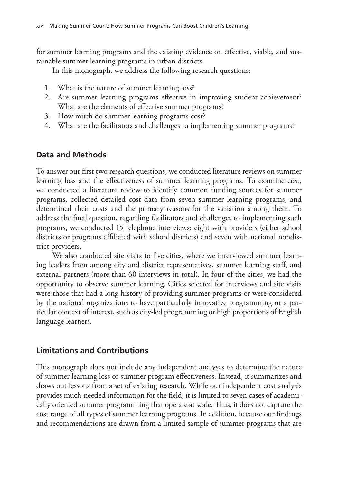for summer learning programs and the existing evidence on effective, viable, and sustainable summer learning programs in urban districts.

In this monograph, we address the following research questions:

- 1. What is the nature of summer learning loss?
- 2. Are summer learning programs effective in improving student achievement? What are the elements of effective summer programs?
- 3. How much do summer learning programs cost?
- 4. What are the facilitators and challenges to implementing summer programs?

## **Data and Methods**

To answer our first two research questions, we conducted literature reviews on summer learning loss and the effectiveness of summer learning programs. To examine cost, we conducted a literature review to identify common funding sources for summer programs, collected detailed cost data from seven summer learning programs, and determined their costs and the primary reasons for the variation among them. To address the final question, regarding facilitators and challenges to implementing such programs, we conducted 15 telephone interviews: eight with providers (either school districts or programs affiliated with school districts) and seven with national nondistrict providers.

We also conducted site visits to five cities, where we interviewed summer learning leaders from among city and district representatives, summer learning staff, and external partners (more than 60 interviews in total). In four of the cities, we had the opportunity to observe summer learning. Cities selected for interviews and site visits were those that had a long history of providing summer programs or were considered by the national organizations to have particularly innovative programming or a particular context of interest, such as city-led programming or high proportions of English language learners.

## **Limitations and Contributions**

This monograph does not include any independent analyses to determine the nature of summer learning loss or summer program effectiveness. Instead, it summarizes and draws out lessons from a set of existing research. While our independent cost analysis provides much-needed information for the field, it is limited to seven cases of academically oriented summer programming that operate at scale. Thus, it does not capture the cost range of all types of summer learning programs. In addition, because our findings and recommendations are drawn from a limited sample of summer programs that are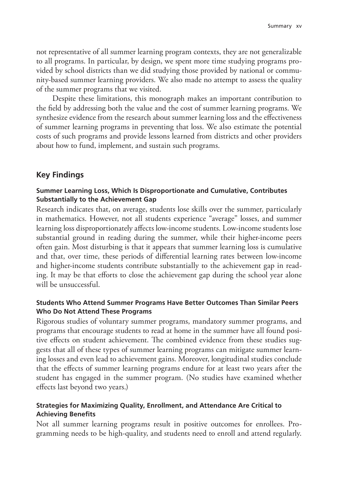not representative of all summer learning program contexts, they are not generalizable to all programs. In particular, by design, we spent more time studying programs provided by school districts than we did studying those provided by national or community-based summer learning providers. We also made no attempt to assess the quality of the summer programs that we visited.

Despite these limitations, this monograph makes an important contribution to the field by addressing both the value and the cost of summer learning programs. We synthesize evidence from the research about summer learning loss and the effectiveness of summer learning programs in preventing that loss. We also estimate the potential costs of such programs and provide lessons learned from districts and other providers about how to fund, implement, and sustain such programs.

## **Key Findings**

#### **Summer Learning Loss, Which Is Disproportionate and Cumulative, Contributes Substantially to the Achievement Gap**

Research indicates that, on average, students lose skills over the summer, particularly in mathematics. However, not all students experience "average" losses, and summer learning loss disproportionately affects low-income students. Low-income students lose substantial ground in reading during the summer, while their higher-income peers often gain. Most disturbing is that it appears that summer learning loss is cumulative and that, over time, these periods of differential learning rates between low-income and higher-income students contribute substantially to the achievement gap in reading. It may be that efforts to close the achievement gap during the school year alone will be unsuccessful.

### **Students Who Attend Summer Programs Have Better Outcomes Than Similar Peers Who Do Not Attend These Programs**

Rigorous studies of voluntary summer programs, mandatory summer programs, and programs that encourage students to read at home in the summer have all found positive effects on student achievement. The combined evidence from these studies suggests that all of these types of summer learning programs can mitigate summer learning losses and even lead to achievement gains. Moreover, longitudinal studies conclude that the effects of summer learning programs endure for at least two years after the student has engaged in the summer program. (No studies have examined whether effects last beyond two years.)

### **Strategies for Maximizing Quality, Enrollment, and Attendance Are Critical to Achieving Benefits**

Not all summer learning programs result in positive outcomes for enrollees. Programming needs to be high-quality, and students need to enroll and attend regularly.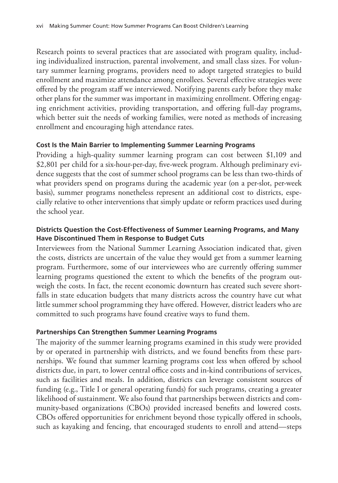Research points to several practices that are associated with program quality, including individualized instruction, parental involvement, and small class sizes. For voluntary summer learning programs, providers need to adopt targeted strategies to build enrollment and maximize attendance among enrollees. Several effective strategies were offered by the program staff we interviewed. Notifying parents early before they make other plans for the summer was important in maximizing enrollment. Offering engaging enrichment activities, providing transportation, and offering full-day programs, which better suit the needs of working families, were noted as methods of increasing enrollment and encouraging high attendance rates.

## **Cost Is the Main Barrier to Implementing Summer Learning Programs**

Providing a high-quality summer learning program can cost between \$1,109 and \$2,801 per child for a six-hour-per-day, five-week program. Although preliminary evidence suggests that the cost of summer school programs can be less than two-thirds of what providers spend on programs during the academic year (on a per-slot, per-week basis), summer programs nonetheless represent an additional cost to districts, especially relative to other interventions that simply update or reform practices used during the school year.

## **Districts Question the Cost-Effectiveness of Summer Learning Programs, and Many Have Discontinued Them in Response to Budget Cuts**

Interviewees from the National Summer Learning Association indicated that, given the costs, districts are uncertain of the value they would get from a summer learning program. Furthermore, some of our interviewees who are currently offering summer learning programs questioned the extent to which the benefits of the program outweigh the costs. In fact, the recent economic downturn has created such severe shortfalls in state education budgets that many districts across the country have cut what little summer school programming they have offered. However, district leaders who are committed to such programs have found creative ways to fund them.

## **Partnerships Can Strengthen Summer Learning Programs**

The majority of the summer learning programs examined in this study were provided by or operated in partnership with districts, and we found benefits from these partnerships. We found that summer learning programs cost less when offered by school districts due, in part, to lower central office costs and in-kind contributions of services, such as facilities and meals. In addition, districts can leverage consistent sources of funding (e.g., Title I or general operating funds) for such programs, creating a greater likelihood of sustainment. We also found that partnerships between districts and community-based organizations (CBOs) provided increased benefits and lowered costs. CBOs offered opportunities for enrichment beyond those typically offered in schools, such as kayaking and fencing, that encouraged students to enroll and attend—steps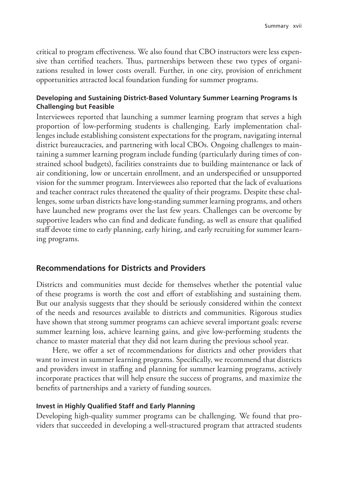critical to program effectiveness. We also found that CBO instructors were less expensive than certified teachers. Thus, partnerships between these two types of organizations resulted in lower costs overall. Further, in one city, provision of enrichment opportunities attracted local foundation funding for summer programs.

## **Developing and Sustaining District-Based Voluntary Summer Learning Programs Is Challenging but Feasible**

Interviewees reported that launching a summer learning program that serves a high proportion of low-performing students is challenging. Early implementation challenges include establishing consistent expectations for the program, navigating internal district bureaucracies, and partnering with local CBOs. Ongoing challenges to maintaining a summer learning program include funding (particularly during times of constrained school budgets), facilities constraints due to building maintenance or lack of air conditioning, low or uncertain enrollment, and an underspecified or unsupported vision for the summer program. Interviewees also reported that the lack of evaluations and teacher contract rules threatened the quality of their programs. Despite these challenges, some urban districts have long-standing summer learning programs, and others have launched new programs over the last few years. Challenges can be overcome by supportive leaders who can find and dedicate funding, as well as ensure that qualified staff devote time to early planning, early hiring, and early recruiting for summer learning programs.

## **Recommendations for Districts and Providers**

Districts and communities must decide for themselves whether the potential value of these programs is worth the cost and effort of establishing and sustaining them. But our analysis suggests that they should be seriously considered within the context of the needs and resources available to districts and communities. Rigorous studies have shown that strong summer programs can achieve several important goals: reverse summer learning loss, achieve learning gains, and give low-performing students the chance to master material that they did not learn during the previous school year.

Here, we offer a set of recommendations for districts and other providers that want to invest in summer learning programs. Specifically, we recommend that districts and providers invest in staffing and planning for summer learning programs, actively incorporate practices that will help ensure the success of programs, and maximize the benefits of partnerships and a variety of funding sources.

### **Invest in Highly Qualified Staff and Early Planning**

Developing high-quality summer programs can be challenging. We found that providers that succeeded in developing a well-structured program that attracted students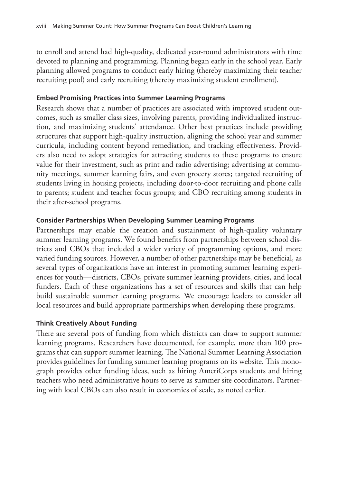to enroll and attend had high-quality, dedicated year-round administrators with time devoted to planning and programming. Planning began early in the school year. Early planning allowed programs to conduct early hiring (thereby maximizing their teacher recruiting pool) and early recruiting (thereby maximizing student enrollment).

## **Embed Promising Practices into Summer Learning Programs**

Research shows that a number of practices are associated with improved student outcomes, such as smaller class sizes, involving parents, providing individualized instruction, and maximizing students' attendance. Other best practices include providing structures that support high-quality instruction, aligning the school year and summer curricula, including content beyond remediation, and tracking effectiveness. Providers also need to adopt strategies for attracting students to these programs to ensure value for their investment, such as print and radio advertising; advertising at community meetings, summer learning fairs, and even grocery stores; targeted recruiting of students living in housing projects, including door-to-door recruiting and phone calls to parents; student and teacher focus groups; and CBO recruiting among students in their after-school programs.

## **Consider Partnerships When Developing Summer Learning Programs**

Partnerships may enable the creation and sustainment of high-quality voluntary summer learning programs. We found benefits from partnerships between school districts and CBOs that included a wider variety of programming options, and more varied funding sources. However, a number of other partnerships may be beneficial, as several types of organizations have an interest in promoting summer learning experiences for youth—districts, CBOs, private summer learning providers, cities, and local funders. Each of these organizations has a set of resources and skills that can help build sustainable summer learning programs. We encourage leaders to consider all local resources and build appropriate partnerships when developing these programs.

## **Think Creatively About Funding**

There are several pots of funding from which districts can draw to support summer learning programs. Researchers have documented, for example, more than 100 programs that can support summer learning. The National Summer Learning Association provides guidelines for funding summer learning programs on its website. This monograph provides other funding ideas, such as hiring AmeriCorps students and hiring teachers who need administrative hours to serve as summer site coordinators. Partnering with local CBOs can also result in economies of scale, as noted earlier.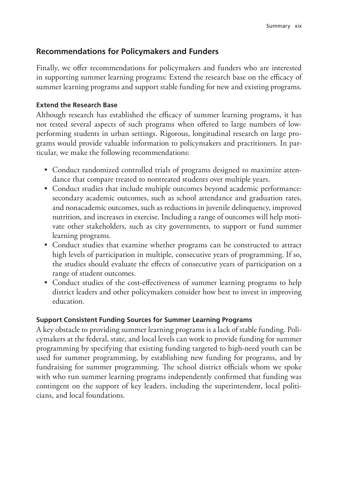## **Recommendations for Policymakers and Funders**

Finally, we offer recommendations for policymakers and funders who are interested in supporting summer learning programs: Extend the research base on the efficacy of summer learning programs and support stable funding for new and existing programs.

## **Extend the Research Base**

Although research has established the efficacy of summer learning programs, it has not tested several aspects of such programs when offered to large numbers of lowperforming students in urban settings. Rigorous, longitudinal research on large programs would provide valuable information to policymakers and practitioners. In particular, we make the following recommendations:

- Conduct randomized controlled trials of programs designed to maximize attendance that compare treated to nontreated students over multiple years.
- Conduct studies that include multiple outcomes beyond academic performance: secondary academic outcomes, such as school attendance and graduation rates, and nonacademic outcomes, such as reductions in juvenile delinquency, improved nutrition, and increases in exercise. Including a range of outcomes will help motivate other stakeholders, such as city governments, to support or fund summer learning programs.
- Conduct studies that examine whether programs can be constructed to attract high levels of participation in multiple, consecutive years of programming. If so, the studies should evaluate the effects of consecutive years of participation on a range of student outcomes.
- Conduct studies of the cost-effectiveness of summer learning programs to help district leaders and other policymakers consider how best to invest in improving education.

## **Support Consistent Funding Sources for Summer Learning Programs**

A key obstacle to providing summer learning programs is a lack of stable funding. Policymakers at the federal, state, and local levels can work to provide funding for summer programming by specifying that existing funding targeted to high-need youth can be used for summer programming, by establishing new funding for programs, and by fundraising for summer programming. The school district officials whom we spoke with who run summer learning programs independently confirmed that funding was contingent on the support of key leaders, including the superintendent, local politicians, and local foundations.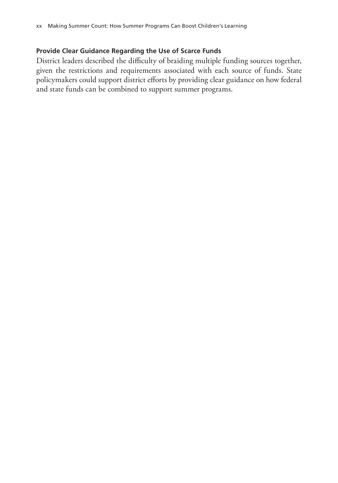## **Provide Clear Guidance Regarding the Use of Scarce Funds**

District leaders described the difficulty of braiding multiple funding sources together, given the restrictions and requirements associated with each source of funds. State policymakers could support district efforts by providing clear guidance on how federal and state funds can be combined to support summer programs.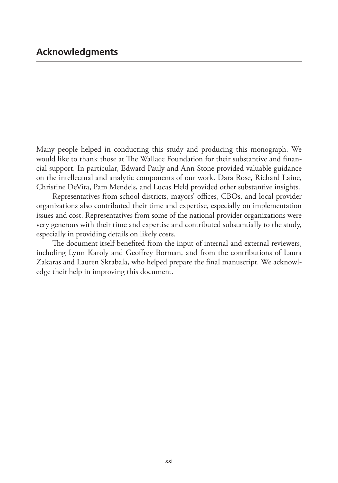Many people helped in conducting this study and producing this monograph. We would like to thank those at The Wallace Foundation for their substantive and financial support. In particular, Edward Pauly and Ann Stone provided valuable guidance on the intellectual and analytic components of our work. Dara Rose, Richard Laine, Christine DeVita, Pam Mendels, and Lucas Held provided other substantive insights.

Representatives from school districts, mayors' offices, CBOs, and local provider organizations also contributed their time and expertise, especially on implementation issues and cost. Representatives from some of the national provider organizations were very generous with their time and expertise and contributed substantially to the study, especially in providing details on likely costs.

The document itself benefited from the input of internal and external reviewers, including Lynn Karoly and Geoffrey Borman, and from the contributions of Laura Zakaras and Lauren Skrabala, who helped prepare the final manuscript. We acknowledge their help in improving this document.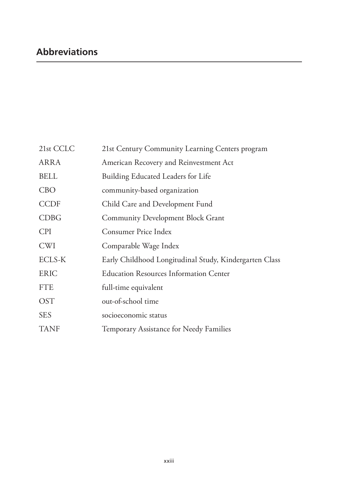| 21st CCLC   | 21st Century Community Learning Centers program        |  |  |
|-------------|--------------------------------------------------------|--|--|
| ARRA        | American Recovery and Reinvestment Act                 |  |  |
| <b>BELL</b> | Building Educated Leaders for Life                     |  |  |
| <b>CBO</b>  | community-based organization                           |  |  |
| <b>CCDF</b> | Child Care and Development Fund                        |  |  |
| <b>CDBG</b> | <b>Community Development Block Grant</b>               |  |  |
| <b>CPI</b>  | Consumer Price Index                                   |  |  |
| <b>CWI</b>  | Comparable Wage Index                                  |  |  |
| ECLS-K      | Early Childhood Longitudinal Study, Kindergarten Class |  |  |
| <b>ERIC</b> | <b>Education Resources Information Center</b>          |  |  |
| <b>FTE</b>  | full-time equivalent                                   |  |  |
| <b>OST</b>  | out-of-school time                                     |  |  |
| <b>SES</b>  | socioeconomic status                                   |  |  |
| <b>TANF</b> | Temporary Assistance for Needy Families                |  |  |
|             |                                                        |  |  |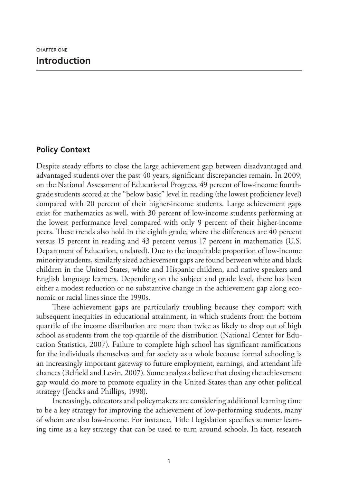## **Policy Context**

Despite steady efforts to close the large achievement gap between disadvantaged and advantaged students over the past 40 years, significant discrepancies remain. In 2009, on the National Assessment of Educational Progress, 49 percent of low-income fourthgrade students scored at the "below basic" level in reading (the lowest proficiency level) compared with 20 percent of their higher-income students. Large achievement gaps exist for mathematics as well, with 30 percent of low-income students performing at the lowest performance level compared with only 9 percent of their higher-income peers. These trends also hold in the eighth grade, where the differences are 40 percent versus 15 percent in reading and 43 percent versus 17 percent in mathematics (U.S. Department of Education, undated). Due to the inequitable proportion of low-income minority students, similarly sized achievement gaps are found between white and black children in the United States, white and Hispanic children, and native speakers and English language learners. Depending on the subject and grade level, there has been either a modest reduction or no substantive change in the achievement gap along economic or racial lines since the 1990s.

These achievement gaps are particularly troubling because they comport with subsequent inequities in educational attainment, in which students from the bottom quartile of the income distribution are more than twice as likely to drop out of high school as students from the top quartile of the distribution (National Center for Education Statistics, 2007). Failure to complete high school has significant ramifications for the individuals themselves and for society as a whole because formal schooling is an increasingly important gateway to future employment, earnings, and attendant life chances (Belfield and Levin, 2007). Some analysts believe that closing the achievement gap would do more to promote equality in the United States than any other political strategy (Jencks and Phillips, 1998).

Increasingly, educators and policymakers are considering additional learning time to be a key strategy for improving the achievement of low-performing students, many of whom are also low-income. For instance, Title I legislation specifies summer learning time as a key strategy that can be used to turn around schools. In fact, research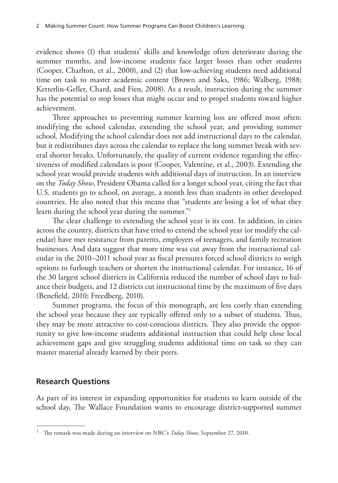evidence shows (1) that students' skills and knowledge often deteriorate during the summer months, and low-income students face larger losses than other students (Cooper, Charlton, et al., 2000), and (2) that low-achieving students need additional time on task to master academic content (Brown and Saks, 1986; Walberg, 1988; Ketterlin-Geller, Chard, and Fien, 2008). As a result, instruction during the summer has the potential to stop losses that might occur and to propel students toward higher achievement.

Three approaches to preventing summer learning loss are offered most often: modifying the school calendar, extending the school year, and providing summer school. Modifying the school calendar does not add instructional days to the calendar, but it redistributes days across the calendar to replace the long summer break with several shorter breaks. Unfortunately, the quality of current evidence regarding the effectiveness of modified calendars is poor (Cooper, Valentine, et al., 2003). Extending the school year would provide students with additional days of instruction. In an interview on the *Today Show*, President Obama called for a longer school year, citing the fact that U.S. students go to school, on average, a month less than students in other developed countries. He also noted that this means that "students are losing a lot of what they learn during the school year during the summer."1

The clear challenge to extending the school year is its cost. In addition, in cities across the country, districts that have tried to extend the school year (or modify the calendar) have met resistance from parents, employers of teenagers, and family recreation businesses. And data suggest that more time was cut away from the instructional calendar in the 2010–2011 school year as fiscal pressures forced school districts to weigh options to furlough teachers or shorten the instructional calendar. For instance, 16 of the 30 largest school districts in California reduced the number of school days to balance their budgets, and 12 districts cut instructional time by the maximum of five days (Benefield, 2010; Freedberg, 2010).

Summer programs, the focus of this monograph, are less costly than extending the school year because they are typically offered only to a subset of students. Thus, they may be more attractive to cost-conscious districts. They also provide the opportunity to give low-income students additional instruction that could help close local achievement gaps and give struggling students additional time on task so they can master material already learned by their peers.

## **Research Questions**

As part of its interest in expanding opportunities for students to learn outside of the school day, The Wallace Foundation wants to encourage district-supported summer

<sup>1</sup> The remark was made during an interview on NBC's *Today Show*, September 27, 2010.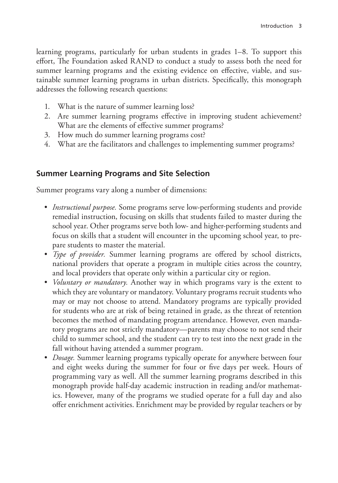learning programs, particularly for urban students in grades 1–8. To support this effort, The Foundation asked RAND to conduct a study to assess both the need for summer learning programs and the existing evidence on effective, viable, and sustainable summer learning programs in urban districts. Specifically, this monograph addresses the following research questions:

- 1. What is the nature of summer learning loss?
- 2. Are summer learning programs effective in improving student achievement? What are the elements of effective summer programs?
- 3. How much do summer learning programs cost?
- 4. What are the facilitators and challenges to implementing summer programs?

## **Summer Learning Programs and Site Selection**

Summer programs vary along a number of dimensions:

- *Instructional purpose.* Some programs serve low-performing students and provide remedial instruction, focusing on skills that students failed to master during the school year. Other programs serve both low- and higher-performing students and focus on skills that a student will encounter in the upcoming school year, to prepare students to master the material.
- *Type of provider.* Summer learning programs are offered by school districts, national providers that operate a program in multiple cities across the country, and local providers that operate only within a particular city or region.
- *Voluntary or mandatory.* Another way in which programs vary is the extent to which they are voluntary or mandatory. Voluntary programs recruit students who may or may not choose to attend. Mandatory programs are typically provided for students who are at risk of being retained in grade, as the threat of retention becomes the method of mandating program attendance. However, even mandatory programs are not strictly mandatory—parents may choose to not send their child to summer school, and the student can try to test into the next grade in the fall without having attended a summer program.
- *Dosage.* Summer learning programs typically operate for anywhere between four and eight weeks during the summer for four or five days per week. Hours of programming vary as well. All the summer learning programs described in this monograph provide half-day academic instruction in reading and/or mathematics. However, many of the programs we studied operate for a full day and also offer enrichment activities. Enrichment may be provided by regular teachers or by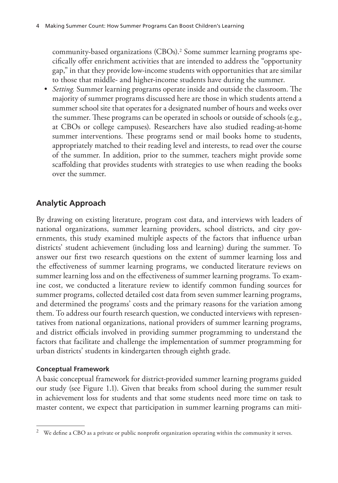community-based organizations (CBOs).2 Some summer learning programs specifically offer enrichment activities that are intended to address the "opportunity gap," in that they provide low-income students with opportunities that are similar to those that middle- and higher-income students have during the summer.

• *Setting.* Summer learning programs operate inside and outside the classroom. The majority of summer programs discussed here are those in which students attend a summer school site that operates for a designated number of hours and weeks over the summer. These programs can be operated in schools or outside of schools (e.g., at CBOs or college campuses). Researchers have also studied reading-at-home summer interventions. These programs send or mail books home to students, appropriately matched to their reading level and interests, to read over the course of the summer. In addition, prior to the summer, teachers might provide some scaffolding that provides students with strategies to use when reading the books over the summer.

## **Analytic Approach**

By drawing on existing literature, program cost data, and interviews with leaders of national organizations, summer learning providers, school districts, and city governments, this study examined multiple aspects of the factors that influence urban districts' student achievement (including loss and learning) during the summer. To answer our first two research questions on the extent of summer learning loss and the effectiveness of summer learning programs, we conducted literature reviews on summer learning loss and on the effectiveness of summer learning programs. To examine cost, we conducted a literature review to identify common funding sources for summer programs, collected detailed cost data from seven summer learning programs, and determined the programs' costs and the primary reasons for the variation among them. To address our fourth research question, we conducted interviews with representatives from national organizations, national providers of summer learning programs, and district officials involved in providing summer programming to understand the factors that facilitate and challenge the implementation of summer programming for urban districts' students in kindergarten through eighth grade.

### **Conceptual Framework**

A basic conceptual framework for district-provided summer learning programs guided our study (see Figure 1.1). Given that breaks from school during the summer result in achievement loss for students and that some students need more time on task to master content, we expect that participation in summer learning programs can miti-

 $2$  We define a CBO as a private or public nonprofit organization operating within the community it serves.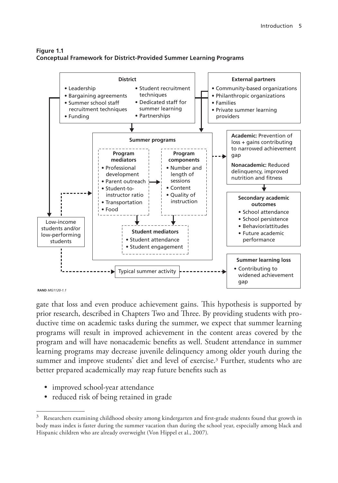#### **Figure 1.1 Conceptual Framework for District-Provided Summer Learning Programs**



```
RAND MG1120-1.1
```
gate that loss and even produce achievement gains. This hypothesis is supported by prior research, described in Chapters Two and Three. By providing students with productive time on academic tasks during the summer, we expect that summer learning programs will result in improved achievement in the content areas covered by the program and will have nonacademic benefits as well. Student attendance in summer learning programs may decrease juvenile delinquency among older youth during the summer and improve students' diet and level of exercise.3 Further, students who are better prepared academically may reap future benefits such as

- improved school-year attendance
- reduced risk of being retained in grade

 $3$  Researchers examining childhood obesity among kindergarten and first-grade students found that growth in body mass index is faster during the summer vacation than during the school year, especially among black and Hispanic children who are already overweight (Von Hippel et al., 2007).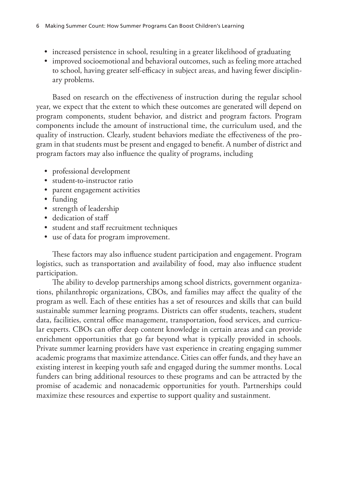- increased persistence in school, resulting in a greater likelihood of graduating
- improved socioemotional and behavioral outcomes, such as feeling more attached to school, having greater self-efficacy in subject areas, and having fewer disciplinary problems.

Based on research on the effectiveness of instruction during the regular school year, we expect that the extent to which these outcomes are generated will depend on program components, student behavior, and district and program factors. Program components include the amount of instructional time, the curriculum used, and the quality of instruction. Clearly, student behaviors mediate the effectiveness of the program in that students must be present and engaged to benefit. A number of district and program factors may also influence the quality of programs, including

- professional development
- student-to-instructor ratio
- parent engagement activities
- funding
- strength of leadership
- dedication of staff
- student and staff recruitment techniques
- use of data for program improvement.

These factors may also influence student participation and engagement. Program logistics, such as transportation and availability of food, may also influence student participation.

The ability to develop partnerships among school districts, government organizations, philanthropic organizations, CBOs, and families may affect the quality of the program as well. Each of these entities has a set of resources and skills that can build sustainable summer learning programs. Districts can offer students, teachers, student data, facilities, central office management, transportation, food services, and curricular experts. CBOs can offer deep content knowledge in certain areas and can provide enrichment opportunities that go far beyond what is typically provided in schools. Private summer learning providers have vast experience in creating engaging summer academic programs that maximize attendance. Cities can offer funds, and they have an existing interest in keeping youth safe and engaged during the summer months. Local funders can bring additional resources to these programs and can be attracted by the promise of academic and nonacademic opportunities for youth. Partnerships could maximize these resources and expertise to support quality and sustainment.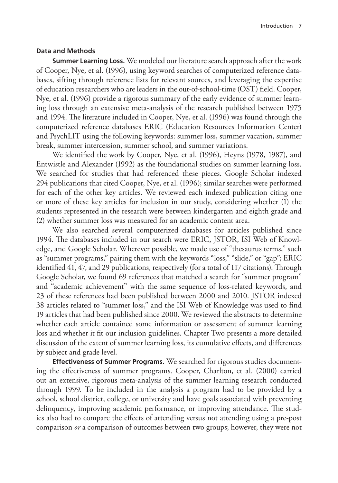#### **Data and Methods**

**Summer Learning Loss.** We modeled our literature search approach after the work of Cooper, Nye, et al. (1996), using keyword searches of computerized reference databases, sifting through reference lists for relevant sources, and leveraging the expertise of education researchers who are leaders in the out-of-school-time (OST) field. Cooper, Nye, et al. (1996) provide a rigorous summary of the early evidence of summer learning loss through an extensive meta-analysis of the research published between 1975 and 1994. The literature included in Cooper, Nye, et al. (1996) was found through the computerized reference databases ERIC (Education Resources Information Center) and PsychLIT using the following keywords: summer loss, summer vacation, summer break, summer intercession, summer school, and summer variations.

We identified the work by Cooper, Nye, et al. (1996), Heyns (1978, 1987), and Entwistle and Alexander (1992) as the foundational studies on summer learning loss. We searched for studies that had referenced these pieces. Google Scholar indexed 294 publications that cited Cooper, Nye, et al. (1996); similar searches were performed for each of the other key articles. We reviewed each indexed publication citing one or more of these key articles for inclusion in our study, considering whether (1) the students represented in the research were between kindergarten and eighth grade and (2) whether summer loss was measured for an academic content area.

We also searched several computerized databases for articles published since 1994. The databases included in our search were ERIC, JSTOR, ISI Web of Knowledge, and Google Scholar. Wherever possible, we made use of "thesaurus terms," such as "summer programs," pairing them with the keywords "loss," "slide," or "gap"; ERIC identified 41, 47, and 29 publications, respectively (for a total of 117 citations). Through Google Scholar, we found 69 references that matched a search for "summer program" and "academic achievement" with the same sequence of loss-related keywords, and 23 of these references had been published between 2000 and 2010. JSTOR indexed 38 articles related to "summer loss," and the ISI Web of Knowledge was used to find 19 articles that had been published since 2000. We reviewed the abstracts to determine whether each article contained some information or assessment of summer learning loss and whether it fit our inclusion guidelines. Chapter Two presents a more detailed discussion of the extent of summer learning loss, its cumulative effects, and differences by subject and grade level.

**Effectiveness of Summer Programs.** We searched for rigorous studies documenting the effectiveness of summer programs. Cooper, Charlton, et al. (2000) carried out an extensive, rigorous meta-analysis of the summer learning research conducted through 1999. To be included in the analysis a program had to be provided by a school, school district, college, or university and have goals associated with preventing delinquency, improving academic performance, or improving attendance. The studies also had to compare the effects of attending versus not attending using a pre-post comparison *or* a comparison of outcomes between two groups; however, they were not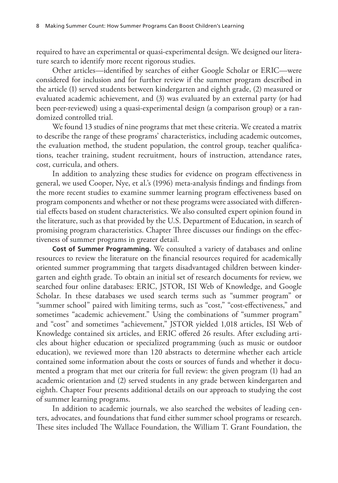required to have an experimental or quasi-experimental design. We designed our literature search to identify more recent rigorous studies.

Other articles—identified by searches of either Google Scholar or ERIC—were considered for inclusion and for further review if the summer program described in the article (1) served students between kindergarten and eighth grade, (2) measured or evaluated academic achievement, and (3) was evaluated by an external party (or had been peer-reviewed) using a quasi-experimental design (a comparison group) or a randomized controlled trial.

We found 13 studies of nine programs that met these criteria. We created a matrix to describe the range of these programs' characteristics, including academic outcomes, the evaluation method, the student population, the control group, teacher qualifications, teacher training, student recruitment, hours of instruction, attendance rates, cost, curricula, and others.

In addition to analyzing these studies for evidence on program effectiveness in general, we used Cooper, Nye, et al.'s (1996) meta-analysis findings and findings from the more recent studies to examine summer learning program effectiveness based on program components and whether or not these programs were associated with differential effects based on student characteristics. We also consulted expert opinion found in the literature, such as that provided by the U.S. Department of Education, in search of promising program characteristics. Chapter Three discusses our findings on the effectiveness of summer programs in greater detail.

**Cost of Summer Programming.** We consulted a variety of databases and online resources to review the literature on the financial resources required for academically oriented summer programming that targets disadvantaged children between kindergarten and eighth grade. To obtain an initial set of research documents for review, we searched four online databases: ERIC, JSTOR, ISI Web of Knowledge, and Google Scholar. In these databases we used search terms such as "summer program" or "summer school" paired with limiting terms, such as "cost," "cost-effectiveness," and sometimes "academic achievement." Using the combinations of "summer program" and "cost" and sometimes "achievement," JSTOR yielded 1,018 articles, ISI Web of Knowledge contained six articles, and ERIC offered 26 results. After excluding articles about higher education or specialized programming (such as music or outdoor education), we reviewed more than 120 abstracts to determine whether each article contained some information about the costs or sources of funds and whether it documented a program that met our criteria for full review: the given program (1) had an academic orientation and (2) served students in any grade between kindergarten and eighth. Chapter Four presents additional details on our approach to studying the cost of summer learning programs.

In addition to academic journals, we also searched the websites of leading centers, advocates, and foundations that fund either summer school programs or research. These sites included The Wallace Foundation, the William T. Grant Foundation, the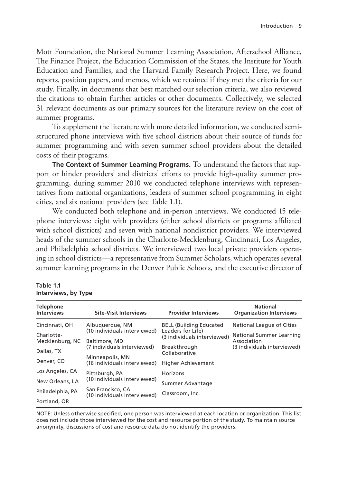Mott Foundation, the National Summer Learning Association, Afterschool Alliance, The Finance Project, the Education Commission of the States, the Institute for Youth Education and Families, and the Harvard Family Research Project. Here, we found reports, position papers, and memos, which we retained if they met the criteria for our study. Finally, in documents that best matched our selection criteria, we also reviewed the citations to obtain further articles or other documents. Collectively, we selected 31 relevant documents as our primary sources for the literature review on the cost of summer programs.

To supplement the literature with more detailed information, we conducted semistructured phone interviews with five school districts about their source of funds for summer programming and with seven summer school providers about the detailed costs of their programs.

**The Context of Summer Learning Programs.** To understand the factors that support or hinder providers' and districts' efforts to provide high-quality summer programming, during summer 2010 we conducted telephone interviews with representatives from national organizations, leaders of summer school programming in eight cities, and six national providers (see Table 1.1).

We conducted both telephone and in-person interviews. We conducted 15 telephone interviews: eight with providers (either school districts or programs affiliated with school districts) and seven with national nondistrict providers. We interviewed heads of the summer schools in the Charlotte-Mecklenburg, Cincinnati, Los Angeles, and Philadelphia school districts. We interviewed two local private providers operating in school districts—a representative from Summer Scholars, which operates several summer learning programs in the Denver Public Schools, and the executive director of

#### **Table 1.1 Interviews, by Type**

| <b>Telephone</b><br><b>Interviews</b> | <b>Site-Visit Interviews</b>                                                                                                    | <b>Provider Interviews</b>                       | <b>National</b><br><b>Organization Interviews</b> |
|---------------------------------------|---------------------------------------------------------------------------------------------------------------------------------|--------------------------------------------------|---------------------------------------------------|
| Cincinnati, OH                        | Albuguergue, NM                                                                                                                 | <b>BELL (Building Educated)</b>                  | National League of Cities                         |
| Charlotte-<br>Mecklenburg, NC         | (10 individuals interviewed)<br>Baltimore, MD<br>(7 individuals interviewed)<br>Minneapolis, MN<br>(16 individuals interviewed) | Leaders for Life)<br>(3 individuals interviewed) | National Summer Learning<br>Association           |
| Dallas, TX                            |                                                                                                                                 | Breakthrough<br>Collaborative                    | (3 individuals interviewed)                       |
| Denver, CO                            |                                                                                                                                 | <b>Higher Achievement</b>                        |                                                   |
| Los Angeles, CA                       | Pittsburgh, PA<br>(10 individuals interviewed)                                                                                  | Horizons                                         |                                                   |
| New Orleans, LA                       |                                                                                                                                 | Summer Advantage                                 |                                                   |
| Philadelphia, PA                      | San Francisco, CA<br>(10 individuals interviewed)                                                                               | Classroom, Inc.                                  |                                                   |
| Portland, OR                          |                                                                                                                                 |                                                  |                                                   |

NOTE: Unless otherwise specified, one person was interviewed at each location or organization. This list does not include those interviewed for the cost and resource portion of the study. To maintain source anonymity, discussions of cost and resource data do not identify the providers.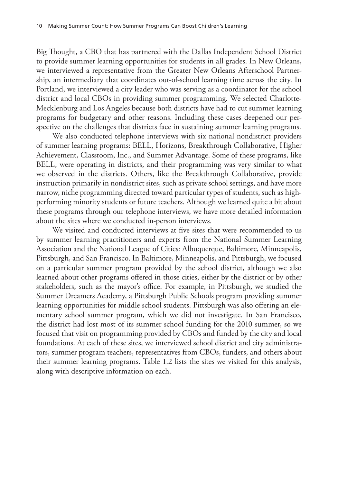Big Thought, a CBO that has partnered with the Dallas Independent School District to provide summer learning opportunities for students in all grades. In New Orleans, we interviewed a representative from the Greater New Orleans Afterschool Partnership, an intermediary that coordinates out-of-school learning time across the city. In Portland, we interviewed a city leader who was serving as a coordinator for the school district and local CBOs in providing summer programming. We selected Charlotte-Mecklenburg and Los Angeles because both districts have had to cut summer learning programs for budgetary and other reasons. Including these cases deepened our perspective on the challenges that districts face in sustaining summer learning programs.

We also conducted telephone interviews with six national nondistrict providers of summer learning programs: BELL, Horizons, Breakthrough Collaborative, Higher Achievement, Classroom, Inc., and Summer Advantage. Some of these programs, like BELL, were operating in districts, and their programming was very similar to what we observed in the districts. Others, like the Breakthrough Collaborative, provide instruction primarily in nondistrict sites, such as private school settings, and have more narrow, niche programming directed toward particular types of students, such as highperforming minority students or future teachers. Although we learned quite a bit about these programs through our telephone interviews, we have more detailed information about the sites where we conducted in-person interviews.

We visited and conducted interviews at five sites that were recommended to us by summer learning practitioners and experts from the National Summer Learning Association and the National League of Cities: Albuquerque, Baltimore, Minneapolis, Pittsburgh, and San Francisco. In Baltimore, Minneapolis, and Pittsburgh, we focused on a particular summer program provided by the school district, although we also learned about other programs offered in those cities, either by the district or by other stakeholders, such as the mayor's office. For example, in Pittsburgh, we studied the Summer Dreamers Academy, a Pittsburgh Public Schools program providing summer learning opportunities for middle school students. Pittsburgh was also offering an elementary school summer program, which we did not investigate. In San Francisco, the district had lost most of its summer school funding for the 2010 summer, so we focused that visit on programming provided by CBOs and funded by the city and local foundations. At each of these sites, we interviewed school district and city administrators, summer program teachers, representatives from CBOs, funders, and others about their summer learning programs. Table 1.2 lists the sites we visited for this analysis, along with descriptive information on each.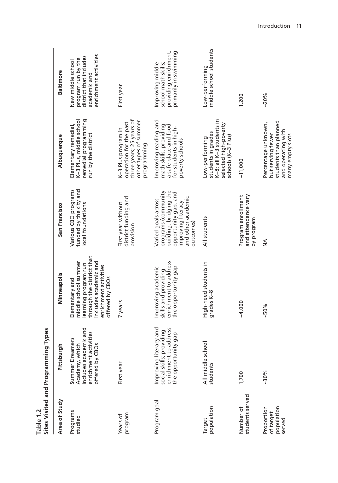| Area of Study                                   | 등<br>Pittsbur                                                                                              | Minneapolis                                                                                                                                                     | San Francisco                                                                                                                                         | Albuquerque                                                                                                          | <b>Baltimore</b>                                                                                           |
|-------------------------------------------------|------------------------------------------------------------------------------------------------------------|-----------------------------------------------------------------------------------------------------------------------------------------------------------------|-------------------------------------------------------------------------------------------------------------------------------------------------------|----------------------------------------------------------------------------------------------------------------------|------------------------------------------------------------------------------------------------------------|
| Programs<br>studied                             | includes academic and<br>enrichment activities<br>mers<br>Academy, which<br>offered by CBOs<br>Summer Drea | learning program run<br>through the district that<br>ncludes academic and<br>middle school summer<br>enrichment activities<br>offered by CBOs<br>Elementary and | Various CBO programs<br>funded by the city and<br>ocal foundations                                                                                    | remedial programming<br>K-3 Plus, middle school<br>Elementary remedial,<br>run by the district                       | enrichment activities<br>district that includes<br>program run by the<br>New middle school<br>academic and |
| program<br>Years of                             | First year                                                                                                 | 7 years                                                                                                                                                         | district funding and<br>First year without<br>provision                                                                                               | three years; 25 years of<br>other types of summer<br>operation for the past<br>K-3 Plus program in<br>programming    | First year                                                                                                 |
| Program goal                                    | Improving literacy and<br>enrichment to address<br>social skills; providing<br>the opportunity gap         | enrichment to address<br>the opportunity gap<br>mproving academic<br>skills and providing                                                                       | programs (community<br>building, bridging the<br>opportunity gap, and<br>and other academic<br>Varied goals across<br>improving literacy<br>outcomes) | Improving reading and<br>math skills, providing<br>a safe place and food<br>for students in high-<br>poverty schools | providing enrichment,<br>primarily in swimming<br>school math skills;<br>Improving middle                  |
| population<br>Target                            | All middle school<br>students                                                                              | High-need students in<br>grades K-8                                                                                                                             | All students                                                                                                                                          | K-8; all K-3 students in<br>selected high-poverty<br>students in grades<br>schools (K-3 Plus)<br>Low-performing      | middle school students<br>Low-performing                                                                   |
| students served<br>Number of                    | 1,700                                                                                                      | $-4,000$                                                                                                                                                        | and attendance vary<br>Program enrollment<br>by program                                                                                               | $-11,000$                                                                                                            | 1,200                                                                                                      |
| population<br>Proportion<br>of target<br>served | $-30%$                                                                                                     | $-50%$                                                                                                                                                          | $\frac{4}{2}$                                                                                                                                         | students than planned<br>Percentage unknown,<br>and operating with<br>but serving fewer<br>many empty slots          | $-20%$                                                                                                     |

Table 1.2<br>Sites Visited and Programming Types **Sites Visited and Programming Types Table 1.2**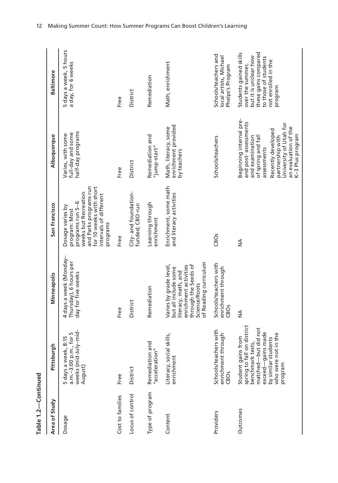| Area of Study    | Pittsburgh                                                                                                                                                                       | Minneapolis                                                                                                                                                      | San Francisco                                                                                                                                                            | Albuquerque                                                                                                                                                                                                            | <b>Baltimore</b>                                                                                                                                      |
|------------------|----------------------------------------------------------------------------------------------------------------------------------------------------------------------------------|------------------------------------------------------------------------------------------------------------------------------------------------------------------|--------------------------------------------------------------------------------------------------------------------------------------------------------------------------|------------------------------------------------------------------------------------------------------------------------------------------------------------------------------------------------------------------------|-------------------------------------------------------------------------------------------------------------------------------------------------------|
| Dosage           | weeks (mid-July-mid-<br>a.m.-3:00 p.m., for 5<br>5 days a week, 8:15<br>August)                                                                                                  | 4 days a week (Monday-<br>Thursday), 6 hours per<br>day for five weeks                                                                                           | and Parks programs run<br>for 10 weeks with short<br>weeks but Recreation<br>intervals of different<br>programs run 5-6<br>Dosage varies by<br>program: Most<br>programs | half-day programs<br>full-day and some<br>Varies, with some                                                                                                                                                            | 5 days a week, 5 hours<br>a day, for 6 weeks                                                                                                          |
| Cost to families | Free                                                                                                                                                                             | Free                                                                                                                                                             | Free                                                                                                                                                                     | Free                                                                                                                                                                                                                   | Free                                                                                                                                                  |
| Locus of control | District                                                                                                                                                                         | District                                                                                                                                                         | City- and foundation-<br>funded; CBO-run                                                                                                                                 | District                                                                                                                                                                                                               | District                                                                                                                                              |
| Type of program  | Remediation and<br>"acceleration"                                                                                                                                                | Remediation                                                                                                                                                      | Learning through<br>enrichment                                                                                                                                           | Remediation and<br>"jump-start"                                                                                                                                                                                        | Remediation                                                                                                                                           |
| Content          | I skills,<br>Literacy, social<br>enrichment                                                                                                                                      | of Reading curriculum<br>Varies by grade level,<br>enrichment activities<br>through the Seeds of<br>but all include some<br>literacy, math, and<br>Science/Roots | Enrichment, some math<br>and literacy activities                                                                                                                         | enrichment provided<br>Math, literacy, some<br>by teachers                                                                                                                                                             | Math, enrichment                                                                                                                                      |
| Providers        | Schools/teachers with<br>enrichment through<br>CB <sub>Os</sub>                                                                                                                  | Schools/teachers with<br>enrichment through<br>CBOS                                                                                                              | CBOS                                                                                                                                                                     | Schools/teachers                                                                                                                                                                                                       | Schools/teachers and<br>local artists, Michael<br>Phelps's Program                                                                                    |
| Outcomes         | spring to fall on district<br>matched-but did not<br>exceed-gains made<br>in the<br>Student gains from<br>ents<br>benchmark tests,<br>by similar stud<br>who were not<br>program | $\frac{4}{2}$                                                                                                                                                    | $\frac{4}{2}$                                                                                                                                                            | Beginning internal pre-<br>and post-assessments<br>University of Utah for<br>an evaluation of the<br>Recently developed<br>K-3 Plus program<br>and examination<br>partnership with<br>of spring and fal<br>assessments | these gains compared<br>Students gained skills<br>but it is unclear how<br>to those of students<br>not enrolled in the<br>over the summer,<br>program |

Table 1.2-Continued **Table 1.2—Continued**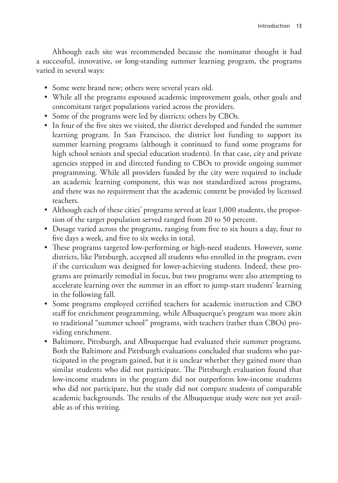Although each site was recommended because the nominator thought it had a successful, innovative, or long-standing summer learning program, the programs varied in several ways:

- Some were brand new; others were several years old.
- While all the programs espoused academic improvement goals, other goals and concomitant target populations varied across the providers.
- Some of the programs were led by districts; others by CBOs.
- In four of the five sites we visited, the district developed and funded the summer learning program. In San Francisco, the district lost funding to support its summer learning programs (although it continued to fund some programs for high school seniors and special education students). In that case, city and private agencies stepped in and directed funding to CBOs to provide ongoing summer programming. While all providers funded by the city were required to include an academic learning component, this was not standardized across programs, and there was no requirement that the academic content be provided by licensed teachers.
- Although each of these cities' programs served at least 1,000 students, the proportion of the target population served ranged from 20 to 50 percent.
- Dosage varied across the programs, ranging from five to six hours a day, four to five days a week, and five to six weeks in total.
- These programs targeted low-performing or high-need students. However, some districts, like Pittsburgh, accepted all students who enrolled in the program, even if the curriculum was designed for lower-achieving students. Indeed, these programs are primarily remedial in focus, but two programs were also attempting to accelerate learning over the summer in an effort to jump-start students' learning in the following fall.
- Some programs employed certified teachers for academic instruction and CBO staff for enrichment programming, while Albuquerque's program was more akin to traditional "summer school" programs, with teachers (rather than CBOs) providing enrichment.
- Baltimore, Pittsburgh, and Albuquerque had evaluated their summer programs. Both the Baltimore and Pittsburgh evaluations concluded that students who participated in the program gained, but it is unclear whether they gained more than similar students who did not participate. The Pittsburgh evaluation found that low-income students in the program did not outperform low-income students who did not participate, but the study did not compare students of comparable academic backgrounds. The results of the Albuquerque study were not yet available as of this writing.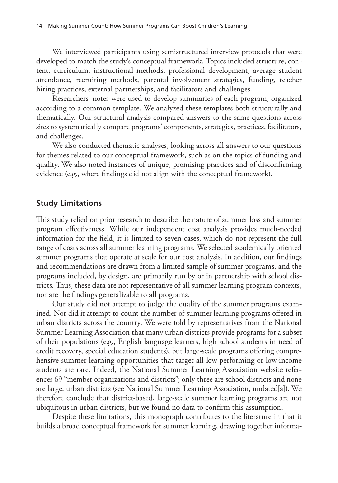We interviewed participants using semistructured interview protocols that were developed to match the study's conceptual framework. Topics included structure, content, curriculum, instructional methods, professional development, average student attendance, recruiting methods, parental involvement strategies, funding, teacher hiring practices, external partnerships, and facilitators and challenges.

Researchers' notes were used to develop summaries of each program, organized according to a common template. We analyzed these templates both structurally and thematically. Our structural analysis compared answers to the same questions across sites to systematically compare programs' components, strategies, practices, facilitators, and challenges.

We also conducted thematic analyses, looking across all answers to our questions for themes related to our conceptual framework, such as on the topics of funding and quality. We also noted instances of unique, promising practices and of disconfirming evidence (e.g., where findings did not align with the conceptual framework).

## **Study Limitations**

This study relied on prior research to describe the nature of summer loss and summer program effectiveness. While our independent cost analysis provides much-needed information for the field, it is limited to seven cases, which do not represent the full range of costs across all summer learning programs. We selected academically oriented summer programs that operate at scale for our cost analysis. In addition, our findings and recommendations are drawn from a limited sample of summer programs, and the programs included, by design, are primarily run by or in partnership with school districts. Thus, these data are not representative of all summer learning program contexts, nor are the findings generalizable to all programs.

Our study did not attempt to judge the quality of the summer programs examined. Nor did it attempt to count the number of summer learning programs offered in urban districts across the country. We were told by representatives from the National Summer Learning Association that many urban districts provide programs for a subset of their populations (e.g., English language learners, high school students in need of credit recovery, special education students), but large-scale programs offering comprehensive summer learning opportunities that target all low-performing or low-income students are rare. Indeed, the National Summer Learning Association website references 69 "member organizations and districts"; only three are school districts and none are large, urban districts (see National Summer Learning Association, undated[a]). We therefore conclude that district-based, large-scale summer learning programs are not ubiquitous in urban districts, but we found no data to confirm this assumption.

Despite these limitations, this monograph contributes to the literature in that it builds a broad conceptual framework for summer learning, drawing together informa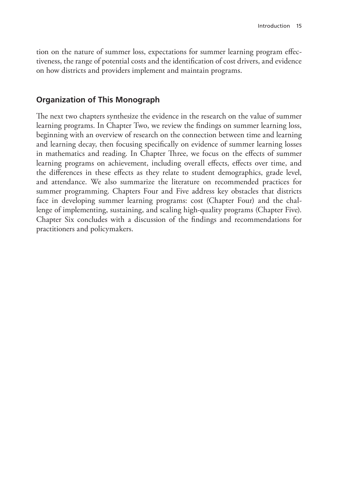tion on the nature of summer loss, expectations for summer learning program effectiveness, the range of potential costs and the identification of cost drivers, and evidence on how districts and providers implement and maintain programs.

# **Organization of This Monograph**

The next two chapters synthesize the evidence in the research on the value of summer learning programs. In Chapter Two, we review the findings on summer learning loss, beginning with an overview of research on the connection between time and learning and learning decay, then focusing specifically on evidence of summer learning losses in mathematics and reading. In Chapter Three, we focus on the effects of summer learning programs on achievement, including overall effects, effects over time, and the differences in these effects as they relate to student demographics, grade level, and attendance. We also summarize the literature on recommended practices for summer programming. Chapters Four and Five address key obstacles that districts face in developing summer learning programs: cost (Chapter Four) and the challenge of implementing, sustaining, and scaling high-quality programs (Chapter Five). Chapter Six concludes with a discussion of the findings and recommendations for practitioners and policymakers.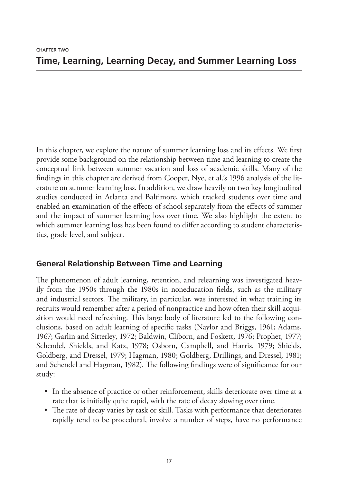In this chapter, we explore the nature of summer learning loss and its effects. We first provide some background on the relationship between time and learning to create the conceptual link between summer vacation and loss of academic skills. Many of the findings in this chapter are derived from Cooper, Nye, et al.'s 1996 analysis of the literature on summer learning loss. In addition, we draw heavily on two key longitudinal studies conducted in Atlanta and Baltimore, which tracked students over time and enabled an examination of the effects of school separately from the effects of summer and the impact of summer learning loss over time. We also highlight the extent to which summer learning loss has been found to differ according to student characteristics, grade level, and subject.

# **General Relationship Between Time and Learning**

The phenomenon of adult learning, retention, and relearning was investigated heavily from the 1950s through the 1980s in noneducation fields, such as the military and industrial sectors. The military, in particular, was interested in what training its recruits would remember after a period of nonpractice and how often their skill acquisition would need refreshing. This large body of literature led to the following conclusions, based on adult learning of specific tasks (Naylor and Briggs, 1961; Adams, 1967; Garlin and Sitterley, 1972; Baldwin, Cliborn, and Foskett, 1976; Prophet, 1977; Schendel, Shields, and Katz, 1978; Osborn, Campbell, and Harris, 1979; Shields, Goldberg, and Dressel, 1979; Hagman, 1980; Goldberg, Drillings, and Dressel, 1981; and Schendel and Hagman, 1982). The following findings were of significance for our study:

- In the absence of practice or other reinforcement, skills deteriorate over time at a rate that is initially quite rapid, with the rate of decay slowing over time.
- The rate of decay varies by task or skill. Tasks with performance that deteriorates rapidly tend to be procedural, involve a number of steps, have no performance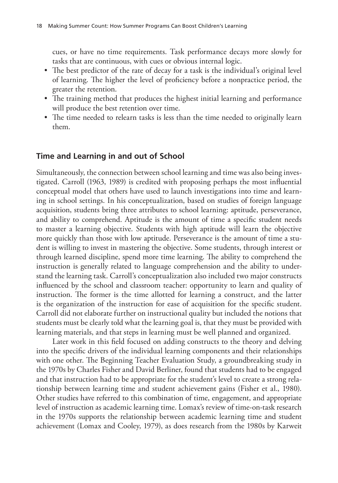cues, or have no time requirements. Task performance decays more slowly for tasks that are continuous, with cues or obvious internal logic.

- The best predictor of the rate of decay for a task is the individual's original level of learning. The higher the level of proficiency before a nonpractice period, the greater the retention.
- The training method that produces the highest initial learning and performance will produce the best retention over time.
- The time needed to relearn tasks is less than the time needed to originally learn them.

# **Time and Learning in and out of School**

Simultaneously, the connection between school learning and time was also being investigated. Carroll (1963, 1989) is credited with proposing perhaps the most influential conceptual model that others have used to launch investigations into time and learning in school settings. In his conceptualization, based on studies of foreign language acquisition, students bring three attributes to school learning: aptitude, perseverance, and ability to comprehend. Aptitude is the amount of time a specific student needs to master a learning objective. Students with high aptitude will learn the objective more quickly than those with low aptitude. Perseverance is the amount of time a student is willing to invest in mastering the objective. Some students, through interest or through learned discipline, spend more time learning. The ability to comprehend the instruction is generally related to language comprehension and the ability to understand the learning task. Carroll's conceptualization also included two major constructs influenced by the school and classroom teacher: opportunity to learn and quality of instruction. The former is the time allotted for learning a construct, and the latter is the organization of the instruction for ease of acquisition for the specific student. Carroll did not elaborate further on instructional quality but included the notions that students must be clearly told what the learning goal is, that they must be provided with learning materials, and that steps in learning must be well planned and organized.

Later work in this field focused on adding constructs to the theory and delving into the specific drivers of the individual learning components and their relationships with one other. The Beginning Teacher Evaluation Study, a groundbreaking study in the 1970s by Charles Fisher and David Berliner, found that students had to be engaged and that instruction had to be appropriate for the student's level to create a strong relationship between learning time and student achievement gains (Fisher et al., 1980). Other studies have referred to this combination of time, engagement, and appropriate level of instruction as academic learning time. Lomax's review of time-on-task research in the 1970s supports the relationship between academic learning time and student achievement (Lomax and Cooley, 1979), as does research from the 1980s by Karweit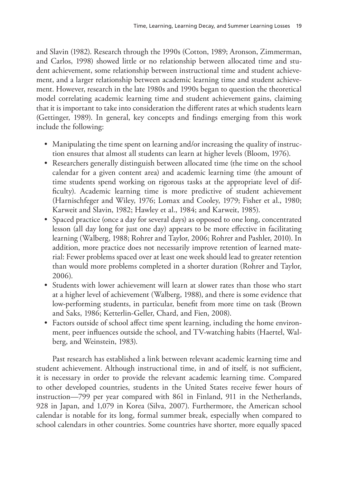and Slavin (1982). Research through the 1990s (Cotton, 1989; Aronson, Zimmerman, and Carlos, 1998) showed little or no relationship between allocated time and student achievement, some relationship between instructional time and student achievement, and a larger relationship between academic learning time and student achievement. However, research in the late 1980s and 1990s began to question the theoretical model correlating academic learning time and student achievement gains, claiming that it is important to take into consideration the different rates at which students learn (Gettinger, 1989). In general, key concepts and findings emerging from this work include the following:

- Manipulating the time spent on learning and/or increasing the quality of instruction ensures that almost all students can learn at higher levels (Bloom, 1976).
- Researchers generally distinguish between allocated time (the time on the school calendar for a given content area) and academic learning time (the amount of time students spend working on rigorous tasks at the appropriate level of difficulty). Academic learning time is more predictive of student achievement (Harnischfeger and Wiley, 1976; Lomax and Cooley, 1979; Fisher et al., 1980; Karweit and Slavin, 1982; Hawley et al., 1984; and Karweit, 1985).
- Spaced practice (once a day for several days) as opposed to one long, concentrated lesson (all day long for just one day) appears to be more effective in facilitating learning (Walberg, 1988; Rohrer and Taylor, 2006; Rohrer and Pashler, 2010). In addition, more practice does not necessarily improve retention of learned material: Fewer problems spaced over at least one week should lead to greater retention than would more problems completed in a shorter duration (Rohrer and Taylor, 2006).
- Students with lower achievement will learn at slower rates than those who start at a higher level of achievement (Walberg, 1988), and there is some evidence that low-performing students, in particular, benefit from more time on task (Brown and Saks, 1986; Ketterlin-Geller, Chard, and Fien, 2008).
- Factors outside of school affect time spent learning, including the home environment, peer influences outside the school, and TV-watching habits (Haertel, Walberg, and Weinstein, 1983).

Past research has established a link between relevant academic learning time and student achievement. Although instructional time, in and of itself, is not sufficient, it is necessary in order to provide the relevant academic learning time. Compared to other developed countries, students in the United States receive fewer hours of instruction—799 per year compared with 861 in Finland, 911 in the Netherlands, 928 in Japan, and 1,079 in Korea (Silva, 2007). Furthermore, the American school calendar is notable for its long, formal summer break, especially when compared to school calendars in other countries. Some countries have shorter, more equally spaced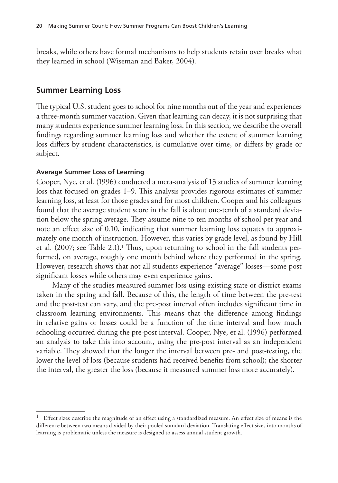breaks, while others have formal mechanisms to help students retain over breaks what they learned in school (Wiseman and Baker, 2004).

### **Summer Learning Loss**

The typical U.S. student goes to school for nine months out of the year and experiences a three-month summer vacation. Given that learning can decay, it is not surprising that many students experience summer learning loss. In this section, we describe the overall findings regarding summer learning loss and whether the extent of summer learning loss differs by student characteristics, is cumulative over time, or differs by grade or subject.

#### **Average Summer Loss of Learning**

Cooper, Nye, et al. (1996) conducted a meta-analysis of 13 studies of summer learning loss that focused on grades 1–9. This analysis provides rigorous estimates of summer learning loss, at least for those grades and for most children. Cooper and his colleagues found that the average student score in the fall is about one-tenth of a standard deviation below the spring average. They assume nine to ten months of school per year and note an effect size of 0.10, indicating that summer learning loss equates to approximately one month of instruction. However, this varies by grade level, as found by Hill et al. (2007; see Table 2.1).<sup>1</sup> Thus, upon returning to school in the fall students performed, on average, roughly one month behind where they performed in the spring. However, research shows that not all students experience "average" losses—some post significant losses while others may even experience gains.

Many of the studies measured summer loss using existing state or district exams taken in the spring and fall. Because of this, the length of time between the pre-test and the post-test can vary, and the pre-post interval often includes significant time in classroom learning environments. This means that the difference among findings in relative gains or losses could be a function of the time interval and how much schooling occurred during the pre-post interval. Cooper, Nye, et al. (1996) performed an analysis to take this into account, using the pre-post interval as an independent variable. They showed that the longer the interval between pre- and post-testing, the lower the level of loss (because students had received benefits from school); the shorter the interval, the greater the loss (because it measured summer loss more accurately).

<sup>&</sup>lt;sup>1</sup> Effect sizes describe the magnitude of an effect using a standardized measure. An effect size of means is the difference between two means divided by their pooled standard deviation. Translating effect sizes into months of learning is problematic unless the measure is designed to assess annual student growth.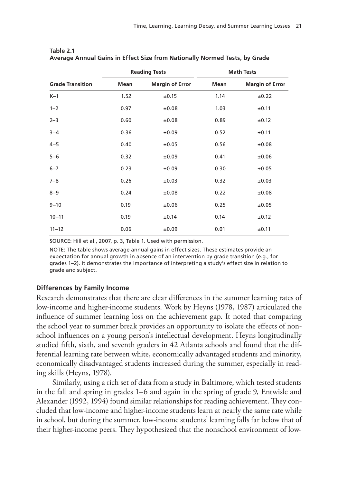|                         |      | <b>Reading Tests</b>   |      | <b>Math Tests</b>      |
|-------------------------|------|------------------------|------|------------------------|
| <b>Grade Transition</b> | Mean | <b>Margin of Error</b> | Mean | <b>Margin of Error</b> |
| $K-1$                   | 1.52 | ±0.15                  | 1.14 | ±0.22                  |
| $1 - 2$                 | 0.97 | ±0.08                  | 1.03 | ±0.11                  |
| $2 - 3$                 | 0.60 | ±0.08                  | 0.89 | ±0.12                  |
| $3 - 4$                 | 0.36 | ±0.09                  | 0.52 | ±0.11                  |
| $4 - 5$                 | 0.40 | ±0.05                  | 0.56 | ±0.08                  |
| $5 - 6$                 | 0.32 | ±0.09                  | 0.41 | ±0.06                  |
| $6 - 7$                 | 0.23 | ±0.09                  | 0.30 | ±0.05                  |
| $7 - 8$                 | 0.26 | ±0.03                  | 0.32 | ±0.03                  |
| $8 - 9$                 | 0.24 | ±0.08                  | 0.22 | ±0.08                  |
| $9 - 10$                | 0.19 | ±0.06                  | 0.25 | ±0.05                  |
| $10 - 11$               | 0.19 | ±0.14                  | 0.14 | ±0.12                  |
| $11 - 12$               | 0.06 | ±0.09                  | 0.01 | ±0.11                  |

**Table 2.1 Average Annual Gains in Effect Size from Nationally Normed Tests, by Grade**

SOURCE: Hill et al., 2007, p. 3, Table 1. Used with permission.

NOTE: The table shows average annual gains in effect sizes. These estimates provide an expectation for annual growth in absence of an intervention by grade transition (e.g., for grades 1–2). It demonstrates the importance of interpreting a study's effect size in relation to grade and subject.

#### **Differences by Family Income**

Research demonstrates that there are clear differences in the summer learning rates of low-income and higher-income students. Work by Heyns (1978, 1987) articulated the influence of summer learning loss on the achievement gap. It noted that comparing the school year to summer break provides an opportunity to isolate the effects of nonschool influences on a young person's intellectual development. Heyns longitudinally studied fifth, sixth, and seventh graders in 42 Atlanta schools and found that the differential learning rate between white, economically advantaged students and minority, economically disadvantaged students increased during the summer, especially in reading skills (Heyns, 1978).

Similarly, using a rich set of data from a study in Baltimore, which tested students in the fall and spring in grades 1–6 and again in the spring of grade 9, Entwisle and Alexander (1992, 1994) found similar relationships for reading achievement. They concluded that low-income and higher-income students learn at nearly the same rate while in school, but during the summer, low-income students' learning falls far below that of their higher-income peers. They hypothesized that the nonschool environment of low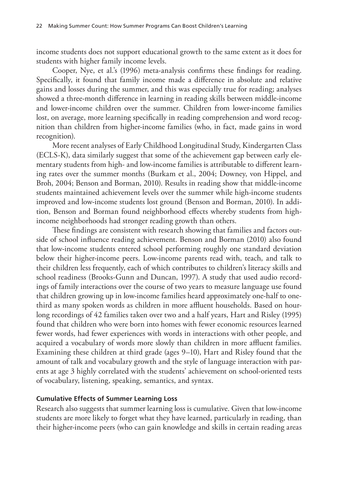income students does not support educational growth to the same extent as it does for students with higher family income levels.

Cooper, Nye, et al.'s (1996) meta-analysis confirms these findings for reading. Specifically, it found that family income made a difference in absolute and relative gains and losses during the summer, and this was especially true for reading; analyses showed a three-month difference in learning in reading skills between middle-income and lower-income children over the summer. Children from lower-income families lost, on average, more learning specifically in reading comprehension and word recognition than children from higher-income families (who, in fact, made gains in word recognition).

More recent analyses of Early Childhood Longitudinal Study, Kindergarten Class (ECLS-K), data similarly suggest that some of the achievement gap between early elementary students from high- and low-income families is attributable to different learning rates over the summer months (Burkam et al., 2004; Downey, von Hippel, and Broh, 2004; Benson and Borman, 2010). Results in reading show that middle-income students maintained achievement levels over the summer while high-income students improved and low-income students lost ground (Benson and Borman, 2010). In addition, Benson and Borman found neighborhood effects whereby students from highincome neighborhoods had stronger reading growth than others.

These findings are consistent with research showing that families and factors outside of school influence reading achievement. Benson and Borman (2010) also found that low-income students entered school performing roughly one standard deviation below their higher-income peers. Low-income parents read with, teach, and talk to their children less frequently, each of which contributes to children's literacy skills and school readiness (Brooks-Gunn and Duncan, 1997). A study that used audio recordings of family interactions over the course of two years to measure language use found that children growing up in low-income families heard approximately one-half to onethird as many spoken words as children in more affluent households. Based on hourlong recordings of 42 families taken over two and a half years, Hart and Risley (1995) found that children who were born into homes with fewer economic resources learned fewer words, had fewer experiences with words in interactions with other people, and acquired a vocabulary of words more slowly than children in more affluent families. Examining these children at third grade (ages 9–10), Hart and Risley found that the amount of talk and vocabulary growth and the style of language interaction with parents at age 3 highly correlated with the students' achievement on school-oriented tests of vocabulary, listening, speaking, semantics, and syntax.

## **Cumulative Effects of Summer Learning Loss**

Research also suggests that summer learning loss is cumulative. Given that low-income students are more likely to forget what they have learned, particularly in reading, than their higher-income peers (who can gain knowledge and skills in certain reading areas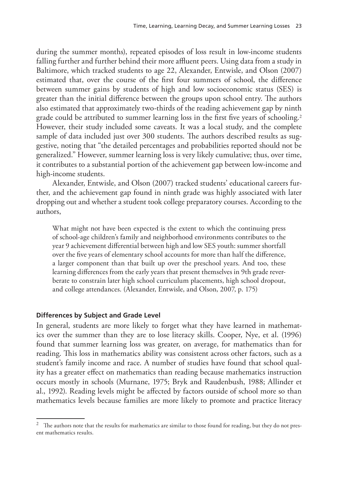during the summer months), repeated episodes of loss result in low-income students falling further and further behind their more affluent peers. Using data from a study in Baltimore, which tracked students to age 22, Alexander, Entwisle, and Olson (2007) estimated that, over the course of the first four summers of school, the difference between summer gains by students of high and low socioeconomic status (SES) is greater than the initial difference between the groups upon school entry. The authors also estimated that approximately two-thirds of the reading achievement gap by ninth grade could be attributed to summer learning loss in the first five years of schooling.<sup>2</sup> However, their study included some caveats. It was a local study, and the complete sample of data included just over 300 students. The authors described results as suggestive, noting that "the detailed percentages and probabilities reported should not be generalized." However, summer learning loss is very likely cumulative; thus, over time, it contributes to a substantial portion of the achievement gap between low-income and high-income students.

Alexander, Entwisle, and Olson (2007) tracked students' educational careers further, and the achievement gap found in ninth grade was highly associated with later dropping out and whether a student took college preparatory courses. According to the authors,

What might not have been expected is the extent to which the continuing press of school-age children's family and neighborhood environments contributes to the year 9 achievement differential between high and low SES youth: summer shortfall over the five years of elementary school accounts for more than half the difference, a larger component than that built up over the preschool years. And too, these learning differences from the early years that present themselves in 9th grade reverberate to constrain later high school curriculum placements, high school dropout, and college attendances. (Alexander, Entwisle, and Olson, 2007, p. 175)

### **Differences by Subject and Grade Level**

In general, students are more likely to forget what they have learned in mathematics over the summer than they are to lose literacy skills. Cooper, Nye, et al. (1996) found that summer learning loss was greater, on average, for mathematics than for reading. This loss in mathematics ability was consistent across other factors, such as a student's family income and race. A number of studies have found that school quality has a greater effect on mathematics than reading because mathematics instruction occurs mostly in schools (Murnane, 1975; Bryk and Raudenbush, 1988; Allinder et al., 1992). Reading levels might be affected by factors outside of school more so than mathematics levels because families are more likely to promote and practice literacy

The authors note that the results for mathematics are similar to those found for reading, but they do not present mathematics results.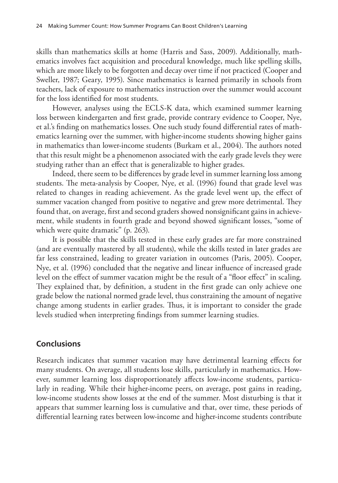skills than mathematics skills at home (Harris and Sass, 2009). Additionally, mathematics involves fact acquisition and procedural knowledge, much like spelling skills, which are more likely to be forgotten and decay over time if not practiced (Cooper and Sweller, 1987; Geary, 1995). Since mathematics is learned primarily in schools from teachers, lack of exposure to mathematics instruction over the summer would account for the loss identified for most students.

However, analyses using the ECLS-K data, which examined summer learning loss between kindergarten and first grade, provide contrary evidence to Cooper, Nye, et al.'s finding on mathematics losses. One such study found differential rates of mathematics learning over the summer, with higher-income students showing higher gains in mathematics than lower-income students (Burkam et al., 2004). The authors noted that this result might be a phenomenon associated with the early grade levels they were studying rather than an effect that is generalizable to higher grades.

Indeed, there seem to be differences by grade level in summer learning loss among students. The meta-analysis by Cooper, Nye, et al. (1996) found that grade level was related to changes in reading achievement. As the grade level went up, the effect of summer vacation changed from positive to negative and grew more detrimental. They found that, on average, first and second graders showed nonsignificant gains in achievement, while students in fourth grade and beyond showed significant losses, "some of which were quite dramatic" (p. 263).

It is possible that the skills tested in these early grades are far more constrained (and are eventually mastered by all students), while the skills tested in later grades are far less constrained, leading to greater variation in outcomes (Paris, 2005). Cooper, Nye, et al. (1996) concluded that the negative and linear influence of increased grade level on the effect of summer vacation might be the result of a "floor effect" in scaling. They explained that, by definition, a student in the first grade can only achieve one grade below the national normed grade level, thus constraining the amount of negative change among students in earlier grades. Thus, it is important to consider the grade levels studied when interpreting findings from summer learning studies.

## **Conclusions**

Research indicates that summer vacation may have detrimental learning effects for many students. On average, all students lose skills, particularly in mathematics. However, summer learning loss disproportionately affects low-income students, particularly in reading. While their higher-income peers, on average, post gains in reading, low-income students show losses at the end of the summer. Most disturbing is that it appears that summer learning loss is cumulative and that, over time, these periods of differential learning rates between low-income and higher-income students contribute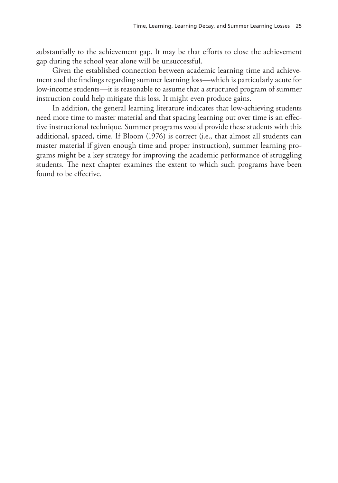substantially to the achievement gap. It may be that efforts to close the achievement gap during the school year alone will be unsuccessful.

Given the established connection between academic learning time and achievement and the findings regarding summer learning loss—which is particularly acute for low-income students—it is reasonable to assume that a structured program of summer instruction could help mitigate this loss. It might even produce gains.

In addition, the general learning literature indicates that low-achieving students need more time to master material and that spacing learning out over time is an effective instructional technique. Summer programs would provide these students with this additional, spaced, time. If Bloom (1976) is correct (i.e., that almost all students can master material if given enough time and proper instruction), summer learning programs might be a key strategy for improving the academic performance of struggling students. The next chapter examines the extent to which such programs have been found to be effective.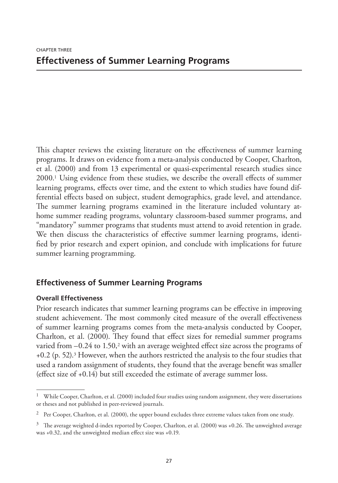This chapter reviews the existing literature on the effectiveness of summer learning programs. It draws on evidence from a meta-analysis conducted by Cooper, Charlton, et al. (2000) and from 13 experimental or quasi-experimental research studies since 2000.1 Using evidence from these studies, we describe the overall effects of summer learning programs, effects over time, and the extent to which studies have found differential effects based on subject, student demographics, grade level, and attendance. The summer learning programs examined in the literature included voluntary athome summer reading programs, voluntary classroom-based summer programs, and "mandatory" summer programs that students must attend to avoid retention in grade. We then discuss the characteristics of effective summer learning programs, identified by prior research and expert opinion, and conclude with implications for future summer learning programming.

# **Effectiveness of Summer Learning Programs**

## **Overall Effectiveness**

Prior research indicates that summer learning programs can be effective in improving student achievement. The most commonly cited measure of the overall effectiveness of summer learning programs comes from the meta-analysis conducted by Cooper, Charlton, et al. (2000). They found that effect sizes for remedial summer programs varied from  $-0.24$  to 1.50,<sup>2</sup> with an average weighted effect size across the programs of  $+0.2$  (p. 52).<sup>3</sup> However, when the authors restricted the analysis to the four studies that used a random assignment of students, they found that the average benefit was smaller (effect size of +0.14) but still exceeded the estimate of average summer loss.

<sup>&</sup>lt;sup>1</sup> While Cooper, Charlton, et al. (2000) included four studies using random assignment, they were dissertations or theses and not published in peer-reviewed journals.

 $2$  Per Cooper, Charlton, et al. (2000), the upper bound excludes three extreme values taken from one study.

 $3$  The average weighted d-index reported by Cooper, Charlton, et al. (2000) was +0.26. The unweighted average was +0.32, and the unweighted median effect size was +0.19.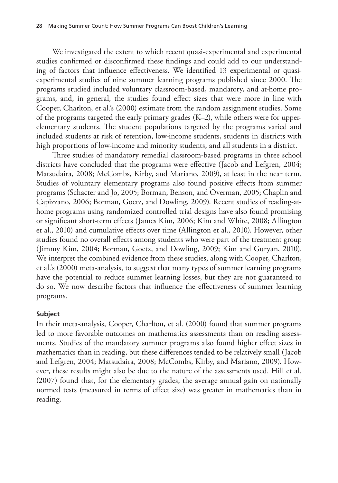We investigated the extent to which recent quasi-experimental and experimental studies confirmed or disconfirmed these findings and could add to our understanding of factors that influence effectiveness. We identified 13 experimental or quasiexperimental studies of nine summer learning programs published since 2000. The programs studied included voluntary classroom-based, mandatory, and at-home programs, and, in general, the studies found effect sizes that were more in line with Cooper, Charlton, et al.'s (2000) estimate from the random assignment studies. Some of the programs targeted the early primary grades (K–2), while others were for upperelementary students. The student populations targeted by the programs varied and included students at risk of retention, low-income students, students in districts with high proportions of low-income and minority students, and all students in a district.

Three studies of mandatory remedial classroom-based programs in three school districts have concluded that the programs were effective (Jacob and Lefgren, 2004; Matsudaira, 2008; McCombs, Kirby, and Mariano, 2009), at least in the near term. Studies of voluntary elementary programs also found positive effects from summer programs (Schacter and Jo, 2005; Borman, Benson, and Overman, 2005; Chaplin and Capizzano, 2006; Borman, Goetz, and Dowling, 2009). Recent studies of reading-athome programs using randomized controlled trial designs have also found promising or significant short-term effects (James Kim, 2006; Kim and White, 2008; Allington et al., 2010) and cumulative effects over time (Allington et al., 2010). However, other studies found no overall effects among students who were part of the treatment group (Jimmy Kim, 2004; Borman, Goetz, and Dowling, 2009; Kim and Guryan, 2010). We interpret the combined evidence from these studies, along with Cooper, Charlton, et al.'s (2000) meta-analysis, to suggest that many types of summer learning programs have the potential to reduce summer learning losses, but they are not guaranteed to do so. We now describe factors that influence the effectiveness of summer learning programs.

#### **Subject**

In their meta-analysis, Cooper, Charlton, et al. (2000) found that summer programs led to more favorable outcomes on mathematics assessments than on reading assessments. Studies of the mandatory summer programs also found higher effect sizes in mathematics than in reading, but these differences tended to be relatively small (Jacob and Lefgren, 2004; Matsudaira, 2008; McCombs, Kirby, and Mariano, 2009). However, these results might also be due to the nature of the assessments used. Hill et al. (2007) found that, for the elementary grades, the average annual gain on nationally normed tests (measured in terms of effect size) was greater in mathematics than in reading.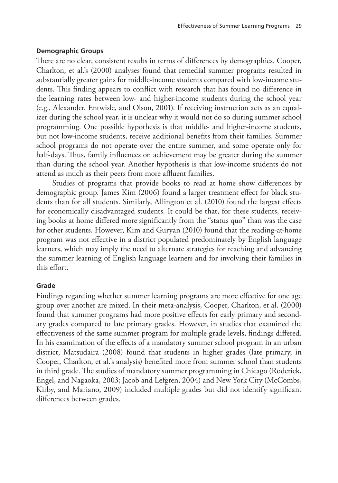### **Demographic Groups**

There are no clear, consistent results in terms of differences by demographics. Cooper, Charlton, et al.'s (2000) analyses found that remedial summer programs resulted in substantially greater gains for middle-income students compared with low-income students. This finding appears to conflict with research that has found no difference in the learning rates between low- and higher-income students during the school year (e.g., Alexander, Entwisle, and Olson, 2001). If receiving instruction acts as an equalizer during the school year, it is unclear why it would not do so during summer school programming. One possible hypothesis is that middle- and higher-income students, but not low-income students, receive additional benefits from their families. Summer school programs do not operate over the entire summer, and some operate only for half-days. Thus, family influences on achievement may be greater during the summer than during the school year. Another hypothesis is that low-income students do not attend as much as their peers from more affluent families.

Studies of programs that provide books to read at home show differences by demographic group. James Kim (2006) found a larger treatment effect for black students than for all students. Similarly, Allington et al. (2010) found the largest effects for economically disadvantaged students. It could be that, for these students, receiving books at home differed more significantly from the "status quo" than was the case for other students. However, Kim and Guryan (2010) found that the reading-at-home program was not effective in a district populated predominately by English language learners, which may imply the need to alternate strategies for reaching and advancing the summer learning of English language learners and for involving their families in this effort.

## **Grade**

Findings regarding whether summer learning programs are more effective for one age group over another are mixed. In their meta-analysis, Cooper, Charlton, et al. (2000) found that summer programs had more positive effects for early primary and secondary grades compared to late primary grades. However, in studies that examined the effectiveness of the same summer program for multiple grade levels, findings differed. In his examination of the effects of a mandatory summer school program in an urban district, Matsudaira (2008) found that students in higher grades (late primary, in Cooper, Charlton, et al.'s analysis) benefited more from summer school than students in third grade. The studies of mandatory summer programming in Chicago (Roderick, Engel, and Nagaoka, 2003; Jacob and Lefgren, 2004) and New York City (McCombs, Kirby, and Mariano, 2009) included multiple grades but did not identify significant differences between grades.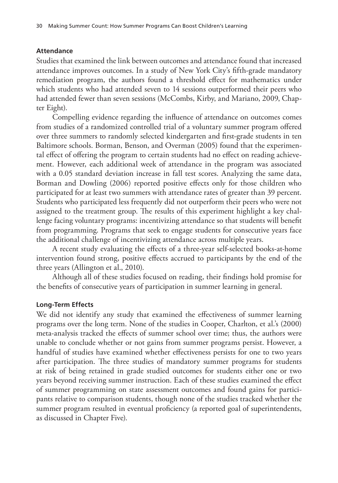### **Attendance**

Studies that examined the link between outcomes and attendance found that increased attendance improves outcomes. In a study of New York City's fifth-grade mandatory remediation program, the authors found a threshold effect for mathematics under which students who had attended seven to 14 sessions outperformed their peers who had attended fewer than seven sessions (McCombs, Kirby, and Mariano, 2009, Chapter Eight).

Compelling evidence regarding the influence of attendance on outcomes comes from studies of a randomized controlled trial of a voluntary summer program offered over three summers to randomly selected kindergarten and first-grade students in ten Baltimore schools. Borman, Benson, and Overman (2005) found that the experimental effect of offering the program to certain students had no effect on reading achievement. However, each additional week of attendance in the program was associated with a 0.05 standard deviation increase in fall test scores. Analyzing the same data, Borman and Dowling (2006) reported positive effects only for those children who participated for at least two summers with attendance rates of greater than 39 percent. Students who participated less frequently did not outperform their peers who were not assigned to the treatment group. The results of this experiment highlight a key challenge facing voluntary programs: incentivizing attendance so that students will benefit from programming. Programs that seek to engage students for consecutive years face the additional challenge of incentivizing attendance across multiple years.

A recent study evaluating the effects of a three-year self-selected books-at-home intervention found strong, positive effects accrued to participants by the end of the three years (Allington et al., 2010).

Although all of these studies focused on reading, their findings hold promise for the benefits of consecutive years of participation in summer learning in general.

### **Long-Term Effects**

We did not identify any study that examined the effectiveness of summer learning programs over the long term. None of the studies in Cooper, Charlton, et al.'s (2000) meta-analysis tracked the effects of summer school over time; thus, the authors were unable to conclude whether or not gains from summer programs persist. However, a handful of studies have examined whether effectiveness persists for one to two years after participation. The three studies of mandatory summer programs for students at risk of being retained in grade studied outcomes for students either one or two years beyond receiving summer instruction. Each of these studies examined the effect of summer programming on state assessment outcomes and found gains for participants relative to comparison students, though none of the studies tracked whether the summer program resulted in eventual proficiency (a reported goal of superintendents, as discussed in Chapter Five).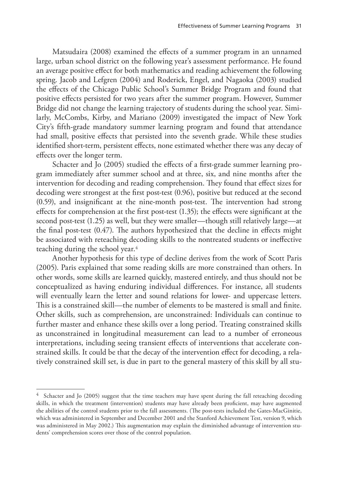Matsudaira (2008) examined the effects of a summer program in an unnamed large, urban school district on the following year's assessment performance. He found an average positive effect for both mathematics and reading achievement the following spring. Jacob and Lefgren (2004) and Roderick, Engel, and Nagaoka (2003) studied the effects of the Chicago Public School's Summer Bridge Program and found that positive effects persisted for two years after the summer program. However, Summer Bridge did not change the learning trajectory of students during the school year. Similarly, McCombs, Kirby, and Mariano (2009) investigated the impact of New York City's fifth-grade mandatory summer learning program and found that attendance had small, positive effects that persisted into the seventh grade. While these studies identified short-term, persistent effects, none estimated whether there was any decay of effects over the longer term.

Schacter and Jo (2005) studied the effects of a first-grade summer learning program immediately after summer school and at three, six, and nine months after the intervention for decoding and reading comprehension. They found that effect sizes for decoding were strongest at the first post-test (0.96), positive but reduced at the second (0.59), and insignificant at the nine-month post-test. The intervention had strong effects for comprehension at the first post-test (1.35); the effects were significant at the second post-test (1.25) as well, but they were smaller—though still relatively large—at the final post-test (0.47). The authors hypothesized that the decline in effects might be associated with reteaching decoding skills to the nontreated students or ineffective teaching during the school year.<sup>4</sup>

Another hypothesis for this type of decline derives from the work of Scott Paris (2005). Paris explained that some reading skills are more constrained than others. In other words, some skills are learned quickly, mastered entirely, and thus should not be conceptualized as having enduring individual differences. For instance, all students will eventually learn the letter and sound relations for lower- and uppercase letters. This is a constrained skill—the number of elements to be mastered is small and finite. Other skills, such as comprehension, are unconstrained: Individuals can continue to further master and enhance these skills over a long period. Treating constrained skills as unconstrained in longitudinal measurement can lead to a number of erroneous interpretations, including seeing transient effects of interventions that accelerate constrained skills. It could be that the decay of the intervention effect for decoding, a relatively constrained skill set, is due in part to the general mastery of this skill by all stu-

Schacter and Jo (2005) suggest that the time teachers may have spent during the fall reteaching decoding skills, in which the treatment (intervention) students may have already been proficient, may have augmented the abilities of the control students prior to the fall assessments. (The post-tests included the Gates-MacGinitie, which was administered in September and December 2001 and the Stanford Achievement Test, version 9, which was administered in May 2002.) This augmentation may explain the diminished advantage of intervention students' comprehension scores over those of the control population.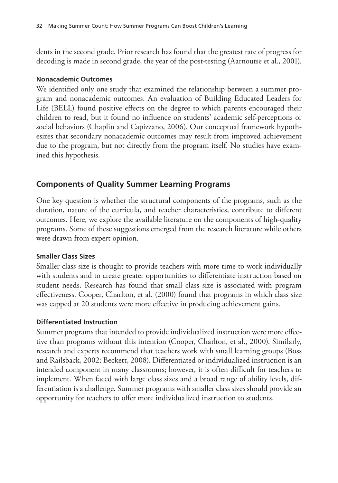dents in the second grade. Prior research has found that the greatest rate of progress for decoding is made in second grade, the year of the post-testing (Aarnoutse et al., 2001).

### **Nonacademic Outcomes**

We identified only one study that examined the relationship between a summer program and nonacademic outcomes. An evaluation of Building Educated Leaders for Life (BELL) found positive effects on the degree to which parents encouraged their children to read, but it found no influence on students' academic self-perceptions or social behaviors (Chaplin and Capizzano, 2006). Our conceptual framework hypothesizes that secondary nonacademic outcomes may result from improved achievement due to the program, but not directly from the program itself. No studies have examined this hypothesis.

# **Components of Quality Summer Learning Programs**

One key question is whether the structural components of the programs, such as the duration, nature of the curricula, and teacher characteristics, contribute to different outcomes. Here, we explore the available literature on the components of high-quality programs. Some of these suggestions emerged from the research literature while others were drawn from expert opinion.

## **Smaller Class Sizes**

Smaller class size is thought to provide teachers with more time to work individually with students and to create greater opportunities to differentiate instruction based on student needs. Research has found that small class size is associated with program effectiveness. Cooper, Charlton, et al. (2000) found that programs in which class size was capped at 20 students were more effective in producing achievement gains.

## **Differentiated Instruction**

Summer programs that intended to provide individualized instruction were more effective than programs without this intention (Cooper, Charlton, et al., 2000). Similarly, research and experts recommend that teachers work with small learning groups (Boss and Railsback, 2002; Beckett, 2008). Differentiated or individualized instruction is an intended component in many classrooms; however, it is often difficult for teachers to implement. When faced with large class sizes and a broad range of ability levels, differentiation is a challenge. Summer programs with smaller class sizes should provide an opportunity for teachers to offer more individualized instruction to students.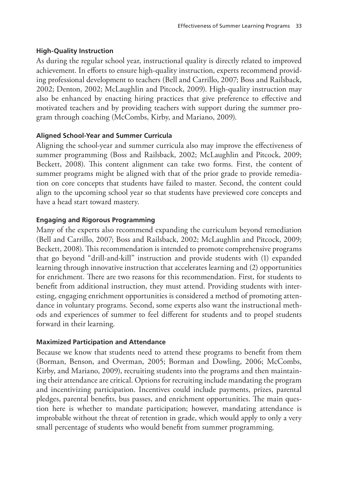# **High-Quality Instruction**

As during the regular school year, instructional quality is directly related to improved achievement. In efforts to ensure high-quality instruction, experts recommend providing professional development to teachers (Bell and Carrillo, 2007; Boss and Railsback, 2002; Denton, 2002; McLaughlin and Pitcock, 2009). High-quality instruction may also be enhanced by enacting hiring practices that give preference to effective and motivated teachers and by providing teachers with support during the summer program through coaching (McCombs, Kirby, and Mariano, 2009).

# **Aligned School-Year and Summer Curricula**

Aligning the school-year and summer curricula also may improve the effectiveness of summer programming (Boss and Railsback, 2002; McLaughlin and Pitcock, 2009; Beckett, 2008). This content alignment can take two forms. First, the content of summer programs might be aligned with that of the prior grade to provide remediation on core concepts that students have failed to master. Second, the content could align to the upcoming school year so that students have previewed core concepts and have a head start toward mastery.

# **Engaging and Rigorous Programming**

Many of the experts also recommend expanding the curriculum beyond remediation (Bell and Carrillo, 2007; Boss and Railsback, 2002; McLaughlin and Pitcock, 2009; Beckett, 2008). This recommendation is intended to promote comprehensive programs that go beyond "drill-and-kill" instruction and provide students with (1) expanded learning through innovative instruction that accelerates learning and (2) opportunities for enrichment. There are two reasons for this recommendation. First, for students to benefit from additional instruction, they must attend. Providing students with interesting, engaging enrichment opportunities is considered a method of promoting attendance in voluntary programs. Second, some experts also want the instructional methods and experiences of summer to feel different for students and to propel students forward in their learning.

# **Maximized Participation and Attendance**

Because we know that students need to attend these programs to benefit from them (Borman, Benson, and Overman, 2005; Borman and Dowling, 2006; McCombs, Kirby, and Mariano, 2009), recruiting students into the programs and then maintaining their attendance are critical. Options for recruiting include mandating the program and incentivizing participation. Incentives could include payments, prizes, parental pledges, parental benefits, bus passes, and enrichment opportunities. The main question here is whether to mandate participation; however, mandating attendance is improbable without the threat of retention in grade, which would apply to only a very small percentage of students who would benefit from summer programming.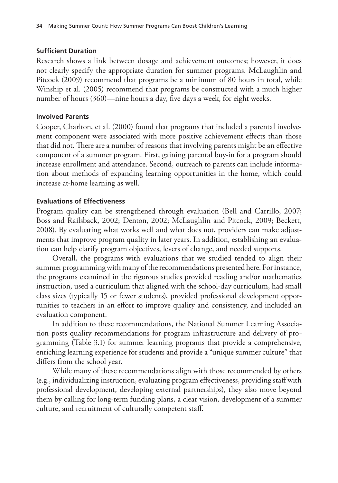## **Sufficient Duration**

Research shows a link between dosage and achievement outcomes; however, it does not clearly specify the appropriate duration for summer programs. McLaughlin and Pitcock (2009) recommend that programs be a minimum of 80 hours in total, while Winship et al. (2005) recommend that programs be constructed with a much higher number of hours (360)—nine hours a day, five days a week, for eight weeks.

## **Involved Parents**

Cooper, Charlton, et al. (2000) found that programs that included a parental involvement component were associated with more positive achievement effects than those that did not. There are a number of reasons that involving parents might be an effective component of a summer program. First, gaining parental buy-in for a program should increase enrollment and attendance. Second, outreach to parents can include information about methods of expanding learning opportunities in the home, which could increase at-home learning as well.

## **Evaluations of Effectiveness**

Program quality can be strengthened through evaluation (Bell and Carrillo, 2007; Boss and Railsback, 2002; Denton, 2002; McLaughlin and Pitcock, 2009; Beckett, 2008). By evaluating what works well and what does not, providers can make adjustments that improve program quality in later years. In addition, establishing an evaluation can help clarify program objectives, levers of change, and needed supports.

Overall, the programs with evaluations that we studied tended to align their summer programming with many of the recommendations presented here. For instance, the programs examined in the rigorous studies provided reading and/or mathematics instruction, used a curriculum that aligned with the school-day curriculum, had small class sizes (typically 15 or fewer students), provided professional development opportunities to teachers in an effort to improve quality and consistency, and included an evaluation component.

In addition to these recommendations, the National Summer Learning Association posts quality recommendations for program infrastructure and delivery of programming (Table 3.1) for summer learning programs that provide a comprehensive, enriching learning experience for students and provide a "unique summer culture" that differs from the school year.

While many of these recommendations align with those recommended by others (e.g., individualizing instruction, evaluating program effectiveness, providing staff with professional development, developing external partnerships), they also move beyond them by calling for long-term funding plans, a clear vision, development of a summer culture, and recruitment of culturally competent staff.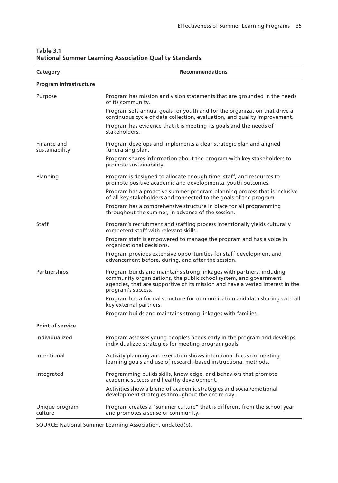| Category                      | <b>Recommendations</b>                                                                                                                                                                                                                             |
|-------------------------------|----------------------------------------------------------------------------------------------------------------------------------------------------------------------------------------------------------------------------------------------------|
| Program infrastructure        |                                                                                                                                                                                                                                                    |
| Purpose                       | Program has mission and vision statements that are grounded in the needs<br>of its community.                                                                                                                                                      |
|                               | Program sets annual goals for youth and for the organization that drive a<br>continuous cycle of data collection, evaluation, and quality improvement.                                                                                             |
|                               | Program has evidence that it is meeting its goals and the needs of<br>stakeholders.                                                                                                                                                                |
| Finance and<br>sustainability | Program develops and implements a clear strategic plan and aligned<br>fundraising plan.                                                                                                                                                            |
|                               | Program shares information about the program with key stakeholders to<br>promote sustainability.                                                                                                                                                   |
| Planning                      | Program is designed to allocate enough time, staff, and resources to<br>promote positive academic and developmental youth outcomes.                                                                                                                |
|                               | Program has a proactive summer program planning process that is inclusive<br>of all key stakeholders and connected to the goals of the program.                                                                                                    |
|                               | Program has a comprehensive structure in place for all programming<br>throughout the summer, in advance of the session.                                                                                                                            |
| Staff                         | Program's recruitment and staffing process intentionally yields culturally<br>competent staff with relevant skills.                                                                                                                                |
|                               | Program staff is empowered to manage the program and has a voice in<br>organizational decisions.                                                                                                                                                   |
|                               | Program provides extensive opportunities for staff development and<br>advancement before, during, and after the session.                                                                                                                           |
| Partnerships                  | Program builds and maintains strong linkages with partners, including<br>community organizations, the public school system, and government<br>agencies, that are supportive of its mission and have a vested interest in the<br>program's success. |
|                               | Program has a formal structure for communication and data sharing with all<br>key external partners.                                                                                                                                               |
|                               | Program builds and maintains strong linkages with families.                                                                                                                                                                                        |
| <b>Point of service</b>       |                                                                                                                                                                                                                                                    |
| Individualized                | Program assesses young people's needs early in the program and develops<br>individualized strategies for meeting program goals.                                                                                                                    |
| Intentional                   | Activity planning and execution shows intentional focus on meeting<br>learning goals and use of research-based instructional methods.                                                                                                              |
| Integrated                    | Programming builds skills, knowledge, and behaviors that promote<br>academic success and healthy development.                                                                                                                                      |
|                               | Activities show a blend of academic strategies and social/emotional<br>development strategies throughout the entire day.                                                                                                                           |
| Unique program<br>culture     | Program creates a "summer culture" that is different from the school year<br>and promotes a sense of community.                                                                                                                                    |

**Table 3.1 National Summer Learning Association Quality Standards**

SOURCE: National Summer Learning Association, undated(b).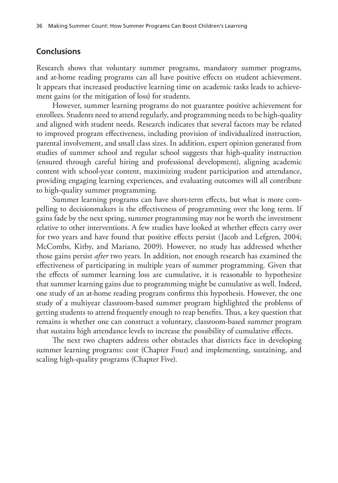## **Conclusions**

Research shows that voluntary summer programs, mandatory summer programs, and at-home reading programs can all have positive effects on student achievement. It appears that increased productive learning time on academic tasks leads to achievement gains (or the mitigation of loss) for students.

However, summer learning programs do not guarantee positive achievement for enrollees. Students need to attend regularly, and programming needs to be high-quality and aligned with student needs. Research indicates that several factors may be related to improved program effectiveness, including provision of individualized instruction, parental involvement, and small class sizes. In addition, expert opinion generated from studies of summer school and regular school suggests that high-quality instruction (ensured through careful hiring and professional development), aligning academic content with school-year content, maximizing student participation and attendance, providing engaging learning experiences, and evaluating outcomes will all contribute to high-quality summer programming.

Summer learning programs can have short-term effects, but what is more compelling to decisionmakers is the effectiveness of programming over the long term. If gains fade by the next spring, summer programming may not be worth the investment relative to other interventions. A few studies have looked at whether effects carry over for two years and have found that positive effects persist (Jacob and Lefgren, 2004; McCombs, Kirby, and Mariano, 2009). However, no study has addressed whether those gains persist *after* two years. In addition, not enough research has examined the effectiveness of participating in multiple years of summer programming. Given that the effects of summer learning loss are cumulative, it is reasonable to hypothesize that summer learning gains due to programming might be cumulative as well. Indeed, one study of an at-home reading program confirms this hypothesis. However, the one study of a multiyear classroom-based summer program highlighted the problems of getting students to attend frequently enough to reap benefits. Thus, a key question that remains is whether one can construct a voluntary, classroom-based summer program that sustains high attendance levels to increase the possibility of cumulative effects.

The next two chapters address other obstacles that districts face in developing summer learning programs: cost (Chapter Four) and implementing, sustaining, and scaling high-quality programs (Chapter Five).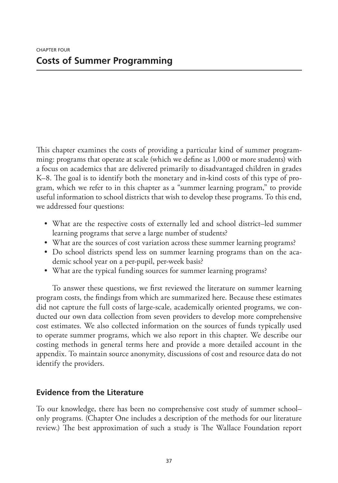This chapter examines the costs of providing a particular kind of summer programming: programs that operate at scale (which we define as 1,000 or more students) with a focus on academics that are delivered primarily to disadvantaged children in grades K–8. The goal is to identify both the monetary and in-kind costs of this type of program, which we refer to in this chapter as a "summer learning program," to provide useful information to school districts that wish to develop these programs. To this end, we addressed four questions:

- What are the respective costs of externally led and school district–led summer learning programs that serve a large number of students?
- What are the sources of cost variation across these summer learning programs?
- Do school districts spend less on summer learning programs than on the academic school year on a per-pupil, per-week basis?
- What are the typical funding sources for summer learning programs?

To answer these questions, we first reviewed the literature on summer learning program costs, the findings from which are summarized here. Because these estimates did not capture the full costs of large-scale, academically oriented programs, we conducted our own data collection from seven providers to develop more comprehensive cost estimates. We also collected information on the sources of funds typically used to operate summer programs, which we also report in this chapter. We describe our costing methods in general terms here and provide a more detailed account in the appendix. To maintain source anonymity, discussions of cost and resource data do not identify the providers.

# **Evidence from the Literature**

To our knowledge, there has been no comprehensive cost study of summer school– only programs. (Chapter One includes a description of the methods for our literature review.) The best approximation of such a study is The Wallace Foundation report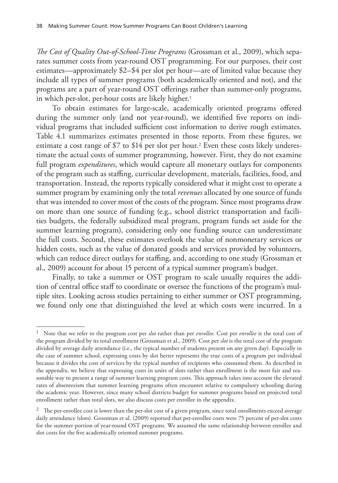*The Cost of Quality Out-of-School-Time Programs* (Grossman et al., 2009), which separates summer costs from year-round OST programming. For our purposes, their cost estimates—approximately \$2–\$4 per slot per hour—are of limited value because they include all types of summer programs (both academically oriented and not), and the programs are a part of year-round OST offerings rather than summer-only programs, in which per-slot, per-hour costs are likely higher.<sup>1</sup>

To obtain estimates for large-scale, academically oriented programs offered during the summer only (and not year-round), we identified five reports on individual programs that included sufficient cost information to derive rough estimates. Table 4.1 summarizes estimates presented in those reports. From these figures, we estimate a cost range of  $$7$  to  $$14$  per slot per hour.<sup>2</sup> Even these costs likely underestimate the actual costs of summer programming, however. First, they do not examine full program *expenditures*, which would capture all monetary outlays for components of the program such as staffing, curricular development, materials, facilities, food, and transportation. Instead, the reports typically considered what it might cost to operate a summer program by examining only the total *revenues* allocated by one source of funds that was intended to cover most of the costs of the program. Since most programs draw on more than one source of funding (e.g., school district transportation and facilities budgets, the federally subsidized meal program, program funds set aside for the summer learning program), considering only one funding source can underestimate the full costs. Second, these estimates overlook the value of nonmonetary services or hidden costs, such as the value of donated goods and services provided by volunteers, which can reduce direct outlays for staffing, and, according to one study (Grossman et al., 2009) account for about 15 percent of a typical summer program's budget.

Finally, to take a summer or OST program to scale usually requires the addition of central office staff to coordinate or oversee the functions of the program's multiple sites. Looking across studies pertaining to either summer or OST programming, we found only one that distinguished the level at which costs were incurred. In a

<sup>1</sup> Note that we refer to the program cost per *slot* rather than per *enrollee*. Cost per *enrollee* is the total cost of the program divided by its total enrollment (Grossman et al., 2009). Cost per *slot* is the total cost of the program divided by average daily attendance (i.e., the typical number of students present on any given day). Especially in the case of summer school, expressing costs by slot better represents the true costs of a program per individual because it divides the cost of services by the typical number of recipients who consumed them. As described in the appendix, we believe that expressing costs in units of slots rather than enrollment is the most fair and reasonable way to present a range of summer learning program costs. This approach takes into account the elevated rates of absenteeism that summer learning programs often encounter relative to compulsory schooling during the academic year. However, since many school districts budget for summer programs based on projected total enrollment rather than total slots, we also discuss costs per enrollee in the appendix.

 $2$  The per-enrollee cost is lower than the per-slot cost of a given program, since total enrollments exceed average daily attendance (slots). Grossman et al. (2009) reported that per-enrollee costs were 75 percent of per-slot costs for the summer portion of year-round OST programs. We assumed the same relationship between enrollee and slot costs for the five academically oriented summer programs.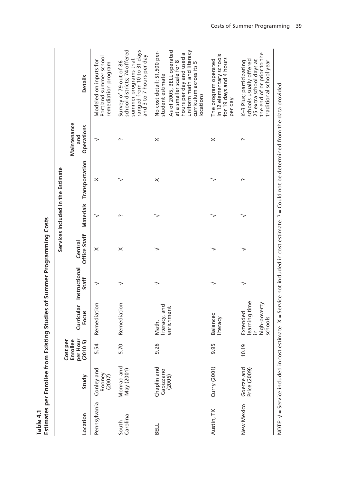|                   |                                    |                                                  |                                                                  |                                   |                         | Services Included in the Estimate                                                                                                                    |                                  |                                                                                                                                                                                                            |
|-------------------|------------------------------------|--------------------------------------------------|------------------------------------------------------------------|-----------------------------------|-------------------------|------------------------------------------------------------------------------------------------------------------------------------------------------|----------------------------------|------------------------------------------------------------------------------------------------------------------------------------------------------------------------------------------------------------|
| Location          | Study                              | per Hour<br>(2010 \$)<br>Enrollee<br>per<br>Cost | Focus                                                            | Curricular Instructional<br>Staff | Office Staff<br>Central | <b>Materials Transportation</b>                                                                                                                      | Maintenance<br>Operations<br>and | <b>Details</b>                                                                                                                                                                                             |
| Pennsylvania      | Conley and<br>Rooney<br>(2007)     | 5.54                                             | Remediation                                                      |                                   | ×                       | $\times$                                                                                                                                             |                                  | Portland summer school<br>Modeled on inputs for<br>remediation program                                                                                                                                     |
| Carolina<br>South | Monrad and<br>May (2001)           | 5.70                                             | Remediation                                                      |                                   | ×                       |                                                                                                                                                      | $\sim$                           | school districts; 74 offered<br>ranged from 10 to 31 days<br>and 3 to 7 hours per day<br>summer programs that<br>Survey of 79 out of 86                                                                    |
| BELL              | Chaplin and<br>Capizzano<br>(2006) | 9.26                                             | literacy, and<br>enrichment<br>Math,                             |                                   |                         | $\times$                                                                                                                                             | $\times$                         | As of 2005, BELL operated<br>No cost detail; \$1,500 per-<br>uniform math and literacy<br>hours per day and used a<br>at a smaller scale for 8<br>curriculum across its 5<br>student estimate<br>locations |
| Austin, TX        | Curry (2001)                       | 9.95                                             | Balanced<br>literacy                                             |                                   |                         |                                                                                                                                                      | ×                                | in 12 elementary schools<br>for 19 days and 4 hours<br>The program operated<br>per day                                                                                                                     |
| New Mexico        | Goetze and<br>Price (2009)         | 10.19                                            | learning time<br>high-poverty<br>Extended<br>schools<br>$\equiv$ |                                   |                         |                                                                                                                                                      |                                  | the end of or prior to the<br>schools usually offered<br>25 extra school days at<br>K-3 Plus; participating<br>traditional school year                                                                     |
|                   |                                    |                                                  |                                                                  |                                   |                         | NOTE: $\sqrt{ }$ = Service included in cost estimate. X = Service not included in cost estimate. ? = Could not be determined from the data provided. |                                  |                                                                                                                                                                                                            |

**Table 4.1 Estimates per Enrollee from Existing Studies of Summer Programming Costs**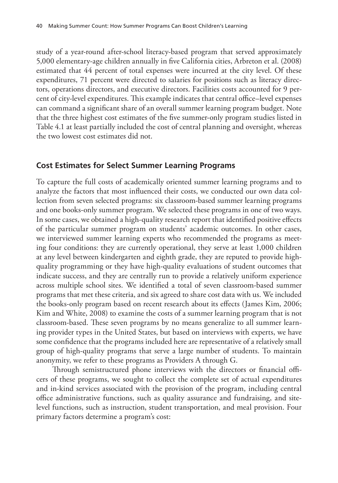study of a year-round after-school literacy-based program that served approximately 5,000 elementary-age children annually in five California cities, Arbreton et al. (2008) estimated that 44 percent of total expenses were incurred at the city level. Of these expenditures, 71 percent were directed to salaries for positions such as literacy directors, operations directors, and executive directors. Facilities costs accounted for 9 percent of city-level expenditures. This example indicates that central office–level expenses can command a significant share of an overall summer learning program budget. Note that the three highest cost estimates of the five summer-only program studies listed in Table 4.1 at least partially included the cost of central planning and oversight, whereas the two lowest cost estimates did not.

# **Cost Estimates for Select Summer Learning Programs**

To capture the full costs of academically oriented summer learning programs and to analyze the factors that most influenced their costs, we conducted our own data collection from seven selected programs: six classroom-based summer learning programs and one books-only summer program. We selected these programs in one of two ways. In some cases, we obtained a high-quality research report that identified positive effects of the particular summer program on students' academic outcomes. In other cases, we interviewed summer learning experts who recommended the programs as meeting four conditions: they are currently operational, they serve at least 1,000 children at any level between kindergarten and eighth grade, they are reputed to provide highquality programming or they have high-quality evaluations of student outcomes that indicate success, and they are centrally run to provide a relatively uniform experience across multiple school sites. We identified a total of seven classroom-based summer programs that met these criteria, and six agreed to share cost data with us. We included the books-only program based on recent research about its effects (James Kim, 2006; Kim and White, 2008) to examine the costs of a summer learning program that is not classroom-based. These seven programs by no means generalize to all summer learning provider types in the United States, but based on interviews with experts, we have some confidence that the programs included here are representative of a relatively small group of high-quality programs that serve a large number of students. To maintain anonymity, we refer to these programs as Providers A through G.

Through semistructured phone interviews with the directors or financial officers of these programs, we sought to collect the complete set of actual expenditures and in-kind services associated with the provision of the program, including central office administrative functions, such as quality assurance and fundraising, and sitelevel functions, such as instruction, student transportation, and meal provision. Four primary factors determine a program's cost: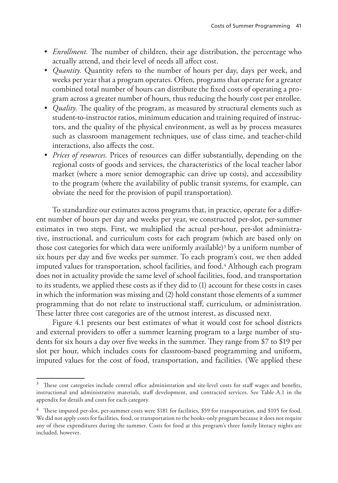- *Enrollment.* The number of children, their age distribution, the percentage who actually attend, and their level of needs all affect cost.
- *Quantity.* Quantity refers to the number of hours per day, days per week, and weeks per year that a program operates. Often, programs that operate for a greater combined total number of hours can distribute the fixed costs of operating a program across a greater number of hours, thus reducing the hourly cost per enrollee.
- *Quality.* The quality of the program, as measured by structural elements such as student-to-instructor ratios, minimum education and training required of instructors, and the quality of the physical environment, as well as by process measures such as classroom management techniques, use of class time, and teacher-child interactions, also affects the cost.
- *Prices of resources.* Prices of resources can differ substantially, depending on the regional costs of goods and services, the characteristics of the local teacher labor market (where a more senior demographic can drive up costs), and accessibility to the program (where the availability of public transit systems, for example, can obviate the need for the provision of pupil transportation).

To standardize our estimates across programs that, in practice, operate for a different number of hours per day and weeks per year, we constructed per-slot, per-summer estimates in two steps. First, we multiplied the actual per-hour, per-slot administrative, instructional, and curriculum costs for each program (which are based only on those cost categories for which data were uniformly available)<sup>3</sup> by a uniform number of six hours per day and five weeks per summer. To each program's cost, we then added imputed values for transportation, school facilities, and food.4 Although each program does not in actuality provide the same level of school facilities, food, and transportation to its students, we applied these costs as if they did to (1) account for these costs in cases in which the information was missing and (2) hold constant those elements of a summer programming that do not relate to instructional staff, curriculum, or administration. These latter three cost categories are of the utmost interest, as discussed next.

Figure 4.1 presents our best estimates of what it would cost for school districts and external providers to offer a summer learning program to a large number of students for six hours a day over five weeks in the summer. They range from \$7 to \$19 per slot per hour, which includes costs for classroom-based programming and uniform, imputed values for the cost of food, transportation, and facilities. (We applied these

 $3$  These cost categories include central office administration and site-level costs for staff wages and benefits, instructional and administrative materials, staff development, and contracted services. See Table A.1 in the appendix for details and costs for each category.

<sup>&</sup>lt;sup>4</sup> These imputed per-slot, per-summer costs were \$181 for facilities, \$59 for transportation, and \$105 for food. We did not apply costs for facilities, food, or transportation to the books-only program because it does not require any of these expenditures during the summer. Costs for food at this program's three family literacy nights are included, however.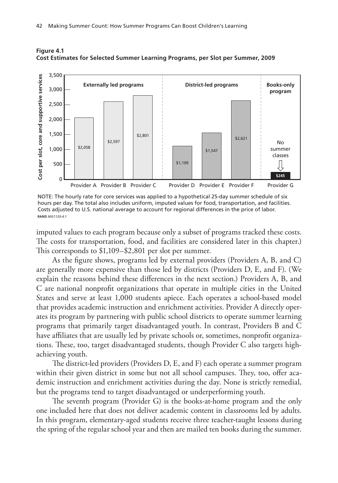

**Figure 4.1 Cost Estimates for Selected Summer Learning Programs, per Slot per Summer, 2009**

NOTE: The hourly rate for core services was applied to a hypothetical 25-day summer schedule of six hours per day. The total also includes uniform, imputed values for food, transportation, and facilities. Costs adjusted to U.S. national average to account for regional differences in the price of labor. **RAND** *MG1120-4.1*

imputed values to each program because only a subset of programs tracked these costs. The costs for transportation, food, and facilities are considered later in this chapter.) This corresponds to \$1,109–\$2,801 per slot per summer.

As the figure shows, programs led by external providers (Providers A, B, and C) are generally more expensive than those led by districts (Providers D, E, and F). (We explain the reasons behind these differences in the next section.) Providers A, B, and C are national nonprofit organizations that operate in multiple cities in the United States and serve at least 1,000 students apiece. Each operates a school-based model that provides academic instruction and enrichment activities. Provider A directly operates its program by partnering with public school districts to operate summer learning programs that primarily target disadvantaged youth. In contrast, Providers B and C have affiliates that are usually led by private schools or, sometimes, nonprofit organizations. These, too, target disadvantaged students, though Provider C also targets highachieving youth.

The district-led providers (Providers D, E, and F) each operate a summer program within their given district in some but not all school campuses. They, too, offer academic instruction and enrichment activities during the day. None is strictly remedial, but the programs tend to target disadvantaged or underperforming youth.

The seventh program (Provider G) is the books-at-home program and the only one included here that does not deliver academic content in classrooms led by adults. In this program, elementary-aged students receive three teacher-taught lessons during the spring of the regular school year and then are mailed ten books during the summer.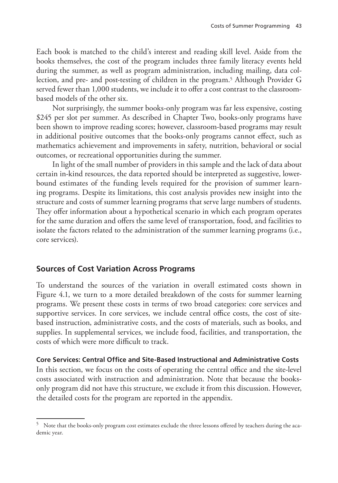Each book is matched to the child's interest and reading skill level. Aside from the books themselves, the cost of the program includes three family literacy events held during the summer, as well as program administration, including mailing, data collection, and pre- and post-testing of children in the program.<sup>5</sup> Although Provider G served fewer than 1,000 students, we include it to offer a cost contrast to the classroombased models of the other six.

Not surprisingly, the summer books-only program was far less expensive, costing \$245 per slot per summer. As described in Chapter Two, books-only programs have been shown to improve reading scores; however, classroom-based programs may result in additional positive outcomes that the books-only programs cannot effect, such as mathematics achievement and improvements in safety, nutrition, behavioral or social outcomes, or recreational opportunities during the summer.

In light of the small number of providers in this sample and the lack of data about certain in-kind resources, the data reported should be interpreted as suggestive, lowerbound estimates of the funding levels required for the provision of summer learning programs. Despite its limitations, this cost analysis provides new insight into the structure and costs of summer learning programs that serve large numbers of students. They offer information about a hypothetical scenario in which each program operates for the same duration and offers the same level of transportation, food, and facilities to isolate the factors related to the administration of the summer learning programs (i.e., core services).

# **Sources of Cost Variation Across Programs**

To understand the sources of the variation in overall estimated costs shown in Figure 4.1, we turn to a more detailed breakdown of the costs for summer learning programs. We present these costs in terms of two broad categories: core services and supportive services. In core services, we include central office costs, the cost of sitebased instruction, administrative costs, and the costs of materials, such as books, and supplies. In supplemental services, we include food, facilities, and transportation, the costs of which were more difficult to track.

### **Core Services: Central Office and Site-Based Instructional and Administrative Costs**

In this section, we focus on the costs of operating the central office and the site-level costs associated with instruction and administration. Note that because the booksonly program did not have this structure, we exclude it from this discussion. However, the detailed costs for the program are reported in the appendix.

<sup>5</sup> Note that the books-only program cost estimates exclude the three lessons offered by teachers during the academic year.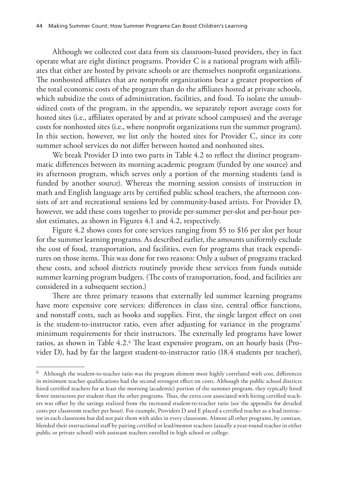Although we collected cost data from six classroom-based providers, they in fact operate what are eight distinct programs. Provider C is a national program with affiliates that either are hosted by private schools or are themselves nonprofit organizations. The nonhosted affiliates that are nonprofit organizations bear a greater proportion of the total economic costs of the program than do the affiliates hosted at private schools, which subsidize the costs of administration, facilities, and food. To isolate the unsubsidized costs of the program, in the appendix, we separately report average costs for hosted sites (i.e., affiliates operated by and at private school campuses) and the average costs for nonhosted sites (i.e., where nonprofit organizations run the summer program). In this section, however, we list only the hosted sites for Provider C, since its core summer school services do not differ between hosted and nonhosted sites.

We break Provider D into two parts in Table 4.2 to reflect the distinct programmatic differences between its morning academic program (funded by one source) and its afternoon program, which serves only a portion of the morning students (and is funded by another source). Whereas the morning session consists of instruction in math and English language arts by certified public school teachers, the afternoon consists of art and recreational sessions led by community-based artists. For Provider D, however, we add these costs together to provide per-summer per-slot and per-hour perslot estimates, as shown in Figures 4.1 and 4.2, respectively.

Figure 4.2 shows costs for core services ranging from \$5 to \$16 per slot per hour for the summer learning programs. As described earlier, the amounts uniformly exclude the cost of food, transportation, and facilities, even for programs that track expenditures on those items. This was done for two reasons: Only a subset of programs tracked these costs, and school districts routinely provide these services from funds outside summer learning program budgets. (The costs of transportation, food, and facilities are considered in a subsequent section.)

There are three primary reasons that externally led summer learning programs have more expensive core services: differences in class size, central office functions, and nonstaff costs, such as books and supplies. First, the single largest effect on cost is the student-to-instructor ratio, even after adjusting for variance in the programs' minimum requirements for their instructors. The externally led programs have lower ratios, as shown in Table 4.2.6 The least expensive program, on an hourly basis (Provider D), had by far the largest student-to-instructor ratio (18.4 students per teacher),

 $^6$  Although the student-to-teacher ratio was the program element most highly correlated with cost, differences in minimum teacher qualifications had the second strongest effect on costs. Although the public school districts hired certified teachers for at least the morning (academic) portion of the summer program, they typically hired fewer instructors per student than the other programs. Thus, the extra cost associated with hiring certified teachers was offset by the savings realized from the increased student-to-teacher ratio (see the appendix for detailed costs per classroom teacher per hour). For example, Providers D and E placed a certified teacher as a lead instructor in each classroom but did not pair them with aides in every classroom. Almost all other programs, by contrast, blended their instructional staff by pairing certified or lead/mentor teachers (usually a year-round teacher in either public or private school) with assistant teachers enrolled in high school or college.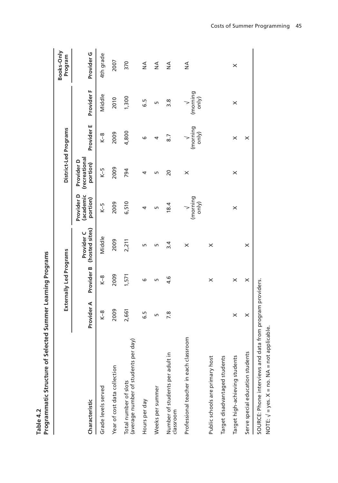|                                                               |            | j<br>j                  |                              |                                     |                                         |                   |                   |                       |
|---------------------------------------------------------------|------------|-------------------------|------------------------------|-------------------------------------|-----------------------------------------|-------------------|-------------------|-----------------------|
|                                                               |            | Externally Led Programs |                              |                                     | District-Led Programs                   |                   |                   | Books-Only<br>Program |
| Characteristic                                                | Provider A | Provider B              | (hosted sites)<br>Provider C | (academic<br>Provider D<br>portion) | (recreational<br>Provider D<br>portion) | Provider E        | Provider F        | Provider G            |
| Grade levels served                                           | $K-8$      | $K-8$                   | Middle                       | $K-5$                               | $K-5$                                   | $K-8$             | Middle            | 4th grade             |
| Year of cost data collection                                  | 2009       | 2009                    | 2009                         | 2009                                | 2009                                    | 2009              | 2010              | 2007                  |
| (average number of students per day)<br>Total number of slots | 2,661      | 1,571                   | 2,211                        | 6,510                               | 794                                     | 4,800             | 1,300             | 370                   |
| Hours per day                                                 | G.5        | ဖ                       | Б                            | 4                                   | 4                                       | ဖ                 | 5. ق              | $\frac{1}{2}$         |
| Weeks per summer                                              | Б          | LN.                     | Б                            | LN.                                 | Б                                       | 4                 | Б                 | $\frac{4}{2}$         |
| Number of students per adult in<br>classroom                  | 7.8        | ە.<br>4                 | $\overline{3.4}$             | 18.4                                | 20                                      | 8.7               | $\frac{8}{3}$     | $\frac{4}{2}$         |
| Professional teacher in each classroom                        |            |                         | $\times$                     | (morning<br>only)                   | $\times$                                | (morning<br>only) | (morning<br>only) | $\frac{1}{2}$         |
| Public schools are primary host                               |            | $\times$                | $\times$                     |                                     |                                         |                   |                   |                       |
| Target disadvantaged students                                 |            |                         |                              |                                     |                                         |                   |                   |                       |
| Target high-achieving students                                | $\times$   | $\times$                |                              | $\times$                            | $\times$                                | ×                 | $\times$          | $\times$              |
| Serve special education students                              | ×          | $\times$                | $\times$                     |                                     |                                         | ×                 |                   |                       |
| SOURCE: Phone interviews and data from program providers.     |            |                         |                              |                                     |                                         |                   |                   |                       |

Table 4.2<br>Programmatic Structure of Selected Summer Learning Programs **Programmatic Structure of Selected Summer Learning Programs Table 4.2**

NOTE: √ = yes. X = no. NA = not applicable.

NOTE:  $\sqrt{ }$  = yes.  $X$  = no. NA = not applicable.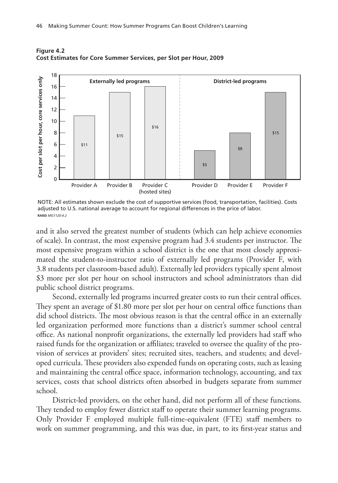

**Figure 4.2 Cost Estimates for Core Summer Services, per Slot per Hour, 2009**



and it also served the greatest number of students (which can help achieve economies of scale). In contrast, the most expensive program had 3.4 students per instructor. The most expensive program within a school district is the one that most closely approximated the student-to-instructor ratio of externally led programs (Provider F, with 3.8 students per classroom-based adult). Externally led providers typically spent almost \$3 more per slot per hour on school instructors and school administrators than did public school district programs.

Second, externally led programs incurred greater costs to run their central offices. They spent an average of \$1.80 more per slot per hour on central office functions than did school districts. The most obvious reason is that the central office in an externally led organization performed more functions than a district's summer school central office. As national nonprofit organizations, the externally led providers had staff who raised funds for the organization or affiliates; traveled to oversee the quality of the provision of services at providers' sites; recruited sites, teachers, and students; and developed curricula. These providers also expended funds on operating costs, such as leasing and maintaining the central office space, information technology, accounting, and tax services, costs that school districts often absorbed in budgets separate from summer school.

District-led providers, on the other hand, did not perform all of these functions. They tended to employ fewer district staff to operate their summer learning programs. Only Provider F employed multiple full-time-equivalent (FTE) staff members to work on summer programming, and this was due, in part, to its first-year status and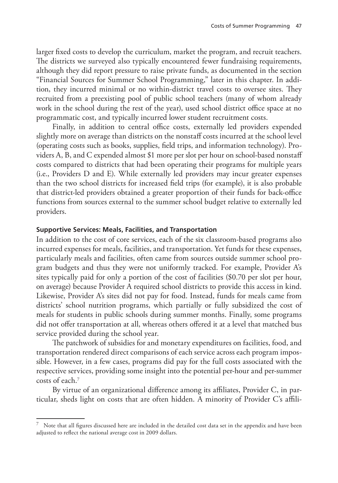larger fixed costs to develop the curriculum, market the program, and recruit teachers. The districts we surveyed also typically encountered fewer fundraising requirements, although they did report pressure to raise private funds, as documented in the section "Financial Sources for Summer School Programming," later in this chapter. In addition, they incurred minimal or no within-district travel costs to oversee sites. They recruited from a preexisting pool of public school teachers (many of whom already work in the school during the rest of the year), used school district office space at no programmatic cost, and typically incurred lower student recruitment costs.

Finally, in addition to central office costs, externally led providers expended slightly more on average than districts on the nonstaff costs incurred at the school level (operating costs such as books, supplies, field trips, and information technology). Providers A, B, and C expended almost \$1 more per slot per hour on school-based nonstaff costs compared to districts that had been operating their programs for multiple years (i.e., Providers D and E). While externally led providers may incur greater expenses than the two school districts for increased field trips (for example), it is also probable that district-led providers obtained a greater proportion of their funds for back-office functions from sources external to the summer school budget relative to externally led providers.

#### **Supportive Services: Meals, Facilities, and Transportation**

In addition to the cost of core services, each of the six classroom-based programs also incurred expenses for meals, facilities, and transportation. Yet funds for these expenses, particularly meals and facilities, often came from sources outside summer school program budgets and thus they were not uniformly tracked. For example, Provider A's sites typically paid for only a portion of the cost of facilities (\$0.70 per slot per hour, on average) because Provider A required school districts to provide this access in kind. Likewise, Provider A's sites did not pay for food. Instead, funds for meals came from districts' school nutrition programs, which partially or fully subsidized the cost of meals for students in public schools during summer months. Finally, some programs did not offer transportation at all, whereas others offered it at a level that matched bus service provided during the school year.

The patchwork of subsidies for and monetary expenditures on facilities, food, and transportation rendered direct comparisons of each service across each program impossible. However, in a few cases, programs did pay for the full costs associated with the respective services, providing some insight into the potential per-hour and per-summer costs of each.7

By virtue of an organizational difference among its affiliates, Provider C, in particular, sheds light on costs that are often hidden. A minority of Provider C's affili-

 $7$  Note that all figures discussed here are included in the detailed cost data set in the appendix and have been adjusted to reflect the national average cost in 2009 dollars.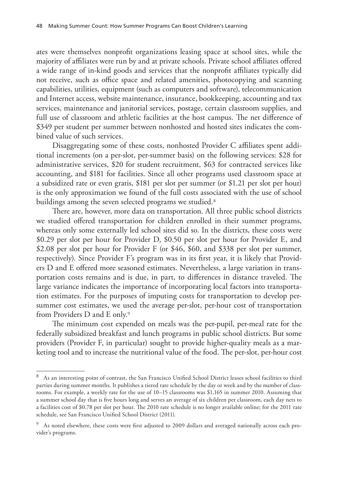ates were themselves nonprofit organizations leasing space at school sites, while the majority of affiliates were run by and at private schools. Private school affiliates offered a wide range of in-kind goods and services that the nonprofit affiliates typically did not receive, such as office space and related amenities, photocopying and scanning capabilities, utilities, equipment (such as computers and software), telecommunication and Internet access, website maintenance, insurance, bookkeeping, accounting and tax services, maintenance and janitorial services, postage, certain classroom supplies, and full use of classroom and athletic facilities at the host campus. The net difference of \$349 per student per summer between nonhosted and hosted sites indicates the combined value of such services.

Disaggregating some of these costs, nonhosted Provider C affiliates spent additional increments (on a per-slot, per-summer basis) on the following services: \$28 for administrative services, \$20 for student recruitment, \$63 for contracted services like accounting, and \$181 for facilities. Since all other programs used classroom space at a subsidized rate or even gratis, \$181 per slot per summer (or \$1.21 per slot per hour) is the only approximation we found of the full costs associated with the use of school buildings among the seven selected programs we studied.<sup>8</sup>

There are, however, more data on transportation. All three public school districts we studied offered transportation for children enrolled in their summer programs, whereas only some externally led school sites did so. In the districts, these costs were \$0.29 per slot per hour for Provider D, \$0.50 per slot per hour for Provider E, and \$2.08 per slot per hour for Provider F (or \$46, \$60, and \$338 per slot per summer, respectively). Since Provider F's program was in its first year, it is likely that Providers D and E offered more seasoned estimates. Nevertheless, a large variation in transportation costs remains and is due, in part, to differences in distance traveled. The large variance indicates the importance of incorporating local factors into transportation estimates. For the purposes of imputing costs for transportation to develop persummer cost estimates, we used the average per-slot, per-hour cost of transportation from Providers D and E only.9

The minimum cost expended on meals was the per-pupil, per-meal rate for the federally subsidized breakfast and lunch programs in public school districts. But some providers (Provider F, in particular) sought to provide higher-quality meals as a marketing tool and to increase the nutritional value of the food. The per-slot, per-hour cost

<sup>8</sup> As an interesting point of contrast, the San Francisco Unified School District leases school facilities to third parties during summer months. It publishes a tiered rate schedule by the day or week and by the number of classrooms. For example, a weekly rate for the use of 10–15 classrooms was \$1,165 in summer 2010. Assuming that a summer school day that is five hours long and serves an average of six children per classroom, each day nets to a facilities cost of \$0.78 per slot per hour. The 2010 rate schedule is no longer available online; for the 2011 rate schedule, see San Francisco Unified School District (2011).

As noted elsewhere, these costs were first adjusted to 2009 dollars and averaged nationally across each provider's programs.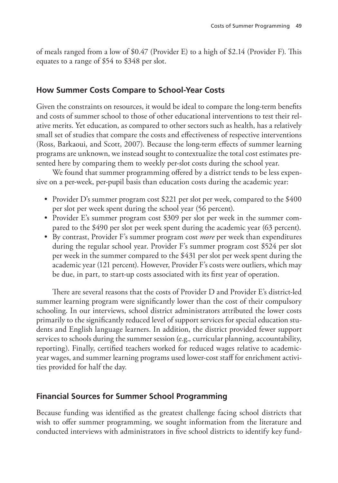of meals ranged from a low of \$0.47 (Provider E) to a high of \$2.14 (Provider F). This equates to a range of \$54 to \$348 per slot.

## **How Summer Costs Compare to School-Year Costs**

Given the constraints on resources, it would be ideal to compare the long-term benefits and costs of summer school to those of other educational interventions to test their relative merits. Yet education, as compared to other sectors such as health, has a relatively small set of studies that compare the costs and effectiveness of respective interventions (Ross, Barkaoui, and Scott, 2007). Because the long-term effects of summer learning programs are unknown, we instead sought to contextualize the total cost estimates presented here by comparing them to weekly per-slot costs during the school year.

We found that summer programming offered by a district tends to be less expensive on a per-week, per-pupil basis than education costs during the academic year:

- Provider D's summer program cost \$221 per slot per week, compared to the \$400 per slot per week spent during the school year (56 percent).
- Provider E's summer program cost \$309 per slot per week in the summer compared to the \$490 per slot per week spent during the academic year (63 percent).
- By contrast, Provider F's summer program cost *more* per week than expenditures during the regular school year. Provider F's summer program cost \$524 per slot per week in the summer compared to the \$431 per slot per week spent during the academic year (121 percent). However, Provider F's costs were outliers, which may be due, in part, to start-up costs associated with its first year of operation.

There are several reasons that the costs of Provider D and Provider E's district-led summer learning program were significantly lower than the cost of their compulsory schooling. In our interviews, school district administrators attributed the lower costs primarily to the significantly reduced level of support services for special education students and English language learners. In addition, the district provided fewer support services to schools during the summer session (e.g., curricular planning, accountability, reporting). Finally, certified teachers worked for reduced wages relative to academicyear wages, and summer learning programs used lower-cost staff for enrichment activities provided for half the day.

## **Financial Sources for Summer School Programming**

Because funding was identified as the greatest challenge facing school districts that wish to offer summer programming, we sought information from the literature and conducted interviews with administrators in five school districts to identify key fund-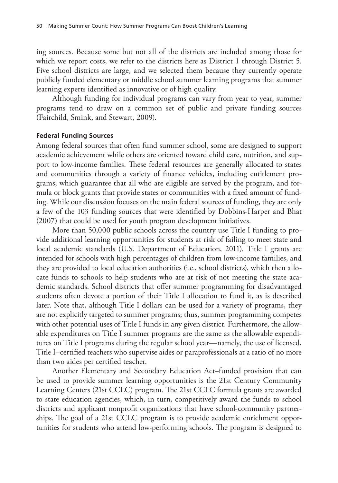ing sources. Because some but not all of the districts are included among those for which we report costs, we refer to the districts here as District 1 through District 5. Five school districts are large, and we selected them because they currently operate publicly funded elementary or middle school summer learning programs that summer learning experts identified as innovative or of high quality.

Although funding for individual programs can vary from year to year, summer programs tend to draw on a common set of public and private funding sources (Fairchild, Smink, and Stewart, 2009).

#### **Federal Funding Sources**

Among federal sources that often fund summer school, some are designed to support academic achievement while others are oriented toward child care, nutrition, and support to low-income families. These federal resources are generally allocated to states and communities through a variety of finance vehicles, including entitlement programs, which guarantee that all who are eligible are served by the program, and formula or block grants that provide states or communities with a fixed amount of funding. While our discussion focuses on the main federal sources of funding, they are only a few of the 103 funding sources that were identified by Dobbins-Harper and Bhat (2007) that could be used for youth program development initiatives.

More than 50,000 public schools across the country use Title I funding to provide additional learning opportunities for students at risk of failing to meet state and local academic standards (U.S. Department of Education, 2011). Title I grants are intended for schools with high percentages of children from low-income families, and they are provided to local education authorities (i.e., school districts), which then allocate funds to schools to help students who are at risk of not meeting the state academic standards. School districts that offer summer programming for disadvantaged students often devote a portion of their Title I allocation to fund it, as is described later. Note that, although Title I dollars can be used for a variety of programs, they are not explicitly targeted to summer programs; thus, summer programming competes with other potential uses of Title I funds in any given district. Furthermore, the allowable expenditures on Title I summer programs are the same as the allowable expenditures on Title I programs during the regular school year—namely, the use of licensed, Title I–certified teachers who supervise aides or paraprofessionals at a ratio of no more than two aides per certified teacher.

Another Elementary and Secondary Education Act–funded provision that can be used to provide summer learning opportunities is the 21st Century Community Learning Centers (21st CCLC) program. The 21st CCLC formula grants are awarded to state education agencies, which, in turn, competitively award the funds to school districts and applicant nonprofit organizations that have school-community partnerships. The goal of a 21st CCLC program is to provide academic enrichment opportunities for students who attend low-performing schools. The program is designed to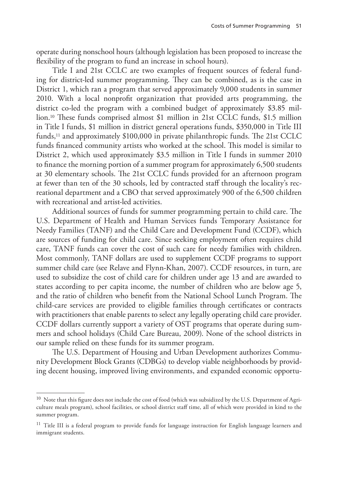operate during nonschool hours (although legislation has been proposed to increase the flexibility of the program to fund an increase in school hours).

Title I and 21st CCLC are two examples of frequent sources of federal funding for district-led summer programming. They can be combined, as is the case in District 1, which ran a program that served approximately 9,000 students in summer 2010. With a local nonprofit organization that provided arts programming, the district co-led the program with a combined budget of approximately \$3.85 million.10 These funds comprised almost \$1 million in 21st CCLC funds, \$1.5 million in Title I funds, \$1 million in district general operations funds, \$350,000 in Title III funds,<sup>11</sup> and approximately \$100,000 in private philanthropic funds. The 21st CCLC funds financed community artists who worked at the school. This model is similar to District 2, which used approximately \$3.5 million in Title I funds in summer 2010 to finance the morning portion of a summer program for approximately 6,500 students at 30 elementary schools. The 21st CCLC funds provided for an afternoon program at fewer than ten of the 30 schools, led by contracted staff through the locality's recreational department and a CBO that served approximately 900 of the 6,500 children with recreational and artist-led activities.

Additional sources of funds for summer programming pertain to child care. The U.S. Department of Health and Human Services funds Temporary Assistance for Needy Families (TANF) and the Child Care and Development Fund (CCDF), which are sources of funding for child care. Since seeking employment often requires child care, TANF funds can cover the cost of such care for needy families with children. Most commonly, TANF dollars are used to supplement CCDF programs to support summer child care (see Relave and Flynn-Khan, 2007). CCDF resources, in turn, are used to subsidize the cost of child care for children under age 13 and are awarded to states according to per capita income, the number of children who are below age 5, and the ratio of children who benefit from the National School Lunch Program. The child-care services are provided to eligible families through certificates or contracts with practitioners that enable parents to select any legally operating child care provider. CCDF dollars currently support a variety of OST programs that operate during summers and school holidays (Child Care Bureau, 2009). None of the school districts in our sample relied on these funds for its summer program.

The U.S. Department of Housing and Urban Development authorizes Community Development Block Grants (CDBGs) to develop viable neighborhoods by providing decent housing, improved living environments, and expanded economic opportu-

 $10$  Note that this figure does not include the cost of food (which was subsidized by the U.S. Department of Agriculture meals program), school facilities, or school district staff time, all of which were provided in kind to the summer program.

<sup>&</sup>lt;sup>11</sup> Title III is a federal program to provide funds for language instruction for English language learners and immigrant students.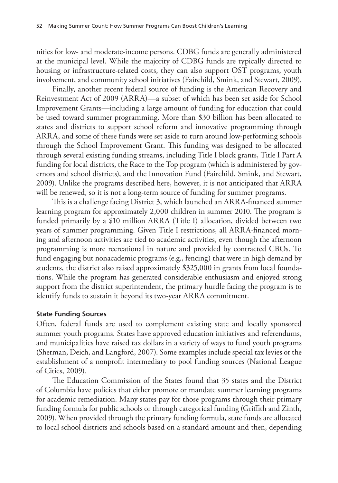nities for low- and moderate-income persons. CDBG funds are generally administered at the municipal level. While the majority of CDBG funds are typically directed to housing or infrastructure-related costs, they can also support OST programs, youth involvement, and community school initiatives (Fairchild, Smink, and Stewart, 2009).

Finally, another recent federal source of funding is the American Recovery and Reinvestment Act of 2009 (ARRA)—a subset of which has been set aside for School Improvement Grants—including a large amount of funding for education that could be used toward summer programming. More than \$30 billion has been allocated to states and districts to support school reform and innovative programming through ARRA, and some of these funds were set aside to turn around low-performing schools through the School Improvement Grant. This funding was designed to be allocated through several existing funding streams, including Title I block grants, Title I Part A funding for local districts, the Race to the Top program (which is administered by governors and school districts), and the Innovation Fund (Fairchild, Smink, and Stewart, 2009). Unlike the programs described here, however, it is not anticipated that ARRA will be renewed, so it is not a long-term source of funding for summer programs.

This is a challenge facing District 3, which launched an ARRA-financed summer learning program for approximately 2,000 children in summer 2010. The program is funded primarily by a \$10 million ARRA (Title I) allocation, divided between two years of summer programming. Given Title I restrictions, all ARRA-financed morning and afternoon activities are tied to academic activities, even though the afternoon programming is more recreational in nature and provided by contracted CBOs. To fund engaging but nonacademic programs (e.g., fencing) that were in high demand by students, the district also raised approximately \$325,000 in grants from local foundations. While the program has generated considerable enthusiasm and enjoyed strong support from the district superintendent, the primary hurdle facing the program is to identify funds to sustain it beyond its two-year ARRA commitment.

#### **State Funding Sources**

Often, federal funds are used to complement existing state and locally sponsored summer youth programs. States have approved education initiatives and referendums, and municipalities have raised tax dollars in a variety of ways to fund youth programs (Sherman, Deich, and Langford, 2007). Some examples include special tax levies or the establishment of a nonprofit intermediary to pool funding sources (National League of Cities, 2009).

The Education Commission of the States found that 35 states and the District of Columbia have policies that either promote or mandate summer learning programs for academic remediation. Many states pay for those programs through their primary funding formula for public schools or through categorical funding (Griffith and Zinth, 2009). When provided through the primary funding formula, state funds are allocated to local school districts and schools based on a standard amount and then, depending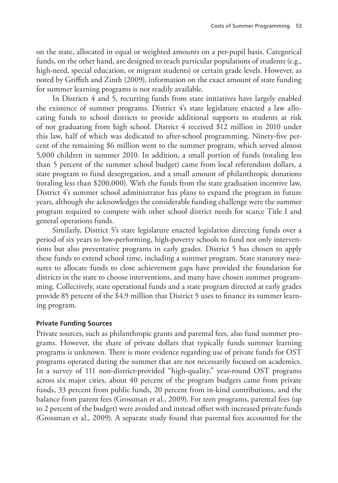on the state, allocated in equal or weighted amounts on a per-pupil basis. Categorical funds, on the other hand, are designed to reach particular populations of students (e.g., high-need, special education, or migrant students) or certain grade levels. However, as noted by Griffith and Zinth (2009), information on the exact amount of state funding for summer learning programs is not readily available.

In Districts 4 and 5, recurring funds from state initiatives have largely enabled the existence of summer programs. District 4's state legislature enacted a law allocating funds to school districts to provide additional supports to students at risk of not graduating from high school. District 4 received \$12 million in 2010 under this law, half of which was dedicated to after-school programming. Ninety-five percent of the remaining \$6 million went to the summer program, which served almost 5,000 children in summer 2010. In addition, a small portion of funds (totaling less than 5 percent of the summer school budget) came from local referendum dollars, a state program to fund desegregation, and a small amount of philanthropic donations (totaling less than \$200,000). With the funds from the state graduation incentive law, District 4's summer school administrator has plans to expand the program in future years, although she acknowledges the considerable funding challenge were the summer program required to compete with other school district needs for scarce Title I and general operations funds.

Similarly, District 5's state legislature enacted legislation directing funds over a period of six years to low-performing, high-poverty schools to fund not only interventions but also preventative programs in early grades. District 5 has chosen to apply these funds to extend school time, including a summer program. State statutory measures to allocate funds to close achievement gaps have provided the foundation for districts in the state to choose interventions, and many have chosen summer programming. Collectively, state operational funds and a state program directed at early grades provide 85 percent of the \$4.9 million that District 5 uses to finance its summer learning program.

#### **Private Funding Sources**

Private sources, such as philanthropic grants and parental fees, also fund summer programs. However, the share of private dollars that typically funds summer learning programs is unknown. There is more evidence regarding use of private funds for OST programs operated during the summer that are not necessarily focused on academics. In a survey of 111 non-district-provided "high-quality," year-round OST programs across six major cities, about 40 percent of the program budgets came from private funds, 33 percent from public funds, 20 percent from in-kind contributions, and the balance from parent fees (Grossman et al., 2009). For teen programs, parental fees (up to 2 percent of the budget) were avoided and instead offset with increased private funds (Grossman et al., 2009). A separate study found that parental fees accounted for the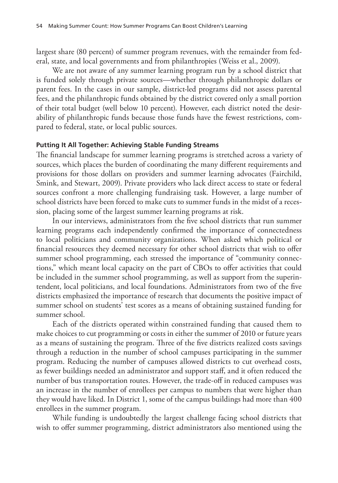largest share (80 percent) of summer program revenues, with the remainder from federal, state, and local governments and from philanthropies (Weiss et al., 2009).

We are not aware of any summer learning program run by a school district that is funded solely through private sources—whether through philanthropic dollars or parent fees. In the cases in our sample, district-led programs did not assess parental fees, and the philanthropic funds obtained by the district covered only a small portion of their total budget (well below 10 percent). However, each district noted the desirability of philanthropic funds because those funds have the fewest restrictions, compared to federal, state, or local public sources.

#### **Putting It All Together: Achieving Stable Funding Streams**

The financial landscape for summer learning programs is stretched across a variety of sources, which places the burden of coordinating the many different requirements and provisions for those dollars on providers and summer learning advocates (Fairchild, Smink, and Stewart, 2009). Private providers who lack direct access to state or federal sources confront a more challenging fundraising task. However, a large number of school districts have been forced to make cuts to summer funds in the midst of a recession, placing some of the largest summer learning programs at risk.

In our interviews, administrators from the five school districts that run summer learning programs each independently confirmed the importance of connectedness to local politicians and community organizations. When asked which political or financial resources they deemed necessary for other school districts that wish to offer summer school programming, each stressed the importance of "community connections," which meant local capacity on the part of CBOs to offer activities that could be included in the summer school programming, as well as support from the superintendent, local politicians, and local foundations. Administrators from two of the five districts emphasized the importance of research that documents the positive impact of summer school on students' test scores as a means of obtaining sustained funding for summer school.

Each of the districts operated within constrained funding that caused them to make choices to cut programming or costs in either the summer of 2010 or future years as a means of sustaining the program. Three of the five districts realized costs savings through a reduction in the number of school campuses participating in the summer program. Reducing the number of campuses allowed districts to cut overhead costs, as fewer buildings needed an administrator and support staff, and it often reduced the number of bus transportation routes. However, the trade-off in reduced campuses was an increase in the number of enrollees per campus to numbers that were higher than they would have liked. In District 1, some of the campus buildings had more than 400 enrollees in the summer program.

While funding is undoubtedly the largest challenge facing school districts that wish to offer summer programming, district administrators also mentioned using the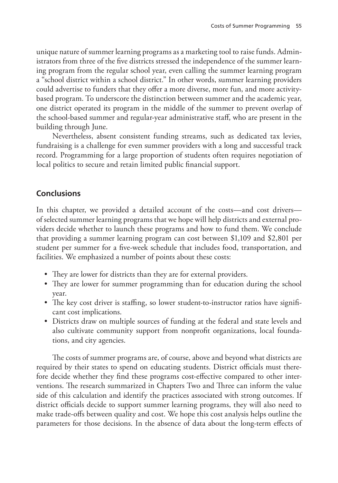unique nature of summer learning programs as a marketing tool to raise funds. Administrators from three of the five districts stressed the independence of the summer learning program from the regular school year, even calling the summer learning program a "school district within a school district." In other words, summer learning providers could advertise to funders that they offer a more diverse, more fun, and more activitybased program. To underscore the distinction between summer and the academic year, one district operated its program in the middle of the summer to prevent overlap of the school-based summer and regular-year administrative staff, who are present in the building through June.

Nevertheless, absent consistent funding streams, such as dedicated tax levies, fundraising is a challenge for even summer providers with a long and successful track record. Programming for a large proportion of students often requires negotiation of local politics to secure and retain limited public financial support.

## **Conclusions**

In this chapter, we provided a detailed account of the costs—and cost drivers of selected summer learning programs that we hope will help districts and external providers decide whether to launch these programs and how to fund them. We conclude that providing a summer learning program can cost between \$1,109 and \$2,801 per student per summer for a five-week schedule that includes food, transportation, and facilities. We emphasized a number of points about these costs:

- They are lower for districts than they are for external providers.
- They are lower for summer programming than for education during the school year.
- The key cost driver is staffing, so lower student-to-instructor ratios have significant cost implications.
- Districts draw on multiple sources of funding at the federal and state levels and also cultivate community support from nonprofit organizations, local foundations, and city agencies.

The costs of summer programs are, of course, above and beyond what districts are required by their states to spend on educating students. District officials must therefore decide whether they find these programs cost-effective compared to other interventions. The research summarized in Chapters Two and Three can inform the value side of this calculation and identify the practices associated with strong outcomes. If district officials decide to support summer learning programs, they will also need to make trade-offs between quality and cost. We hope this cost analysis helps outline the parameters for those decisions. In the absence of data about the long-term effects of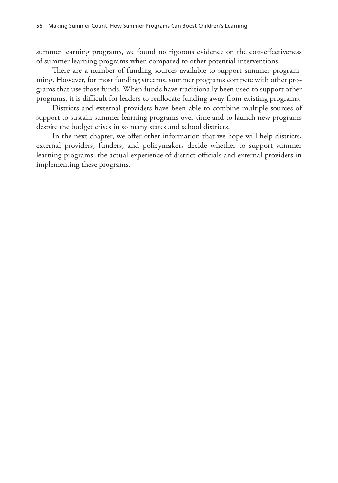summer learning programs, we found no rigorous evidence on the cost-effectiveness of summer learning programs when compared to other potential interventions.

There are a number of funding sources available to support summer programming. However, for most funding streams, summer programs compete with other programs that use those funds. When funds have traditionally been used to support other programs, it is difficult for leaders to reallocate funding away from existing programs.

Districts and external providers have been able to combine multiple sources of support to sustain summer learning programs over time and to launch new programs despite the budget crises in so many states and school districts.

In the next chapter, we offer other information that we hope will help districts, external providers, funders, and policymakers decide whether to support summer learning programs: the actual experience of district officials and external providers in implementing these programs.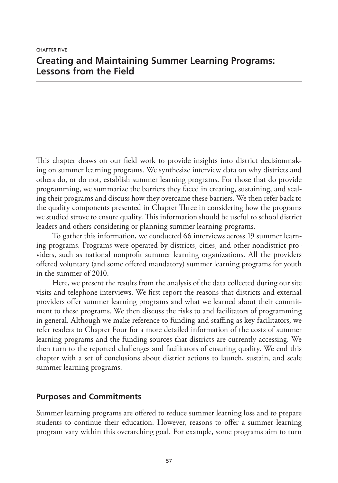#### Chapter Five

# **Creating and Maintaining Summer Learning Programs: Lessons from the Field**

This chapter draws on our field work to provide insights into district decisionmaking on summer learning programs. We synthesize interview data on why districts and others do, or do not, establish summer learning programs. For those that do provide programming, we summarize the barriers they faced in creating, sustaining, and scaling their programs and discuss how they overcame these barriers. We then refer back to the quality components presented in Chapter Three in considering how the programs we studied strove to ensure quality. This information should be useful to school district leaders and others considering or planning summer learning programs.

To gather this information, we conducted 66 interviews across 19 summer learning programs. Programs were operated by districts, cities, and other nondistrict providers, such as national nonprofit summer learning organizations. All the providers offered voluntary (and some offered mandatory) summer learning programs for youth in the summer of 2010.

Here, we present the results from the analysis of the data collected during our site visits and telephone interviews. We first report the reasons that districts and external providers offer summer learning programs and what we learned about their commitment to these programs. We then discuss the risks to and facilitators of programming in general. Although we make reference to funding and staffing as key facilitators, we refer readers to Chapter Four for a more detailed information of the costs of summer learning programs and the funding sources that districts are currently accessing. We then turn to the reported challenges and facilitators of ensuring quality. We end this chapter with a set of conclusions about district actions to launch, sustain, and scale summer learning programs.

## **Purposes and Commitments**

Summer learning programs are offered to reduce summer learning loss and to prepare students to continue their education. However, reasons to offer a summer learning program vary within this overarching goal. For example, some programs aim to turn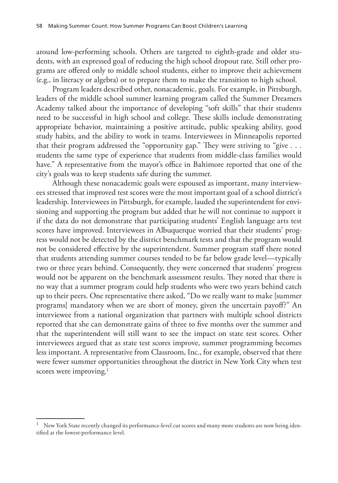around low-performing schools. Others are targeted to eighth-grade and older students, with an expressed goal of reducing the high school dropout rate. Still other programs are offered only to middle school students, either to improve their achievement (e.g., in literacy or algebra) or to prepare them to make the transition to high school.

Program leaders described other, nonacademic, goals. For example, in Pittsburgh, leaders of the middle school summer learning program called the Summer Dreamers Academy talked about the importance of developing "soft skills" that their students need to be successful in high school and college. These skills include demonstrating appropriate behavior, maintaining a positive attitude, public speaking ability, good study habits, and the ability to work in teams. Interviewees in Minneapolis reported that their program addressed the "opportunity gap." They were striving to "give . . . students the same type of experience that students from middle-class families would have." A representative from the mayor's office in Baltimore reported that one of the city's goals was to keep students safe during the summer.

Although these nonacademic goals were espoused as important, many interviewees stressed that improved test scores were the most important goal of a school district's leadership. Interviewees in Pittsburgh, for example, lauded the superintendent for envisioning and supporting the program but added that he will not continue to support it if the data do not demonstrate that participating students' English language arts test scores have improved. Interviewees in Albuquerque worried that their students' progress would not be detected by the district benchmark tests and that the program would not be considered effective by the superintendent. Summer program staff there noted that students attending summer courses tended to be far below grade level—typically two or three years behind. Consequently, they were concerned that students' progress would not be apparent on the benchmark assessment results. They noted that there is no way that a summer program could help students who were two years behind catch up to their peers. One representative there asked, "Do we really want to make [summer programs] mandatory when we are short of money, given the uncertain payoff?" An interviewee from a national organization that partners with multiple school districts reported that she can demonstrate gains of three to five months over the summer and that the superintendent will still want to see the impact on state test scores. Other interviewees argued that as state test scores improve, summer programming becomes less important. A representative from Classroom, Inc., for example, observed that there were fewer summer opportunities throughout the district in New York City when test scores were improving.<sup>1</sup>

New York State recently changed its performance-level cut scores and many more students are now being identified at the lowest-performance level.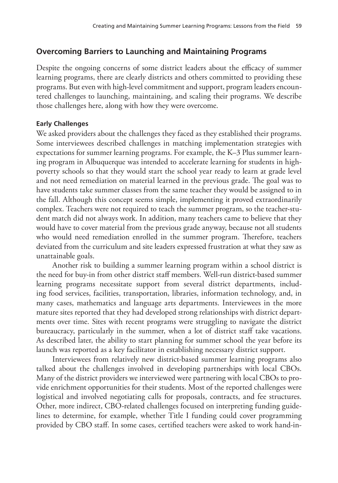## **Overcoming Barriers to Launching and Maintaining Programs**

Despite the ongoing concerns of some district leaders about the efficacy of summer learning programs, there are clearly districts and others committed to providing these programs. But even with high-level commitment and support, program leaders encountered challenges to launching, maintaining, and scaling their programs. We describe those challenges here, along with how they were overcome.

### **Early Challenges**

We asked providers about the challenges they faced as they established their programs. Some interviewees described challenges in matching implementation strategies with expectations for summer learning programs. For example, the K–3 Plus summer learning program in Albuquerque was intended to accelerate learning for students in highpoverty schools so that they would start the school year ready to learn at grade level and not need remediation on material learned in the previous grade. The goal was to have students take summer classes from the same teacher they would be assigned to in the fall. Although this concept seems simple, implementing it proved extraordinarily complex. Teachers were not required to teach the summer program, so the teacher-student match did not always work. In addition, many teachers came to believe that they would have to cover material from the previous grade anyway, because not all students who would need remediation enrolled in the summer program. Therefore, teachers deviated from the curriculum and site leaders expressed frustration at what they saw as unattainable goals.

Another risk to building a summer learning program within a school district is the need for buy-in from other district staff members. Well-run district-based summer learning programs necessitate support from several district departments, including food services, facilities, transportation, libraries, information technology, and, in many cases, mathematics and language arts departments. Interviewees in the more mature sites reported that they had developed strong relationships with district departments over time. Sites with recent programs were struggling to navigate the district bureaucracy, particularly in the summer, when a lot of district staff take vacations. As described later, the ability to start planning for summer school the year before its launch was reported as a key facilitator in establishing necessary district support.

Interviewees from relatively new district-based summer learning programs also talked about the challenges involved in developing partnerships with local CBOs. Many of the district providers we interviewed were partnering with local CBOs to provide enrichment opportunities for their students. Most of the reported challenges were logistical and involved negotiating calls for proposals, contracts, and fee structures. Other, more indirect, CBO-related challenges focused on interpreting funding guidelines to determine, for example, whether Title I funding could cover programming provided by CBO staff. In some cases, certified teachers were asked to work hand-in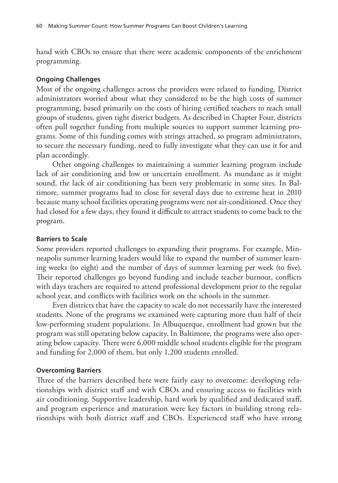hand with CBOs to ensure that there were academic components of the enrichment programming.

## **Ongoing Challenges**

Most of the ongoing challenges across the providers were related to funding. District administrators worried about what they considered to be the high costs of summer programming, based primarily on the costs of hiring certified teachers to teach small groups of students, given tight district budgets. As described in Chapter Four, districts often pull together funding from multiple sources to support summer learning programs. Some of this funding comes with strings attached, so program administrators, to secure the necessary funding, need to fully investigate what they can use it for and plan accordingly.

Other ongoing challenges to maintaining a summer learning program include lack of air conditioning and low or uncertain enrollment. As mundane as it might sound, the lack of air conditioning has been very problematic in some sites. In Baltimore, summer programs had to close for several days due to extreme heat in 2010 because many school facilities operating programs were not air-conditioned. Once they had closed for a few days, they found it difficult to attract students to come back to the program.

## **Barriers to Scale**

Some providers reported challenges to expanding their programs. For example, Minneapolis summer learning leaders would like to expand the number of summer learning weeks (to eight) and the number of days of summer learning per week (to five). Their reported challenges go beyond funding and include teacher burnout, conflicts with days teachers are required to attend professional development prior to the regular school year, and conflicts with facilities work on the schools in the summer.

Even districts that have the capacity to scale do not necessarily have the interested students. None of the programs we examined were capturing more than half of their low-performing student populations. In Albuquerque, enrollment had grown but the program was still operating below capacity. In Baltimore, the programs were also operating below capacity. There were 6,000 middle school students eligible for the program and funding for 2,000 of them, but only 1,200 students enrolled.

#### **Overcoming Barriers**

Three of the barriers described here were fairly easy to overcome: developing relationships with district staff and with CBOs and ensuring access to facilities with air conditioning. Supportive leadership, hard work by qualified and dedicated staff, and program experience and maturation were key factors in building strong relationships with both district staff and CBOs. Experienced staff who have strong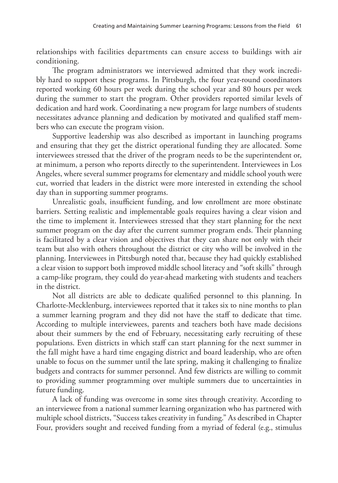relationships with facilities departments can ensure access to buildings with air conditioning.

The program administrators we interviewed admitted that they work incredibly hard to support these programs. In Pittsburgh, the four year-round coordinators reported working 60 hours per week during the school year and 80 hours per week during the summer to start the program. Other providers reported similar levels of dedication and hard work. Coordinating a new program for large numbers of students necessitates advance planning and dedication by motivated and qualified staff members who can execute the program vision.

Supportive leadership was also described as important in launching programs and ensuring that they get the district operational funding they are allocated. Some interviewees stressed that the driver of the program needs to be the superintendent or, at minimum, a person who reports directly to the superintendent. Interviewees in Los Angeles, where several summer programs for elementary and middle school youth were cut, worried that leaders in the district were more interested in extending the school day than in supporting summer programs.

Unrealistic goals, insufficient funding, and low enrollment are more obstinate barriers. Setting realistic and implementable goals requires having a clear vision and the time to implement it. Interviewees stressed that they start planning for the next summer program on the day after the current summer program ends. Their planning is facilitated by a clear vision and objectives that they can share not only with their team but also with others throughout the district or city who will be involved in the planning. Interviewees in Pittsburgh noted that, because they had quickly established a clear vision to support both improved middle school literacy and "soft skills" through a camp-like program, they could do year-ahead marketing with students and teachers in the district.

Not all districts are able to dedicate qualified personnel to this planning. In Charlotte-Mecklenburg, interviewees reported that it takes six to nine months to plan a summer learning program and they did not have the staff to dedicate that time. According to multiple interviewees, parents and teachers both have made decisions about their summers by the end of February, necessitating early recruiting of these populations. Even districts in which staff can start planning for the next summer in the fall might have a hard time engaging district and board leadership, who are often unable to focus on the summer until the late spring, making it challenging to finalize budgets and contracts for summer personnel. And few districts are willing to commit to providing summer programming over multiple summers due to uncertainties in future funding.

A lack of funding was overcome in some sites through creativity. According to an interviewee from a national summer learning organization who has partnered with multiple school districts, "Success takes creativity in funding." As described in Chapter Four, providers sought and received funding from a myriad of federal (e.g., stimulus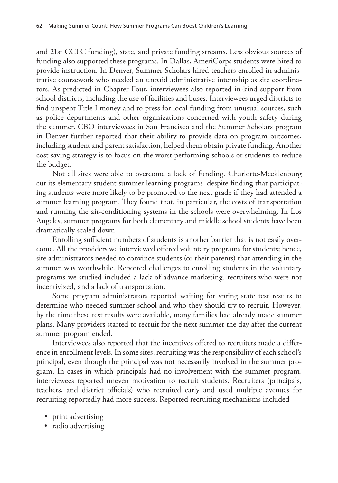and 21st CCLC funding), state, and private funding streams. Less obvious sources of funding also supported these programs. In Dallas, AmeriCorps students were hired to provide instruction. In Denver, Summer Scholars hired teachers enrolled in administrative coursework who needed an unpaid administrative internship as site coordinators. As predicted in Chapter Four, interviewees also reported in-kind support from school districts, including the use of facilities and buses. Interviewees urged districts to find unspent Title I money and to press for local funding from unusual sources, such as police departments and other organizations concerned with youth safety during the summer. CBO interviewees in San Francisco and the Summer Scholars program in Denver further reported that their ability to provide data on program outcomes, including student and parent satisfaction, helped them obtain private funding. Another cost-saving strategy is to focus on the worst-performing schools or students to reduce the budget.

Not all sites were able to overcome a lack of funding. Charlotte-Mecklenburg cut its elementary student summer learning programs, despite finding that participating students were more likely to be promoted to the next grade if they had attended a summer learning program. They found that, in particular, the costs of transportation and running the air-conditioning systems in the schools were overwhelming. In Los Angeles, summer programs for both elementary and middle school students have been dramatically scaled down.

Enrolling sufficient numbers of students is another barrier that is not easily overcome. All the providers we interviewed offered voluntary programs for students; hence, site administrators needed to convince students (or their parents) that attending in the summer was worthwhile. Reported challenges to enrolling students in the voluntary programs we studied included a lack of advance marketing, recruiters who were not incentivized, and a lack of transportation.

Some program administrators reported waiting for spring state test results to determine who needed summer school and who they should try to recruit. However, by the time these test results were available, many families had already made summer plans. Many providers started to recruit for the next summer the day after the current summer program ended.

Interviewees also reported that the incentives offered to recruiters made a difference in enrollment levels. In some sites, recruiting was the responsibility of each school's principal, even though the principal was not necessarily involved in the summer program. In cases in which principals had no involvement with the summer program, interviewees reported uneven motivation to recruit students. Recruiters (principals, teachers, and district officials) who recruited early and used multiple avenues for recruiting reportedly had more success. Reported recruiting mechanisms included

- print advertising
- radio advertising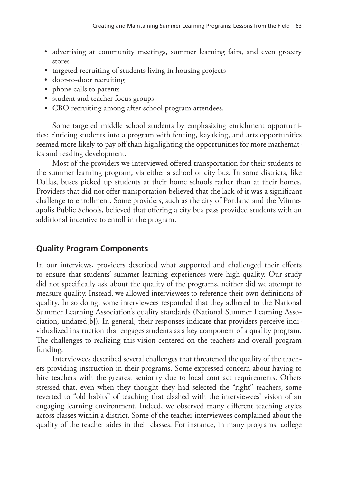- advertising at community meetings, summer learning fairs, and even grocery stores
- targeted recruiting of students living in housing projects
- door-to-door recruiting
- phone calls to parents
- student and teacher focus groups
- CBO recruiting among after-school program attendees.

Some targeted middle school students by emphasizing enrichment opportunities: Enticing students into a program with fencing, kayaking, and arts opportunities seemed more likely to pay off than highlighting the opportunities for more mathematics and reading development.

Most of the providers we interviewed offered transportation for their students to the summer learning program, via either a school or city bus. In some districts, like Dallas, buses picked up students at their home schools rather than at their homes. Providers that did not offer transportation believed that the lack of it was a significant challenge to enrollment. Some providers, such as the city of Portland and the Minneapolis Public Schools, believed that offering a city bus pass provided students with an additional incentive to enroll in the program.

## **Quality Program Components**

In our interviews, providers described what supported and challenged their efforts to ensure that students' summer learning experiences were high-quality. Our study did not specifically ask about the quality of the programs, neither did we attempt to measure quality. Instead, we allowed interviewees to reference their own definitions of quality. In so doing, some interviewees responded that they adhered to the National Summer Learning Association's quality standards (National Summer Learning Association, undated[b]). In general, their responses indicate that providers perceive individualized instruction that engages students as a key component of a quality program. The challenges to realizing this vision centered on the teachers and overall program funding.

Interviewees described several challenges that threatened the quality of the teachers providing instruction in their programs. Some expressed concern about having to hire teachers with the greatest seniority due to local contract requirements. Others stressed that, even when they thought they had selected the "right" teachers, some reverted to "old habits" of teaching that clashed with the interviewees' vision of an engaging learning environment. Indeed, we observed many different teaching styles across classes within a district. Some of the teacher interviewees complained about the quality of the teacher aides in their classes. For instance, in many programs, college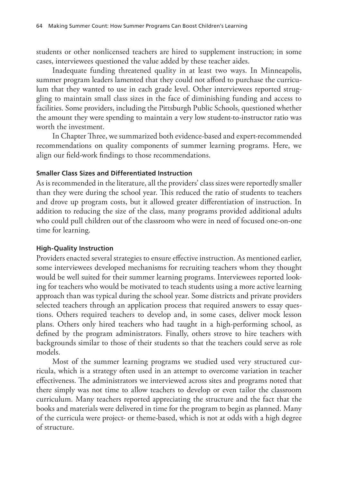students or other nonlicensed teachers are hired to supplement instruction; in some cases, interviewees questioned the value added by these teacher aides.

Inadequate funding threatened quality in at least two ways. In Minneapolis, summer program leaders lamented that they could not afford to purchase the curriculum that they wanted to use in each grade level. Other interviewees reported struggling to maintain small class sizes in the face of diminishing funding and access to facilities. Some providers, including the Pittsburgh Public Schools, questioned whether the amount they were spending to maintain a very low student-to-instructor ratio was worth the investment.

In Chapter Three, we summarized both evidence-based and expert-recommended recommendations on quality components of summer learning programs. Here, we align our field-work findings to those recommendations.

#### **Smaller Class Sizes and Differentiated Instruction**

As is recommended in the literature, all the providers' class sizes were reportedly smaller than they were during the school year. This reduced the ratio of students to teachers and drove up program costs, but it allowed greater differentiation of instruction. In addition to reducing the size of the class, many programs provided additional adults who could pull children out of the classroom who were in need of focused one-on-one time for learning.

#### **High-Quality Instruction**

Providers enacted several strategies to ensure effective instruction. As mentioned earlier, some interviewees developed mechanisms for recruiting teachers whom they thought would be well suited for their summer learning programs. Interviewees reported looking for teachers who would be motivated to teach students using a more active learning approach than was typical during the school year. Some districts and private providers selected teachers through an application process that required answers to essay questions. Others required teachers to develop and, in some cases, deliver mock lesson plans. Others only hired teachers who had taught in a high-performing school, as defined by the program administrators. Finally, others strove to hire teachers with backgrounds similar to those of their students so that the teachers could serve as role models.

Most of the summer learning programs we studied used very structured curricula, which is a strategy often used in an attempt to overcome variation in teacher effectiveness. The administrators we interviewed across sites and programs noted that there simply was not time to allow teachers to develop or even tailor the classroom curriculum. Many teachers reported appreciating the structure and the fact that the books and materials were delivered in time for the program to begin as planned. Many of the curricula were project- or theme-based, which is not at odds with a high degree of structure.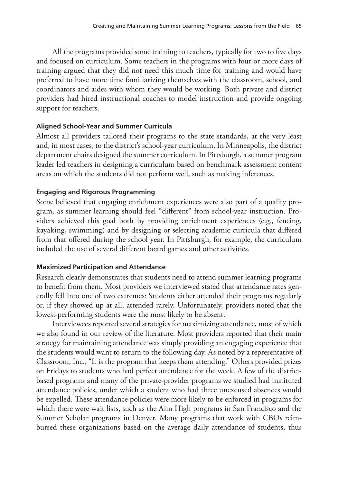All the programs provided some training to teachers, typically for two to five days and focused on curriculum. Some teachers in the programs with four or more days of training argued that they did not need this much time for training and would have preferred to have more time familiarizing themselves with the classroom, school, and coordinators and aides with whom they would be working. Both private and district providers had hired instructional coaches to model instruction and provide ongoing support for teachers.

## **Aligned School-Year and Summer Curricula**

Almost all providers tailored their programs to the state standards, at the very least and, in most cases, to the district's school-year curriculum. In Minneapolis, the district department chairs designed the summer curriculum. In Pittsburgh, a summer program leader led teachers in designing a curriculum based on benchmark assessment content areas on which the students did not perform well, such as making inferences.

## **Engaging and Rigorous Programming**

Some believed that engaging enrichment experiences were also part of a quality program, as summer learning should feel "different" from school-year instruction. Providers achieved this goal both by providing enrichment experiences (e.g., fencing, kayaking, swimming) and by designing or selecting academic curricula that differed from that offered during the school year. In Pittsburgh, for example, the curriculum included the use of several different board games and other activities.

## **Maximized Participation and Attendance**

Research clearly demonstrates that students need to attend summer learning programs to benefit from them. Most providers we interviewed stated that attendance rates generally fell into one of two extremes: Students either attended their programs regularly or, if they showed up at all, attended rarely. Unfortunately, providers noted that the lowest-performing students were the most likely to be absent.

Interviewees reported several strategies for maximizing attendance, most of which we also found in our review of the literature. Most providers reported that their main strategy for maintaining attendance was simply providing an engaging experience that the students would want to return to the following day. As noted by a representative of Classroom, Inc., "It is the program that keeps them attending." Others provided prizes on Fridays to students who had perfect attendance for the week. A few of the districtbased programs and many of the private-provider programs we studied had instituted attendance policies, under which a student who had three unexcused absences would be expelled. These attendance policies were more likely to be enforced in programs for which there were wait lists, such as the Aim High programs in San Francisco and the Summer Scholar programs in Denver. Many programs that work with CBOs reimbursed these organizations based on the average daily attendance of students, thus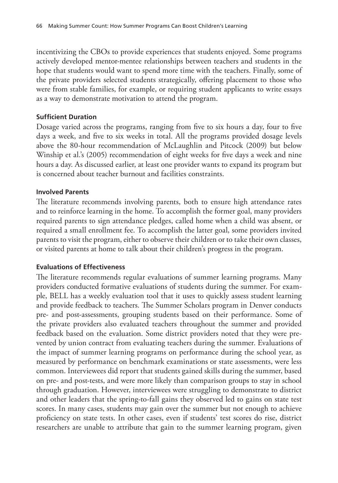incentivizing the CBOs to provide experiences that students enjoyed. Some programs actively developed mentor-mentee relationships between teachers and students in the hope that students would want to spend more time with the teachers. Finally, some of the private providers selected students strategically, offering placement to those who were from stable families, for example, or requiring student applicants to write essays as a way to demonstrate motivation to attend the program.

### **Sufficient Duration**

Dosage varied across the programs, ranging from five to six hours a day, four to five days a week, and five to six weeks in total. All the programs provided dosage levels above the 80-hour recommendation of McLaughlin and Pitcock (2009) but below Winship et al.'s (2005) recommendation of eight weeks for five days a week and nine hours a day. As discussed earlier, at least one provider wants to expand its program but is concerned about teacher burnout and facilities constraints.

#### **Involved Parents**

The literature recommends involving parents, both to ensure high attendance rates and to reinforce learning in the home. To accomplish the former goal, many providers required parents to sign attendance pledges, called home when a child was absent, or required a small enrollment fee. To accomplish the latter goal, some providers invited parents to visit the program, either to observe their children or to take their own classes, or visited parents at home to talk about their children's progress in the program.

#### **Evaluations of Effectiveness**

The literature recommends regular evaluations of summer learning programs. Many providers conducted formative evaluations of students during the summer. For example, BELL has a weekly evaluation tool that it uses to quickly assess student learning and provide feedback to teachers. The Summer Scholars program in Denver conducts pre- and post-assessments, grouping students based on their performance. Some of the private providers also evaluated teachers throughout the summer and provided feedback based on the evaluation. Some district providers noted that they were prevented by union contract from evaluating teachers during the summer. Evaluations of the impact of summer learning programs on performance during the school year, as measured by performance on benchmark examinations or state assessments, were less common. Interviewees did report that students gained skills during the summer, based on pre- and post-tests, and were more likely than comparison groups to stay in school through graduation. However, interviewees were struggling to demonstrate to district and other leaders that the spring-to-fall gains they observed led to gains on state test scores. In many cases, students may gain over the summer but not enough to achieve proficiency on state tests. In other cases, even if students' test scores do rise, district researchers are unable to attribute that gain to the summer learning program, given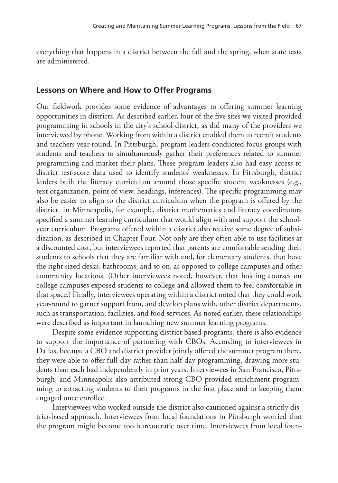everything that happens in a district between the fall and the spring, when state tests are administered.

## **Lessons on Where and How to Offer Programs**

Our fieldwork provides some evidence of advantages to offering summer learning opportunities in districts. As described earlier, four of the five sites we visited provided programming in schools in the city's school district, as did many of the providers we interviewed by phone. Working from within a district enabled them to recruit students and teachers year-round. In Pittsburgh, program leaders conducted focus groups with students and teachers to simultaneously gather their preferences related to summer programming and market their plans. These program leaders also had easy access to district test-score data used to identify students' weaknesses. In Pittsburgh, district leaders built the literacy curriculum around those specific student weaknesses (e.g., text organization, point of view, headings, inferences). The specific programming may also be easier to align to the district curriculum when the program is offered by the district. In Minneapolis, for example, district mathematics and literacy coordinators specified a summer learning curriculum that would align with and support the schoolyear curriculum. Programs offered within a district also receive some degree of subsidization, as described in Chapter Four. Not only are they often able to use facilities at a discounted cost, but interviewees reported that parents are comfortable sending their students to schools that they are familiar with and, for elementary students, that have the right-sized desks, bathrooms, and so on, as opposed to college campuses and other community locations. (Other interviewees noted, however, that holding courses on college campuses exposed students to college and allowed them to feel comfortable in that space.) Finally, interviewees operating within a district noted that they could work year-round to garner support from, and develop plans with, other district departments, such as transportation, facilities, and food services. As noted earlier, these relationships were described as important in launching new summer learning programs.

Despite some evidence supporting district-based programs, there is also evidence to support the importance of partnering with CBOs. According to interviewees in Dallas, because a CBO and district provider jointly offered the summer program there, they were able to offer full-day rather than half-day programming, drawing more students than each had independently in prior years. Interviewees in San Francisco, Pittsburgh, and Minneapolis also attributed strong CBO-provided enrichment programming to attracting students to their programs in the first place and to keeping them engaged once enrolled.

Interviewees who worked outside the district also cautioned against a strictly district-based approach. Interviewees from local foundations in Pittsburgh worried that the program might become too bureaucratic over time. Interviewees from local foun-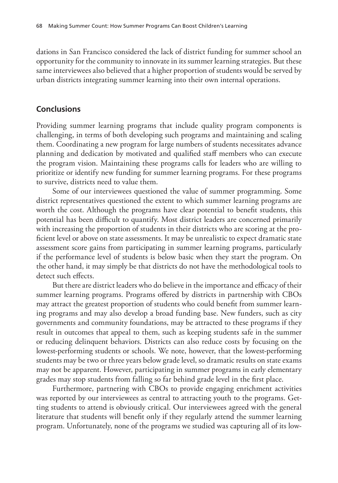dations in San Francisco considered the lack of district funding for summer school an opportunity for the community to innovate in its summer learning strategies. But these same interviewees also believed that a higher proportion of students would be served by urban districts integrating summer learning into their own internal operations.

## **Conclusions**

Providing summer learning programs that include quality program components is challenging, in terms of both developing such programs and maintaining and scaling them. Coordinating a new program for large numbers of students necessitates advance planning and dedication by motivated and qualified staff members who can execute the program vision. Maintaining these programs calls for leaders who are willing to prioritize or identify new funding for summer learning programs. For these programs to survive, districts need to value them.

Some of our interviewees questioned the value of summer programming. Some district representatives questioned the extent to which summer learning programs are worth the cost. Although the programs have clear potential to benefit students, this potential has been difficult to quantify. Most district leaders are concerned primarily with increasing the proportion of students in their districts who are scoring at the proficient level or above on state assessments. It may be unrealistic to expect dramatic state assessment score gains from participating in summer learning programs, particularly if the performance level of students is below basic when they start the program. On the other hand, it may simply be that districts do not have the methodological tools to detect such effects.

But there are district leaders who do believe in the importance and efficacy of their summer learning programs. Programs offered by districts in partnership with CBOs may attract the greatest proportion of students who could benefit from summer learning programs and may also develop a broad funding base. New funders, such as city governments and community foundations, may be attracted to these programs if they result in outcomes that appeal to them, such as keeping students safe in the summer or reducing delinquent behaviors. Districts can also reduce costs by focusing on the lowest-performing students or schools. We note, however, that the lowest-performing students may be two or three years below grade level, so dramatic results on state exams may not be apparent. However, participating in summer programs in early elementary grades may stop students from falling so far behind grade level in the first place.

Furthermore, partnering with CBOs to provide engaging enrichment activities was reported by our interviewees as central to attracting youth to the programs. Getting students to attend is obviously critical. Our interviewees agreed with the general literature that students will benefit only if they regularly attend the summer learning program. Unfortunately, none of the programs we studied was capturing all of its low-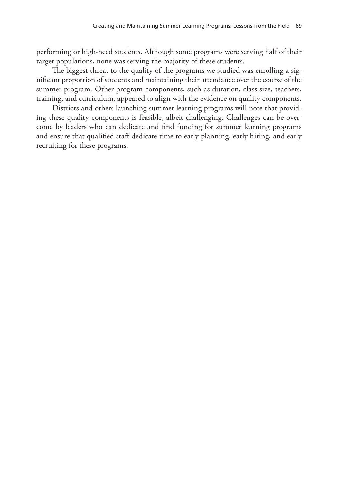performing or high-need students. Although some programs were serving half of their target populations, none was serving the majority of these students.

The biggest threat to the quality of the programs we studied was enrolling a significant proportion of students and maintaining their attendance over the course of the summer program. Other program components, such as duration, class size, teachers, training, and curriculum, appeared to align with the evidence on quality components.

Districts and others launching summer learning programs will note that providing these quality components is feasible, albeit challenging. Challenges can be overcome by leaders who can dedicate and find funding for summer learning programs and ensure that qualified staff dedicate time to early planning, early hiring, and early recruiting for these programs.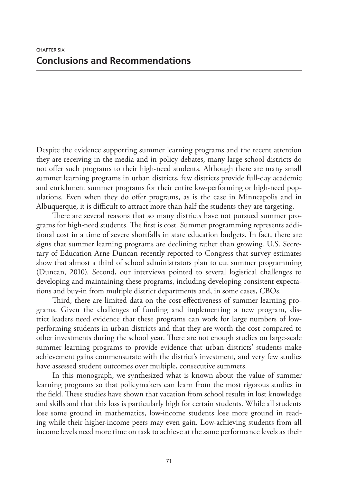Despite the evidence supporting summer learning programs and the recent attention they are receiving in the media and in policy debates, many large school districts do not offer such programs to their high-need students. Although there are many small summer learning programs in urban districts, few districts provide full-day academic and enrichment summer programs for their entire low-performing or high-need populations. Even when they do offer programs, as is the case in Minneapolis and in Albuquerque, it is difficult to attract more than half the students they are targeting.

There are several reasons that so many districts have not pursued summer programs for high-need students. The first is cost. Summer programming represents additional cost in a time of severe shortfalls in state education budgets. In fact, there are signs that summer learning programs are declining rather than growing. U.S. Secretary of Education Arne Duncan recently reported to Congress that survey estimates show that almost a third of school administrators plan to cut summer programming (Duncan, 2010). Second, our interviews pointed to several logistical challenges to developing and maintaining these programs, including developing consistent expectations and buy-in from multiple district departments and, in some cases, CBOs.

Third, there are limited data on the cost-effectiveness of summer learning programs. Given the challenges of funding and implementing a new program, district leaders need evidence that these programs can work for large numbers of lowperforming students in urban districts and that they are worth the cost compared to other investments during the school year. There are not enough studies on large-scale summer learning programs to provide evidence that urban districts' students make achievement gains commensurate with the district's investment, and very few studies have assessed student outcomes over multiple, consecutive summers.

In this monograph, we synthesized what is known about the value of summer learning programs so that policymakers can learn from the most rigorous studies in the field. These studies have shown that vacation from school results in lost knowledge and skills and that this loss is particularly high for certain students. While all students lose some ground in mathematics, low-income students lose more ground in reading while their higher-income peers may even gain. Low-achieving students from all income levels need more time on task to achieve at the same performance levels as their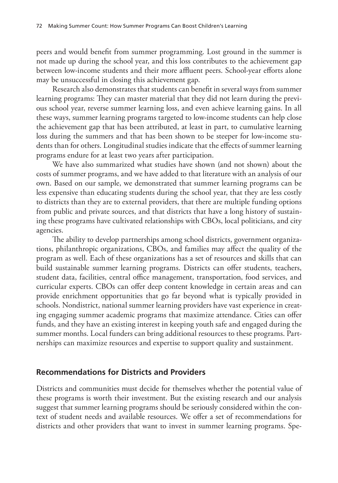peers and would benefit from summer programming. Lost ground in the summer is not made up during the school year, and this loss contributes to the achievement gap between low-income students and their more affluent peers. School-year efforts alone may be unsuccessful in closing this achievement gap.

Research also demonstrates that students can benefit in several ways from summer learning programs: They can master material that they did not learn during the previous school year, reverse summer learning loss, and even achieve learning gains. In all these ways, summer learning programs targeted to low-income students can help close the achievement gap that has been attributed, at least in part, to cumulative learning loss during the summers and that has been shown to be steeper for low-income students than for others. Longitudinal studies indicate that the effects of summer learning programs endure for at least two years after participation.

We have also summarized what studies have shown (and not shown) about the costs of summer programs, and we have added to that literature with an analysis of our own. Based on our sample, we demonstrated that summer learning programs can be less expensive than educating students during the school year, that they are less costly to districts than they are to external providers, that there are multiple funding options from public and private sources, and that districts that have a long history of sustaining these programs have cultivated relationships with CBOs, local politicians, and city agencies.

The ability to develop partnerships among school districts, government organizations, philanthropic organizations, CBOs, and families may affect the quality of the program as well. Each of these organizations has a set of resources and skills that can build sustainable summer learning programs. Districts can offer students, teachers, student data, facilities, central office management, transportation, food services, and curricular experts. CBOs can offer deep content knowledge in certain areas and can provide enrichment opportunities that go far beyond what is typically provided in schools. Nondistrict, national summer learning providers have vast experience in creating engaging summer academic programs that maximize attendance. Cities can offer funds, and they have an existing interest in keeping youth safe and engaged during the summer months. Local funders can bring additional resources to these programs. Partnerships can maximize resources and expertise to support quality and sustainment.

## **Recommendations for Districts and Providers**

Districts and communities must decide for themselves whether the potential value of these programs is worth their investment. But the existing research and our analysis suggest that summer learning programs should be seriously considered within the context of student needs and available resources. We offer a set of recommendations for districts and other providers that want to invest in summer learning programs. Spe-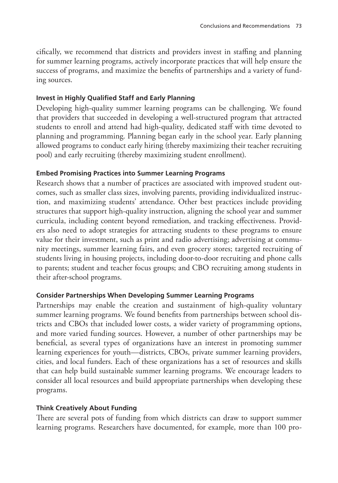cifically, we recommend that districts and providers invest in staffing and planning for summer learning programs, actively incorporate practices that will help ensure the success of programs, and maximize the benefits of partnerships and a variety of funding sources.

## **Invest in Highly Qualified Staff and Early Planning**

Developing high-quality summer learning programs can be challenging. We found that providers that succeeded in developing a well-structured program that attracted students to enroll and attend had high-quality, dedicated staff with time devoted to planning and programming. Planning began early in the school year. Early planning allowed programs to conduct early hiring (thereby maximizing their teacher recruiting pool) and early recruiting (thereby maximizing student enrollment).

## **Embed Promising Practices into Summer Learning Programs**

Research shows that a number of practices are associated with improved student outcomes, such as smaller class sizes, involving parents, providing individualized instruction, and maximizing students' attendance. Other best practices include providing structures that support high-quality instruction, aligning the school year and summer curricula, including content beyond remediation, and tracking effectiveness. Providers also need to adopt strategies for attracting students to these programs to ensure value for their investment, such as print and radio advertising; advertising at community meetings, summer learning fairs, and even grocery stores; targeted recruiting of students living in housing projects, including door-to-door recruiting and phone calls to parents; student and teacher focus groups; and CBO recruiting among students in their after-school programs.

## **Consider Partnerships When Developing Summer Learning Programs**

Partnerships may enable the creation and sustainment of high-quality voluntary summer learning programs. We found benefits from partnerships between school districts and CBOs that included lower costs, a wider variety of programming options, and more varied funding sources. However, a number of other partnerships may be beneficial, as several types of organizations have an interest in promoting summer learning experiences for youth—districts, CBOs, private summer learning providers, cities, and local funders. Each of these organizations has a set of resources and skills that can help build sustainable summer learning programs. We encourage leaders to consider all local resources and build appropriate partnerships when developing these programs.

## **Think Creatively About Funding**

There are several pots of funding from which districts can draw to support summer learning programs. Researchers have documented, for example, more than 100 pro-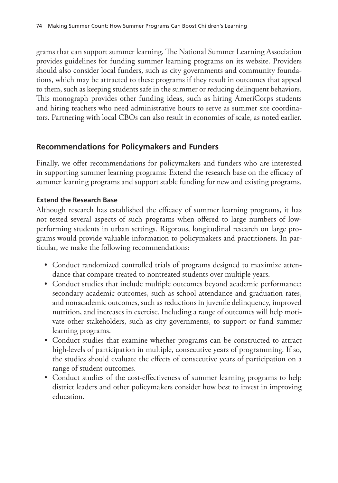grams that can support summer learning. The National Summer Learning Association provides guidelines for funding summer learning programs on its website. Providers should also consider local funders, such as city governments and community foundations, which may be attracted to these programs if they result in outcomes that appeal to them, such as keeping students safe in the summer or reducing delinquent behaviors. This monograph provides other funding ideas, such as hiring AmeriCorps students and hiring teachers who need administrative hours to serve as summer site coordinators. Partnering with local CBOs can also result in economies of scale, as noted earlier.

## **Recommendations for Policymakers and Funders**

Finally, we offer recommendations for policymakers and funders who are interested in supporting summer learning programs: Extend the research base on the efficacy of summer learning programs and support stable funding for new and existing programs.

#### **Extend the Research Base**

Although research has established the efficacy of summer learning programs, it has not tested several aspects of such programs when offered to large numbers of lowperforming students in urban settings. Rigorous, longitudinal research on large programs would provide valuable information to policymakers and practitioners. In particular, we make the following recommendations:

- Conduct randomized controlled trials of programs designed to maximize attendance that compare treated to nontreated students over multiple years.
- Conduct studies that include multiple outcomes beyond academic performance: secondary academic outcomes, such as school attendance and graduation rates, and nonacademic outcomes, such as reductions in juvenile delinquency, improved nutrition, and increases in exercise. Including a range of outcomes will help motivate other stakeholders, such as city governments, to support or fund summer learning programs.
- Conduct studies that examine whether programs can be constructed to attract high-levels of participation in multiple, consecutive years of programming. If so, the studies should evaluate the effects of consecutive years of participation on a range of student outcomes.
- Conduct studies of the cost-effectiveness of summer learning programs to help district leaders and other policymakers consider how best to invest in improving education.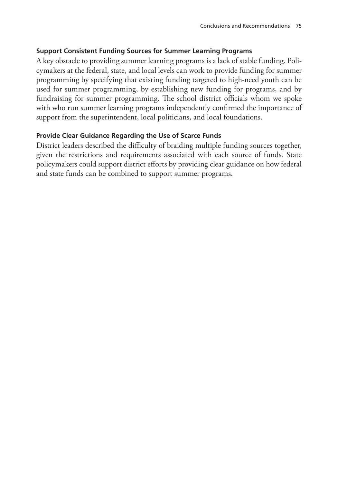## **Support Consistent Funding Sources for Summer Learning Programs**

A key obstacle to providing summer learning programs is a lack of stable funding. Policymakers at the federal, state, and local levels can work to provide funding for summer programming by specifying that existing funding targeted to high-need youth can be used for summer programming, by establishing new funding for programs, and by fundraising for summer programming. The school district officials whom we spoke with who run summer learning programs independently confirmed the importance of support from the superintendent, local politicians, and local foundations.

## **Provide Clear Guidance Regarding the Use of Scarce Funds**

District leaders described the difficulty of braiding multiple funding sources together, given the restrictions and requirements associated with each source of funds. State policymakers could support district efforts by providing clear guidance on how federal and state funds can be combined to support summer programs.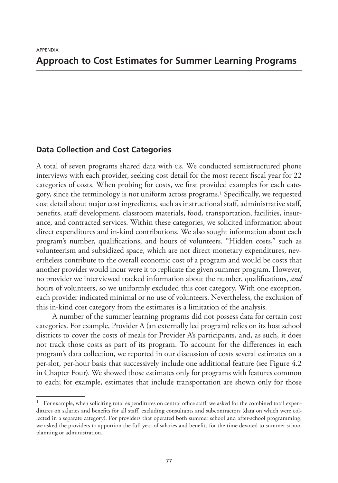## **Approach to Cost Estimates for Summer Learning Programs**

#### **Data Collection and Cost Categories**

A total of seven programs shared data with us. We conducted semistructured phone interviews with each provider, seeking cost detail for the most recent fiscal year for 22 categories of costs. When probing for costs, we first provided examples for each category, since the terminology is not uniform across programs.1 Specifically, we requested cost detail about major cost ingredients, such as instructional staff, administrative staff, benefits, staff development, classroom materials, food, transportation, facilities, insurance, and contracted services. Within these categories, we solicited information about direct expenditures and in-kind contributions. We also sought information about each program's number, qualifications, and hours of volunteers. "Hidden costs," such as volunteerism and subsidized space, which are not direct monetary expenditures, nevertheless contribute to the overall economic cost of a program and would be costs that another provider would incur were it to replicate the given summer program. However, no provider we interviewed tracked information about the number, qualifications, *and* hours of volunteers, so we uniformly excluded this cost category. With one exception, each provider indicated minimal or no use of volunteers. Nevertheless, the exclusion of this in-kind cost category from the estimates is a limitation of the analysis.

A number of the summer learning programs did not possess data for certain cost categories. For example, Provider A (an externally led program) relies on its host school districts to cover the costs of meals for Provider A's participants, and, as such, it does not track those costs as part of its program. To account for the differences in each program's data collection, we reported in our discussion of costs several estimates on a per-slot, per-hour basis that successively include one additional feature (see Figure 4.2 in Chapter Four). We showed those estimates only for programs with features common to each; for example, estimates that include transportation are shown only for those

<sup>1</sup> For example, when soliciting total expenditures on central office staff, we asked for the combined total expenditures on salaries and benefits for all staff, excluding consultants and subcontractors (data on which were collected in a separate category). For providers that operated both summer school and after-school programming, we asked the providers to apportion the full year of salaries and benefits for the time devoted to summer school planning or administration.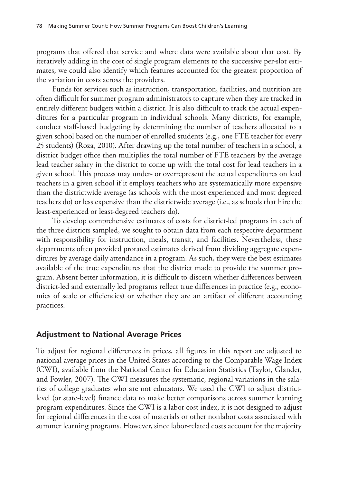programs that offered that service and where data were available about that cost. By iteratively adding in the cost of single program elements to the successive per-slot estimates, we could also identify which features accounted for the greatest proportion of the variation in costs across the providers.

Funds for services such as instruction, transportation, facilities, and nutrition are often difficult for summer program administrators to capture when they are tracked in entirely different budgets within a district. It is also difficult to track the actual expenditures for a particular program in individual schools. Many districts, for example, conduct staff-based budgeting by determining the number of teachers allocated to a given school based on the number of enrolled students (e.g., one FTE teacher for every 25 students) (Roza, 2010). After drawing up the total number of teachers in a school, a district budget office then multiplies the total number of FTE teachers by the average lead teacher salary in the district to come up with the total cost for lead teachers in a given school. This process may under- or overrepresent the actual expenditures on lead teachers in a given school if it employs teachers who are systematically more expensive than the districtwide average (as schools with the most experienced and most degreed teachers do) or less expensive than the districtwide average (i.e., as schools that hire the least-experienced or least-degreed teachers do).

To develop comprehensive estimates of costs for district-led programs in each of the three districts sampled, we sought to obtain data from each respective department with responsibility for instruction, meals, transit, and facilities. Nevertheless, these departments often provided prorated estimates derived from dividing aggregate expenditures by average daily attendance in a program. As such, they were the best estimates available of the true expenditures that the district made to provide the summer program. Absent better information, it is difficult to discern whether differences between district-led and externally led programs reflect true differences in practice (e.g., economies of scale or efficiencies) or whether they are an artifact of different accounting practices.

## **Adjustment to National Average Prices**

To adjust for regional differences in prices, all figures in this report are adjusted to national average prices in the United States according to the Comparable Wage Index (CWI), available from the National Center for Education Statistics (Taylor, Glander, and Fowler, 2007). The CWI measures the systematic, regional variations in the salaries of college graduates who are not educators. We used the CWI to adjust districtlevel (or state-level) finance data to make better comparisons across summer learning program expenditures. Since the CWI is a labor cost index, it is not designed to adjust for regional differences in the cost of materials or other nonlabor costs associated with summer learning programs. However, since labor-related costs account for the majority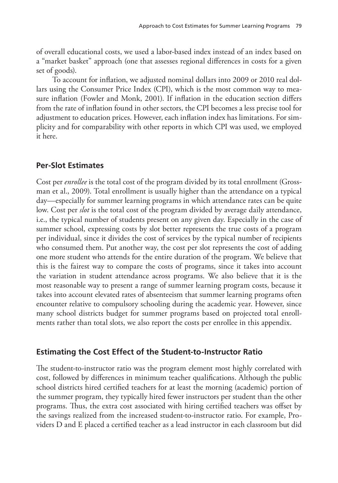of overall educational costs, we used a labor-based index instead of an index based on a "market basket" approach (one that assesses regional differences in costs for a given set of goods).

To account for inflation, we adjusted nominal dollars into 2009 or 2010 real dollars using the Consumer Price Index (CPI), which is the most common way to measure inflation (Fowler and Monk, 2001). If inflation in the education section differs from the rate of inflation found in other sectors, the CPI becomes a less precise tool for adjustment to education prices. However, each inflation index has limitations. For simplicity and for comparability with other reports in which CPI was used, we employed it here.

## **Per-Slot Estimates**

Cost per *enrollee* is the total cost of the program divided by its total enrollment (Grossman et al., 2009). Total enrollment is usually higher than the attendance on a typical day—especially for summer learning programs in which attendance rates can be quite low. Cost per *slot* is the total cost of the program divided by average daily attendance, i.e., the typical number of students present on any given day. Especially in the case of summer school, expressing costs by slot better represents the true costs of a program per individual, since it divides the cost of services by the typical number of recipients who consumed them. Put another way, the cost per slot represents the cost of adding one more student who attends for the entire duration of the program. We believe that this is the fairest way to compare the costs of programs, since it takes into account the variation in student attendance across programs. We also believe that it is the most reasonable way to present a range of summer learning program costs, because it takes into account elevated rates of absenteeism that summer learning programs often encounter relative to compulsory schooling during the academic year. However, since many school districts budget for summer programs based on projected total enrollments rather than total slots, we also report the costs per enrollee in this appendix.

## **Estimating the Cost Effect of the Student-to-Instructor Ratio**

The student-to-instructor ratio was the program element most highly correlated with cost, followed by differences in minimum teacher qualifications. Although the public school districts hired certified teachers for at least the morning (academic) portion of the summer program, they typically hired fewer instructors per student than the other programs. Thus, the extra cost associated with hiring certified teachers was offset by the savings realized from the increased student-to-instructor ratio. For example, Providers D and E placed a certified teacher as a lead instructor in each classroom but did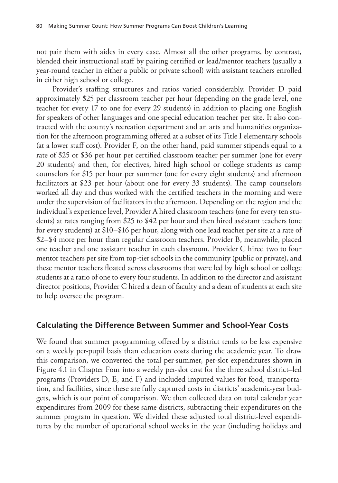not pair them with aides in every case. Almost all the other programs, by contrast, blended their instructional staff by pairing certified or lead/mentor teachers (usually a year-round teacher in either a public or private school) with assistant teachers enrolled in either high school or college.

Provider's staffing structures and ratios varied considerably. Provider D paid approximately \$25 per classroom teacher per hour (depending on the grade level, one teacher for every 17 to one for every 29 students) in addition to placing one English for speakers of other languages and one special education teacher per site. It also contracted with the county's recreation department and an arts and humanities organization for the afternoon programming offered at a subset of its Title I elementary schools (at a lower staff cost). Provider F, on the other hand, paid summer stipends equal to a rate of \$25 or \$36 per hour per certified classroom teacher per summer (one for every 20 students) and then, for electives, hired high school or college students as camp counselors for \$15 per hour per summer (one for every eight students) and afternoon facilitators at \$23 per hour (about one for every 33 students). The camp counselors worked all day and thus worked with the certified teachers in the morning and were under the supervision of facilitators in the afternoon. Depending on the region and the individual's experience level, Provider A hired classroom teachers (one for every ten students) at rates ranging from \$25 to \$42 per hour and then hired assistant teachers (one for every students) at \$10–\$16 per hour, along with one lead teacher per site at a rate of \$2–\$4 more per hour than regular classroom teachers. Provider B, meanwhile, placed one teacher and one assistant teacher in each classroom. Provider C hired two to four mentor teachers per site from top-tier schools in the community (public or private), and these mentor teachers floated across classrooms that were led by high school or college students at a ratio of one to every four students. In addition to the director and assistant director positions, Provider C hired a dean of faculty and a dean of students at each site to help oversee the program.

#### **Calculating the Difference Between Summer and School-Year Costs**

We found that summer programming offered by a district tends to be less expensive on a weekly per-pupil basis than education costs during the academic year. To draw this comparison, we converted the total per-summer, per-slot expenditures shown in Figure 4.1 in Chapter Four into a weekly per-slot cost for the three school district–led programs (Providers D, E, and F) and included imputed values for food, transportation, and facilities, since these are fully captured costs in districts' academic-year budgets, which is our point of comparison. We then collected data on total calendar year expenditures from 2009 for these same districts, subtracting their expenditures on the summer program in question. We divided these adjusted total district-level expenditures by the number of operational school weeks in the year (including holidays and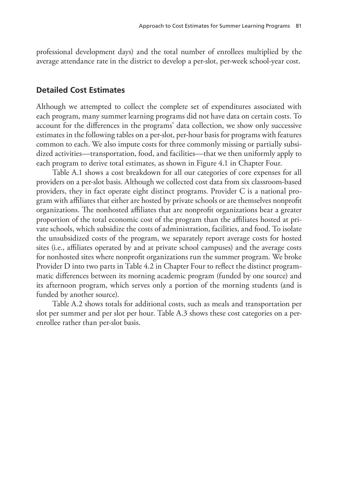professional development days) and the total number of enrollees multiplied by the average attendance rate in the district to develop a per-slot, per-week school-year cost.

#### **Detailed Cost Estimates**

Although we attempted to collect the complete set of expenditures associated with each program, many summer learning programs did not have data on certain costs. To account for the differences in the programs' data collection, we show only successive estimates in the following tables on a per-slot, per-hour basis for programs with features common to each. We also impute costs for three commonly missing or partially subsidized activities—transportation, food, and facilities—that we then uniformly apply to each program to derive total estimates, as shown in Figure 4.1 in Chapter Four.

Table A.1 shows a cost breakdown for all our categories of core expenses for all providers on a per-slot basis. Although we collected cost data from six classroom-based providers, they in fact operate eight distinct programs. Provider C is a national program with affiliates that either are hosted by private schools or are themselves nonprofit organizations. The nonhosted affiliates that are nonprofit organizations bear a greater proportion of the total economic cost of the program than the affiliates hosted at private schools, which subsidize the costs of administration, facilities, and food. To isolate the unsubsidized costs of the program, we separately report average costs for hosted sites (i.e., affiliates operated by and at private school campuses) and the average costs for nonhosted sites where nonprofit organizations run the summer program. We broke Provider D into two parts in Table 4.2 in Chapter Four to reflect the distinct programmatic differences between its morning academic program (funded by one source) and its afternoon program, which serves only a portion of the morning students (and is funded by another source).

Table A.2 shows totals for additional costs, such as meals and transportation per slot per summer and per slot per hour. Table A.3 shows these cost categories on a perenrollee rather than per-slot basis.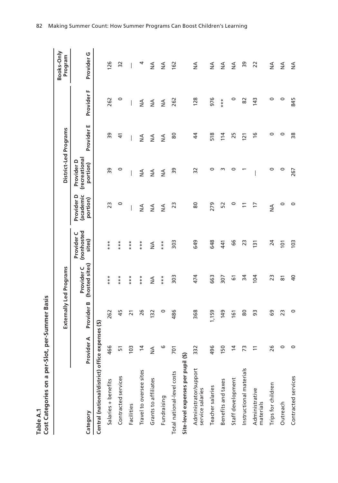|        | ద్ద                       |
|--------|---------------------------|
|        | nmer l<br>ber-1           |
|        |                           |
|        |                           |
|        |                           |
| غ<br>م | t Categories on a per-Slo |
|        |                           |

| Cost Categories on a per-Slot,<br>Table A.1      |                | per-Summer Basis |                              |                                    |                                     |                                         |                |               |                       |
|--------------------------------------------------|----------------|------------------|------------------------------|------------------------------------|-------------------------------------|-----------------------------------------|----------------|---------------|-----------------------|
|                                                  |                |                  | Externally Led Programs      |                                    |                                     | District-Led Programs                   |                |               | Books-Only<br>Program |
| Category                                         | Provider A     | Provider B       | (hosted sites)<br>Provider C | (nonhosted<br>Provider C<br>sites) | Provider D<br>(academic<br>portion) | (recreational<br>Provider D<br>portion) | Provider E     | Provider F    | י<br>Provider         |
| Central (national/district) office expenses (\$) |                |                  |                              |                                    |                                     |                                         |                |               |                       |
| Salaries + benefits                              | 466            | 262              | ***                          | ***                                | 23                                  | 39                                      | 58             | 262           | 126                   |
| Contracted services                              | 꼬              | 45               | ***                          | ***                                | 0                                   | 0                                       | $\Delta$       | $\circ$       | 32                    |
| Facilities                                       | 103            | $\overline{z}$   | ***                          | ***                                |                                     |                                         |                |               |                       |
| Travel to oversee sites                          | 4              | 26               | ***                          | ***                                | $\frac{4}{2}$                       | $\stackrel{\triangle}{\geq}$            | $\frac{4}{2}$  | $\frac{4}{2}$ | 4                     |
| Grants to affiliates                             | ⋖<br>z         | 132              | ≸                            | $\frac{4}{2}$                      | $\frac{4}{2}$                       | $\frac{4}{2}$                           | $\frac{4}{2}$  | $\frac{4}{2}$ | $\frac{4}{2}$         |
| Fundraising                                      | 9              | 0                | ***                          | ***                                | $\frac{4}{2}$                       | $\frac{4}{2}$                           | $\frac{4}{2}$  | $\frac{4}{2}$ | ≸                     |
| Total national-level costs                       | 701            | 486              | 303                          | 303                                | 23                                  | 39                                      | 80             | 262           | 162                   |
| Site-level expenses per pupil (\$)               |                |                  |                              |                                    |                                     |                                         |                |               |                       |
| Administrator/support<br>service salaries        | 332            | 368              | 474                          | 649                                | 80                                  | 32                                      | $\overline{4}$ | 128           | ≸                     |
| Teacher salaries                                 | 496            | 1,159            | 663                          | 648                                | 279                                 | $\circ$                                 | 518            | 976           | ≸                     |
| Benefits and taxes                               | 150            | 149              | 307                          | 441                                | 52                                  | w                                       | 114            | ***           | $\frac{4}{2}$         |
| Staff development                                | 14             | 161              | 61                           | 66                                 | $\circ$                             | $\circ$                                 | 25             | $\circ$       | $\frac{4}{2}$         |
| Instructional materials                          | ლ              | 80               | 34                           | 23                                 | $\Xi$                               |                                         | 121            | 82            | 39                    |
| Administrative<br>materials                      | $\overline{1}$ | 93               | 104                          | $\overline{5}$                     | F                                   |                                         | $\frac{6}{2}$  | 143           | 22                    |
| Trips for children                               | 26             | 69               | 23                           | 24                                 | $\frac{4}{2}$                       | 0                                       | 0              | 0             | $\frac{4}{2}$         |
| Outreach                                         | $\circ$        | 23               | 81                           | $\overline{101}$                   | $\circ$                             | 0                                       | 0              | 0             | $\frac{4}{2}$         |
| Contracted services                              | $\circ$        | $\circ$          | $\overline{a}$               | 103                                | $\circ$                             | 267                                     | 38             | 845           | $\frac{4}{2}$         |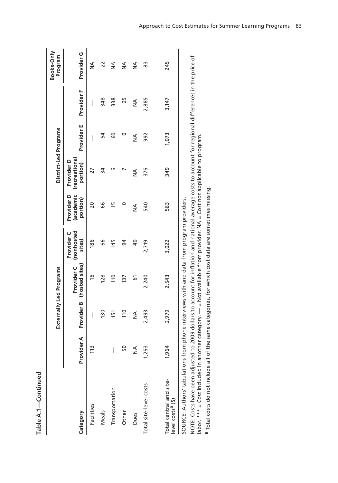|                                                                                          |               |                | Externally Led Programs                                                                       |                                               |                                     | District-Led Programs                   |               |               | Books-Only<br>Program |
|------------------------------------------------------------------------------------------|---------------|----------------|-----------------------------------------------------------------------------------------------|-----------------------------------------------|-------------------------------------|-----------------------------------------|---------------|---------------|-----------------------|
| Category                                                                                 | Provider A    |                | Provider B (hosted sites)                                                                     | Provider C (nonhosted<br>Provider C<br>sites) | Provider D<br>(academic<br>portion) | (recreational<br>Provider D<br>portion) | Provider E    | Provider F    | Provider <sub>G</sub> |
| Facilities                                                                               | $\frac{2}{1}$ | I              | $\frac{6}{1}$                                                                                 | 186                                           | 20                                  | 27                                      | I             | I             | $\frac{4}{2}$         |
| Meals                                                                                    | I             | 130            | 128                                                                                           | 99                                            | 99                                  | 34                                      | 54            | 348           | 22                    |
| Transportation                                                                           | I             | 151            | $\frac{1}{10}$                                                                                | 145                                           | m                                   | ဖ                                       | 8             | 338           | ≸                     |
| Other                                                                                    | ន             | $\frac{1}{10}$ | 137                                                                                           | $\overline{9}$                                |                                     |                                         | 0             | 25            | $\frac{4}{2}$         |
| Dues                                                                                     | ≸             | ≸              | 67                                                                                            | $\overline{a}$                                | ≨                                   | $\frac{4}{2}$                           | $\frac{4}{2}$ | $\frac{1}{2}$ | $\frac{4}{2}$         |
| Total site-level costs                                                                   | 1,263         | 2,493          | 2,240                                                                                         | 2,719                                         | 540                                 | 376                                     | 992           | 2,885         | 83                    |
| Total central and site-<br>level costs <sup>a</sup> (\$)                                 | 1,964         | 2,979          | 2,543                                                                                         | 3,022                                         | 563                                 | 349                                     | 1,073         | 3,147         | 245                   |
| SOURCE: Authors' tabulations from phone interviews with and data from program providers. |               |                | かく りょうき りょう こうりょうせき プロミク こうりょう えんきょうりょく りょうせんり りょうこう プロミク こうしき こうしょう こうりょう しょうこうりょく コープア DOOC |                                               |                                     |                                         |               |               |                       |

NOTE: Costs have been adjusted to 2009 dollars to account for inflation and national average costs to account for regional differences in the price of<br>labor. \*\*\* = Cost included in another category. — = Not available from NOTE: Costs have been adjusted to 2009 dollars to account for inflation and national average costs to account for regional differences in the price of labor. \*\*\* = Cost included in another category. — = Not available from provider. NA = Cost not applicable to program.

a Total costs do not include all of the same categories, for which cost data are sometimes missing. <sup>a</sup> Total costs do not include all of the same categories, for which cost data are sometimes missing.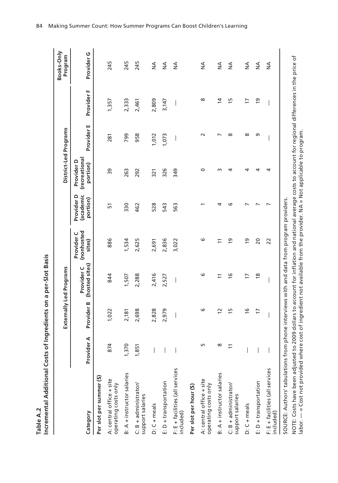|        | <u>ہ</u>               |
|--------|------------------------|
|        | s on a per-Slo         |
|        |                        |
|        | ֖֖֖֦֖֖֚֓֕֕֕֓           |
|        | t Ina                  |
|        | くしさくしー<br>י<br>גי<br>٦ |
|        |                        |
| ւ<br>⊵ | aman                   |
|        |                        |

|                                                   |            |                | Externally Led Programs      |                                    |                                     |                                         | District-Led Programs |                | Books-Only<br>Program |
|---------------------------------------------------|------------|----------------|------------------------------|------------------------------------|-------------------------------------|-----------------------------------------|-----------------------|----------------|-----------------------|
| Category                                          | Provider A | Provider B     | (hosted sites)<br>Provider C | (nonhosted<br>Provider C<br>sites) | Provider D<br>(academic<br>portion) | (recreational<br>Provider D<br>portion) | Provider E            | Provider F     | Provider <sub>G</sub> |
| Per slot per summer (\$)                          |            |                |                              |                                    |                                     |                                         |                       |                |                       |
| A: central office + site<br>operating costs only  | 874        | 1,022          | 844                          | 886                                | 57                                  | 39                                      | 281                   | 1,357          | 245                   |
| B: A + instructor salaries                        | 1,370      | 2,181          | 1,507                        | 1,534                              | 330                                 | 263                                     | 799                   | 2,333          | 245                   |
| $C: B + \text{administrator}$<br>support salaries | 1,851      | 2,698          | 2,288                        | 2,625                              | 462                                 | 292                                     | 958                   | 2,461          | 245                   |
| $D: C + meals$                                    |            | 2,828          | 2,416                        | 2,691                              | 528                                 | 321                                     | 1,012                 | 2,809          | $\frac{4}{2}$         |
| E: D + transportation                             |            | 2,979          | 2,527                        | 2,836                              | 543                                 | 326                                     | 1,073                 | 3,147          | $\frac{4}{2}$         |
| F: E + facilities (all services<br>included)      |            |                |                              | 3,022                              | 563                                 | 349                                     | I                     |                | $\frac{4}{2}$         |
| Per slot per hour (\$)                            |            |                |                              |                                    |                                     |                                         |                       |                |                       |
| A: central office + site<br>operating costs only  | m          | ဖ              | ဖ                            | ဖ                                  |                                     | 0                                       | $\sim$                | ∞              | $\frac{4}{2}$         |
| B: A + instructor salaries                        |            | $\overline{c}$ | 11                           |                                    | 4                                   | $\sim$                                  |                       | 4              | $\frac{4}{2}$         |
| $C: B + \text{administrator}$<br>support salaries |            | $\frac{5}{2}$  | $\frac{6}{5}$                | $\overline{9}$                     | ဖ                                   | 4                                       | $\infty$              | $\overline{1}$ | $\frac{4}{2}$         |
| $D: C + meals$                                    |            | $\frac{6}{1}$  | $\overline{1}$               | $\overline{9}$                     |                                     | 4                                       | $\infty$              | 17             | $\frac{4}{2}$         |
| E: D + transportation                             |            | 17             | $\frac{8}{3}$                | 20                                 |                                     | 4                                       | G                     | <u>ام</u>      | $\frac{4}{2}$         |
| F: E + facilities (all services<br>included)      |            |                |                              | 22                                 |                                     | 4                                       |                       |                | ≸                     |

84 Making Summer Count: How Summer Programs Can Boost Children's Learning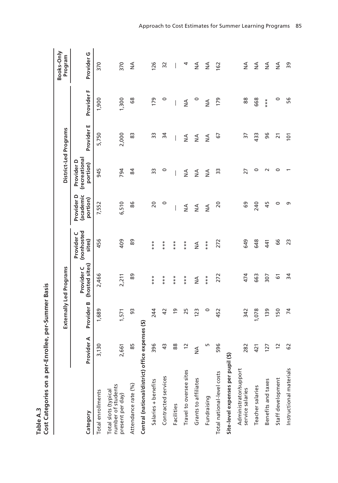|                                                                |                      |                | Externally Led Programs      |                                    |                                     | District-Led Programs                   |                          |               | Books-Only<br>Program    |
|----------------------------------------------------------------|----------------------|----------------|------------------------------|------------------------------------|-------------------------------------|-----------------------------------------|--------------------------|---------------|--------------------------|
| Category                                                       | Provider A           | Provider B     | (hosted sites)<br>Provider C | (nonhosted<br>Provider C<br>sites) | Provider D<br>(academic<br>portion) | (recreational<br>Provider D<br>portion) | Provider E               | Provider F    | Provider G               |
| Total enrollments                                              | 50<br>$\frac{1}{2}$  | 1,689          | 2,466                        | 456                                | 7,552                               | 945                                     | 5,750                    | 1,900         | 370                      |
| number of students<br>Total slots (typical<br>present per day) | 61<br>2,6            | 1,571          | 2,211                        | 409                                | 6,510                               | 794                                     | 2,000                    | 1,300         | 370                      |
| Attendance rate (%)                                            | 85                   | 93             | 89                           | 89                                 | 86                                  | 84                                      | 83                       | 89            | ≸                        |
| Central (national/district) office expenses (\$)               |                      |                |                              |                                    |                                     |                                         |                          |               |                          |
| Salaries + benefits                                            | 96<br>m              | 244            | ***                          | ***                                | $\overline{c}$                      | ဣ                                       | 33                       | 179           | 126                      |
| Contracted services                                            | $\frac{3}{2}$        | 42             | ***                          | ***                                | 0                                   | 0                                       | 34                       | 0             | 32                       |
| Facilities                                                     | 88                   | $\overline{6}$ | ***                          | ***                                |                                     |                                         | $\overline{\phantom{a}}$ |               | $\overline{\phantom{a}}$ |
| Travel to oversee sites                                        | $\tilde{c}$          | 25             | ***                          | ***                                | $\leq$                              | $\frac{4}{2}$                           | $\frac{4}{2}$            | $\frac{4}{2}$ | 4                        |
| Grants to affiliates                                           | $\frac{4}{2}$        | 123            | $\frac{4}{2}$                | $\frac{4}{2}$                      | $\frac{4}{2}$                       | $\frac{4}{2}$                           | $\frac{4}{2}$            | $\circ$       | ₹                        |
| Fundraising                                                    | LN                   | 0              | ***                          | ***                                | $\frac{1}{2}$                       | $\frac{4}{2}$                           | $\frac{4}{2}$            | $\frac{4}{2}$ | ≸                        |
| Total national-level costs                                     | 96<br>LN             | 452            | 272                          | 272                                | 20                                  | 33                                      | 5                        | 179           | 162                      |
| Site-level expenses per pupil (\$)                             |                      |                |                              |                                    |                                     |                                         |                          |               |                          |
| Administrator/support<br>service salaries                      | 282                  | 342            | 474                          | 649                                | 69                                  | 27                                      | $\overline{5}$           | 88            | $\frac{4}{2}$            |
| Teacher salaries                                               | $\overline{21}$<br>4 | 1,078          | 663                          | 648                                | 240                                 | 0                                       | 433                      | 668           | $\frac{4}{2}$            |
| Benefits and taxes                                             | $\overline{27}$      | 139            | 307                          | 441                                | 45                                  | $\sim$                                  | 96                       | $***$         | $\frac{4}{2}$            |
| Staff development                                              | 12                   | 150            | 61                           | 99                                 | $\circ$                             | 0                                       | $\overline{2}1$          | 0             | $\frac{4}{2}$            |
| Instructional materials                                        | 29                   | $\overline{7}$ | 34                           | 23                                 | ς                                   |                                         | 101                      | 56            | 39                       |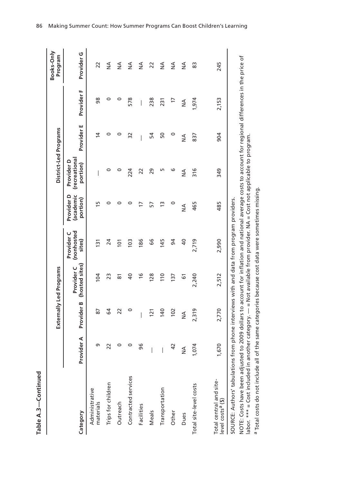| Ú |
|---|
|   |
|   |
|   |
| n |
|   |
| c |
|   |
|   |
|   |
|   |
|   |
|   |
|   |

|                                                                          |                |               | Externally Led Programs                                                                                                                                                                                    |                                    |                                     | District-Led Programs                   |                          |                          | Books-Only<br>Program |
|--------------------------------------------------------------------------|----------------|---------------|------------------------------------------------------------------------------------------------------------------------------------------------------------------------------------------------------------|------------------------------------|-------------------------------------|-----------------------------------------|--------------------------|--------------------------|-----------------------|
| Category                                                                 | Provider A     | Provider B    | (hosted sites)<br>Provider <sub>C</sub>                                                                                                                                                                    | (nonhosted<br>Provider C<br>sites) | Provider D<br>(academic<br>portion) | (recreational<br>Provider D<br>portion) | Provider E               | Provider F               | Provider <sub>G</sub> |
| Administrative<br>materials                                              |                | 87            | 104                                                                                                                                                                                                        | <u>is</u>                          | m                                   |                                         | $\overline{4}$           | 98                       | 22                    |
| Trips for children                                                       | 22             | 54            | 23                                                                                                                                                                                                         | 24                                 | 0                                   | 0                                       | 0                        | 0                        | $\frac{4}{2}$         |
| Outreach                                                                 |                | 22            | ౚ                                                                                                                                                                                                          | $\overline{101}$                   | 0                                   | 0                                       | 0                        | 0                        | $\frac{4}{2}$         |
| Contracted services                                                      | 0              | 0             | $\overline{a}$                                                                                                                                                                                             | 103                                | 0                                   | 224                                     | 32                       | 578                      | $\frac{4}{2}$         |
| Facilities                                                               | 96             | I             | $\frac{6}{1}$                                                                                                                                                                                              | 186                                | 17                                  | 22                                      | $\overline{\phantom{a}}$ | $\overline{\phantom{a}}$ | $\frac{4}{2}$         |
| Meals                                                                    |                | 121           | 128                                                                                                                                                                                                        | 99                                 | 57                                  | 29                                      | 54                       | 238                      | 22                    |
| Transportation                                                           |                | 140           | 110                                                                                                                                                                                                        | 145                                | 13                                  | m                                       | 50                       | 231                      | $\frac{4}{2}$         |
| Other                                                                    | $\overline{a}$ | 102           | 137                                                                                                                                                                                                        | 94                                 | 0                                   | ဖ                                       | $\circ$                  | $\overline{1}$           | $\frac{4}{2}$         |
| Dues                                                                     | $\frac{1}{2}$  | $\frac{4}{2}$ | 67                                                                                                                                                                                                         | $\overline{a}$                     | $\frac{4}{2}$                       | $\frac{4}{2}$                           | $\frac{4}{2}$            | $\frac{4}{2}$            | ≸                     |
| Total site-level costs                                                   | 1,074          | 2,319         | 2,240                                                                                                                                                                                                      | 2,719                              | 465                                 | $\frac{16}{5}$                          | 837                      | 1,974                    | 83                    |
| Total central and site-<br>level costs <sup>a</sup> (\$)                 | 1,670          | 2,770         | 2,512                                                                                                                                                                                                      | 2,990                              | 485                                 | 349                                     | 904                      | 2,153                    | 245                   |
| SOURCE: Authors' tabulations from                                        |                |               | phone interviews with and data from program providers.                                                                                                                                                     |                                    |                                     |                                         |                          |                          |                       |
| NOTE: Costs have been adjusted to<br>labor. *** = Cost included in anoth |                |               | 2009 dollars to account for inflation and national average costs to account for regional differences in the price of<br>er category. — = Not available from provider. NA = Cost not applicable to program. |                                    |                                     |                                         |                          |                          |                       |

a Total costs do not include all of the same categories because cost data were sometimes missing.

<sup>a</sup> Total costs do not include all of the same categories because cost data were sometimes missing.

86 Making Summer Count: How Summer Programs Can Boost Children's Learning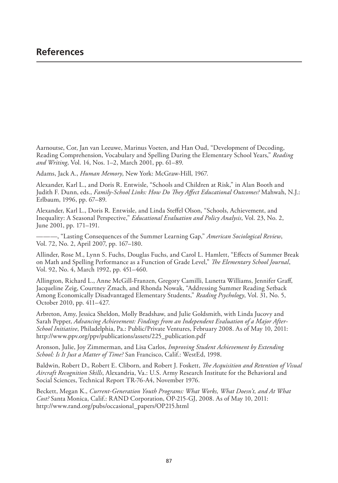Aarnoutse, Cor, Jan van Leeuwe, Marinus Voeten, and Han Oud, "Development of Decoding, Reading Comprehension, Vocabulary and Spelling During the Elementary School Years," *Reading and Writing*, Vol. 14, Nos. 1–2, March 2001, pp. 61–89.

Adams, Jack A., *Human Memory*, New York: McGraw-Hill, 1967.

Alexander, Karl L., and Doris R. Entwisle, "Schools and Children at Risk," in Alan Booth and Judith F. Dunn, eds., *Family-School Links: How Do They Affect Educational Outcomes?* Mahwah, N.J.: Erlbaum, 1996, pp. 67–89.

Alexander, Karl L., Doris R. Entwisle, and Linda Steffel Olson, "Schools, Achievement, and Inequality: A Seasonal Perspective," *Educational Evaluation and Policy Analysis*, Vol. 23, No. 2, June 2001, pp. 171–191.

———, "Lasting Consequences of the Summer Learning Gap," *American Sociological Review*, Vol. 72, No. 2, April 2007, pp. 167–180.

Allinder, Rose M., Lynn S. Fuchs, Douglas Fuchs, and Carol L. Hamlett, "Effects of Summer Break on Math and Spelling Performance as a Function of Grade Level," *The Elementary School Journal*, Vol. 92, No. 4, March 1992, pp. 451–460.

Allington, Richard L., Anne McGill-Franzen, Gregory Camilli, Lunetta Williams, Jennifer Graff, Jacqueline Zeig, Courtney Zmach, and Rhonda Nowak, "Addressing Summer Reading Setback Among Economically Disadvantaged Elementary Students," *Reading Psychology*, Vol. 31, No. 5, October 2010, pp. 411–427.

Arbreton, Amy, Jessica Sheldon, Molly Bradshaw, and Julie Goldsmith, with Linda Jucovy and Sarah Pepper, *Advancing Achievement: Findings from an Independent Evaluation of a Major After-School Initiative*, Philadelphia, Pa.: Public/Private Ventures, February 2008. As of May 10, 2011: http://www.ppv.org/ppv/publications/assets/225\_publication.pdf

Aronson, Julie, Joy Zimmerman, and Lisa Carlos, *Improving Student Achievement by Extending School: Is It Just a Matter of Time?* San Francisco, Calif.: WestEd, 1998.

Baldwin, Robert D., Robert E. Cliborn, and Robert J. Foskett, *The Acquisition and Retention of Visual Aircraft Recognition Skills*, Alexandria, Va.: U.S. Army Research Institute for the Behavioral and Social Sciences, Technical Report TR-76-A4, November 1976.

Beckett, Megan K., *Current-Generation Youth Programs: What Works, What Doesn't, and At What Cost?* Santa Monica, Calif.: RAND Corporation, OP-215-GJ, 2008. As of May 10, 2011: http://www.rand.org/pubs/occasional\_papers/OP215.html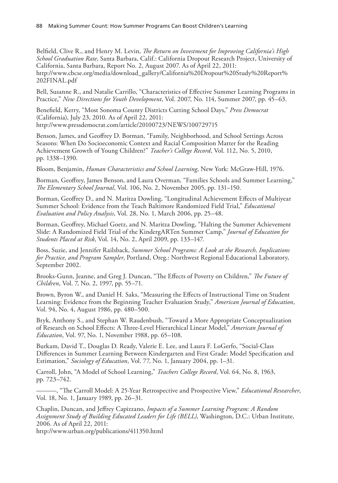Belfield, Clive R., and Henry M. Levin, *The Return on Investment for Improving California's High School Graduation Rate*, Santa Barbara, Calif.: California Dropout Research Project, University of California, Santa Barbara, Report No. 2, August 2007. As of April 22, 2011: http://www.cbcse.org/media/download\_gallery/California%20Dropout%20Study%20Report% 202FINAL.pdf

Bell, Susanne R., and Natalie Carrillo, "Characteristics of Effective Summer Learning Programs in Practice," *New Directions for Youth Development*, Vol. 2007, No. 114, Summer 2007, pp. 45–63.

Benefield, Kerry, "Most Sonoma County Districts Cutting School Days," *Press Democrat* (California), July 23, 2010. As of April 22, 2011: http://www.pressdemocrat.com/article/20100723/NEWS/100729715

Benson, James, and Geoffrey D. Borman, "Family, Neighborhood, and School Settings Across Seasons: When Do Socioeconomic Context and Racial Composition Matter for the Reading Achievement Growth of Young Children?" *Teacher's College Record*, Vol. 112, No. 5, 2010, pp. 1338–1390.

Bloom, Benjamin, *Human Characteristics and School Learning*, New York: McGraw-Hill, 1976.

Borman, Geoffrey, James Benson, and Laura Overman, "Families Schools and Summer Learning," *The Elementary School Journal*, Vol. 106, No. 2, November 2005, pp. 131–150.

Borman, Geoffrey D., and N. Maritza Dowling, "Longitudinal Achievement Effects of Multiyear Summer School: Evidence from the Teach Baltimore Randomized Field Trial," *Educational Evaluation and Policy Analysis*, Vol. 28, No. 1, March 2006, pp. 25–48.

Borman, Geoffrey, Michael Goetz, and N. Maritza Dowling, "Halting the Summer Achievement Slide: A Randomized Field Trial of the KindergARTen Summer Camp," *Journal of Education for Students Placed at Risk*, Vol. 14, No. 2, April 2009, pp. 133–147.

Boss, Suzie, and Jennifer Railsback, *Summer School Programs: A Look at the Research, Implications for Practice, and Program Sampler*, Portland, Oreg.: Northwest Regional Educational Laboratory, September 2002.

Brooks-Gunn, Jeanne, and Greg J. Duncan, "The Effects of Poverty on Children," *The Future of Children*, Vol. 7, No. 2, 1997, pp. 55–71.

Brown, Byron W., and Daniel H. Saks, "Measuring the Effects of Instructional Time on Student Learning: Evidence from the Beginning Teacher Evaluation Study," *American Journal of Education*, Vol. 94, No. 4, August 1986, pp. 480–500.

Bryk, Anthony S., and Stephan W. Raudenbush, "Toward a More Appropriate Conceptualization of Research on School Effects: A Three-Level Hierarchical Linear Model," *American Journal of Education*, Vol. 97, No. 1, November 1988, pp. 65–108.

Burkam, David T., Douglas D. Ready, Valerie E. Lee, and Laura F. LoGerfo, "Social-Class Differences in Summer Learning Between Kindergarten and First Grade: Model Specification and Estimation," *Sociology of Education*, Vol. 77, No. 1, January 2004, pp. 1–31.

Carroll, John, "A Model of School Learning," *Teachers College Record*, Vol. 64, No. 8, 1963, pp. 723–742.

———, "The Carroll Model: A 25-Year Retrospective and Prospective View," *Educational Researcher*, Vol. 18, No. 1, January 1989, pp. 26–31.

Chaplin, Duncan, and Jeffrey Capizzano, *Impacts of a Summer Learning Program: A Random Assignment Study of Building Educated Leaders for Life (BELL)*, Washington, D.C.: Urban Institute, 2006. As of April 22, 2011:

http://www.urban.org/publications/411350.html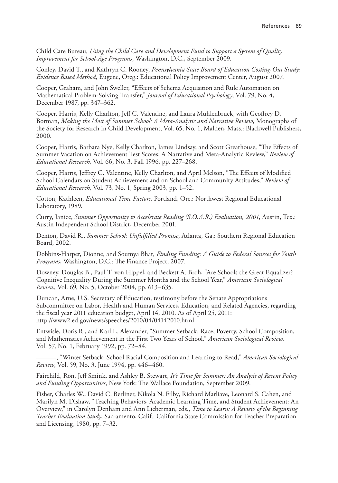Child Care Bureau, *Using the Child Care and Development Fund to Support a System of Quality Improvement for School-Age Programs*, Washington, D.C., September 2009.

Conley, David T., and Kathryn C. Rooney, *Pennsylvania State Board of Education Costing-Out Study: Evidence Based Method*, Eugene, Oreg.: Educational Policy Improvement Center, August 2007.

Cooper, Graham, and John Sweller, "Effects of Schema Acquisition and Rule Automation on Mathematical Problem-Solving Transfer," *Journal of Educational Psychology*, Vol. 79, No. 4, December 1987, pp. 347–362.

Cooper, Harris, Kelly Charlton, Jeff C. Valentine, and Laura Muhlenbruck, with Geoffrey D. Borman, *Making the Most of Summer School: A Meta-Analytic and Narrative Review*, Monographs of the Society for Research in Child Development, Vol. 65, No. 1, Malden, Mass.: Blackwell Publishers, 2000.

Cooper, Harris, Barbara Nye, Kelly Charlton, James Lindsay, and Scott Greathouse, "The Effects of Summer Vacation on Achievement Test Scores: A Narrative and Meta-Analytic Review," *Review of Educational Research*, Vol. 66, No. 3, Fall 1996, pp. 227–268.

Cooper, Harris, Jeffrey C. Valentine, Kelly Charlton, and April Melson, "The Effects of Modified School Calendars on Student Achievement and on School and Community Attitudes," *Review of Educational Research*, Vol. 73, No. 1, Spring 2003, pp. 1–52.

Cotton, Kathleen, *Educational Time Factors*, Portland, Ore.: Northwest Regional Educational Laboratory, 1989.

Curry, Janice, *Summer Opportunity to Accelerate Reading (S.O.A.R.) Evaluation, 2001*, Austin, Tex.: Austin Independent School District, December 2001.

Denton, David R., *Summer School: Unfulfilled Promise*, Atlanta, Ga.: Southern Regional Education Board, 2002.

Dobbins-Harper, Dionne, and Soumya Bhat, *Finding Funding: A Guide to Federal Sources for Youth Programs*, Washington, D.C.: The Finance Project, 2007.

Downey, Douglas B., Paul T. von Hippel, and Beckett A. Broh, "Are Schools the Great Equalizer? Cognitive Inequality During the Summer Months and the School Year," *American Sociological Review*, Vol. 69, No. 5, October 2004, pp. 613–635.

Duncan, Arne, U.S. Secretary of Education, testimony before the Senate Appropriations Subcommittee on Labor, Health and Human Services, Education, and Related Agencies, regarding the fiscal year 2011 education budget, April 14, 2010. As of April 25, 2011: http://www2.ed.gov/news/speeches/2010/04/04142010.html

Entwisle, Doris R., and Karl L. Alexander, "Summer Setback: Race, Poverty, School Composition, and Mathematics Achievement in the First Two Years of School," *American Sociological Review*, Vol. 57, No. 1, February 1992, pp. 72–84.

———, "Winter Setback: School Racial Composition and Learning to Read," *American Sociological Review*, Vol. 59, No. 3, June 1994, pp. 446–460.

Fairchild, Ron, Jeff Smink, and Ashley B. Stewart, *It's Time for Summer: An Analysis of Recent Policy and Funding Opportunities*, New York: The Wallace Foundation, September 2009.

Fisher, Charles W., David C. Berliner, Nikola N. Filby, Richard Marliave, Leonard S. Cahen, and Marilyn M. Dishaw, "Teaching Behaviors, Academic Learning Time, and Student Achievement: An Overview," in Carolyn Denham and Ann Lieberman, eds., *Time to Learn: A Review of the Beginning Teacher Evaluation Study*, Sacramento, Calif.: California State Commission for Teacher Preparation and Licensing, 1980, pp. 7–32.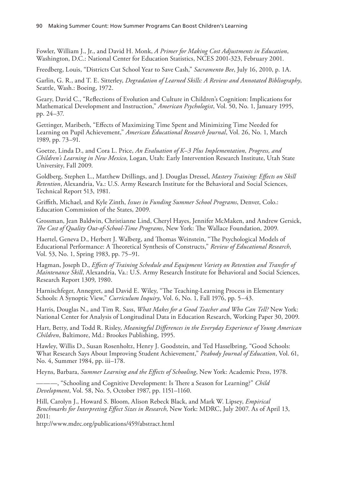Fowler, William J., Jr., and David H. Monk, *A Primer for Making Cost Adjustments in Education*, Washington, D.C.: National Center for Education Statistics, NCES 2001-323, February 2001.

Freedberg, Louis, "Districts Cut School Year to Save Cash," *Sacramento Bee*, July 16, 2010, p. 1A.

Garlin, G. R., and T. E. Sitterley, *Degradation of Learned Skills: A Review and Annotated Bibliography*, Seattle, Wash.: Boeing, 1972.

Geary, David C., "Reflections of Evolution and Culture in Children's Cognition: Implications for Mathematical Development and Instruction," *American Psychologist*, Vol. 50, No. 1, January 1995, pp. 24–37.

Gettinger, Maribeth, "Effects of Maximizing Time Spent and Minimizing Time Needed for Learning on Pupil Achievement," *American Educational Research Journal*, Vol. 26, No. 1, March 1989, pp. 73–91.

Goetze, Linda D., and Cora L. Price, *An Evaluation of K–3 Plus Implementation, Progress, and Children's Learning in New Mexico*, Logan, Utah: Early Intervention Research Institute, Utah State University, Fall 2009.

Goldberg, Stephen L., Matthew Drillings, and J. Douglas Dressel, *Mastery Training: Effects on Skill Retention*, Alexandria, Va.: U.S. Army Research Institute for the Behavioral and Social Sciences, Technical Report 513, 1981.

Griffith, Michael, and Kyle Zinth, *Issues in Funding Summer School Programs*, Denver, Colo.: Education Commission of the States, 2009.

Grossman, Jean Baldwin, Christianne Lind, Cheryl Hayes, Jennifer McMaken, and Andrew Gersick, *The Cost of Quality Out-of-School-Time Programs*, New York: The Wallace Foundation, 2009.

Haertel, Geneva D., Herbert J. Walberg, and Thomas Weinstein, "The Psychological Models of Educational Performance: A Theoretical Synthesis of Constructs," *Review of Educational Research*, Vol. 53, No. 1, Spring 1983, pp. 75–91.

Hagman, Joseph D., *Effects of Training Schedule and Equipment Variety on Retention and Transfer of Maintenance Skill*, Alexandria, Va.: U.S. Army Research Institute for Behavioral and Social Sciences, Research Report 1309, 1980.

Harnischfeger, Annegret, and David E. Wiley, "The Teaching-Learning Process in Elementary Schools: A Synoptic View," *Curriculum Inquiry*, Vol. 6, No. 1, Fall 1976, pp. 5–43.

Harris, Douglas N., and Tim R. Sass, *What Makes for a Good Teacher and Who Can Tell?* New York: National Center for Analysis of Longitudinal Data in Education Research, Working Paper 30, 2009.

Hart, Betty, and Todd R. Risley, *Meaningful Differences in the Everyday Experience of Young American Children*, Baltimore, Md.: Brookes Publishing, 1995.

Hawley, Willis D., Susan Rosenholtz, Henry J. Goodstein, and Ted Hasselbring, "Good Schools: What Research Says About Improving Student Achievement," *Peabody Journal of Education*, Vol. 61, No. 4, Summer 1984, pp. iii–178.

Heyns, Barbara, *Summer Learning and the Effects of Schooling*, New York: Academic Press, 1978.

———, "Schooling and Cognitive Development: Is There a Season for Learning?" *Child Development*, Vol. 58, No. 5, October 1987, pp. 1151–1160.

Hill, Carolyn J., Howard S. Bloom, Alison Rebeck Black, and Mark W. Lipsey, *Empirical Benchmarks for Interpreting Effect Sizes in Research*, New York: MDRC, July 2007. As of April 13, 2011:

http://www.mdrc.org/publications/459/abstract.html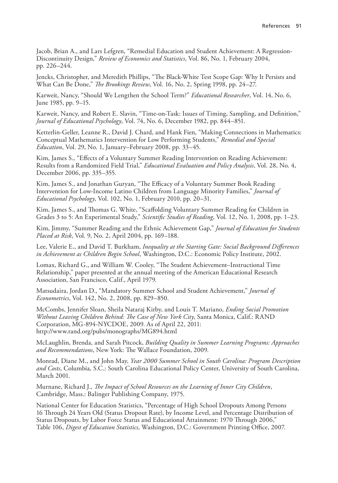Jacob, Brian A., and Lars Lefgren, "Remedial Education and Student Achievement: A Regression-Discontinuity Design," *Review of Economics and Statistics*, Vol. 86, No. 1, February 2004, pp. 226–244.

Jencks, Christopher, and Meredith Phillips, "The Black-White Test Scope Gap: Why It Persists and What Can Be Done," *The Brookings Review*, Vol. 16, No. 2, Spring 1998, pp. 24–27.

Karweit, Nancy, "Should We Lengthen the School Term?" *Educational Researcher*, Vol. 14, No. 6, June 1985, pp. 9–15.

Karweit, Nancy, and Robert E. Slavin, "Time-on-Task: Issues of Timing, Sampling, and Definition," *Journal of Educational Psychology*, Vol. 74, No. 6, December 1982, pp. 844–851.

Ketterlin-Geller, Leanne R., David J. Chard, and Hank Fien, "Making Connections in Mathematics: Conceptual Mathematics Intervention for Low Performing Students," *Remedial and Special Education*, Vol. 29, No. 1, January–February 2008, pp. 33–45.

Kim, James S., "Effects of a Voluntary Summer Reading Intervention on Reading Achievement: Results from a Randomized Field Trial," *Educational Evaluation and Policy Analysis*, Vol. 28, No. 4, December 2006, pp. 335–355.

Kim, James S., and Jonathan Guryan, "The Efficacy of a Voluntary Summer Book Reading Intervention for Low-Income Latino Children from Language Minority Families," *Journal of Educational Psychology*, Vol. 102, No. 1, February 2010, pp. 20–31.

Kim, James S., and Thomas G. White, "Scaffolding Voluntary Summer Reading for Children in Grades 3 to 5: An Experimental Study," *Scientific Studies of Reading*, Vol. 12, No. 1, 2008, pp. 1–23.

Kim, Jimmy, "Summer Reading and the Ethnic Achievement Gap," *Journal of Education for Students Placed at Risk*, Vol. 9, No. 2, April 2004, pp. 169–188.

Lee, Valerie E., and David T. Burkham, *Inequality at the Starting Gate: Social Background Differences in Achievement as Children Begin School*, Washington, D.C.: Economic Policy Institute, 2002.

Lomax, Richard G., and William W. Cooley, "The Student Achievement–Instructional Time Relationship," paper presented at the annual meeting of the American Educational Research Association, San Francisco, Calif., April 1979.

Matsudaira, Jordan D., "Mandatory Summer School and Student Achievement," *Journal of Econometrics*, Vol. 142, No. 2, 2008, pp. 829–850.

McCombs, Jennifer Sloan, Sheila Nataraj Kirby, and Louis T. Mariano, *Ending Social Promotion Without Leaving Children Behind: The Case of New York City*, Santa Monica, Calif.: RAND Corporation, MG-894-NYCDOE, 2009. As of April 22, 2011: http://www.rand.org/pubs/monographs/MG894.html

McLaughlin, Brenda, and Sarah Pitcock, *Building Quality in Summer Learning Programs: Approaches and Recommendations*, New York: The Wallace Foundation, 2009.

Monrad, Diane M., and John May, *Year 2000 Summer School in South Carolina: Program Description and Costs*, Columbia, S.C.: South Carolina Educational Policy Center, University of South Carolina, March 2001.

Murnane, Richard J., *The Impact of School Resources on the Learning of Inner City Children*, Cambridge, Mass.: Balinger Publishing Company, 1975.

National Center for Education Statistics, "Percentage of High School Dropouts Among Persons 16 Through 24 Years Old (Status Dropout Rate), by Income Level, and Percentage Distribution of Status Dropouts, by Labor Force Status and Educational Attainment: 1970 Through 2006," Table 106, *Digest of Education Statistics*, Washington, D.C.: Government Printing Office, 2007.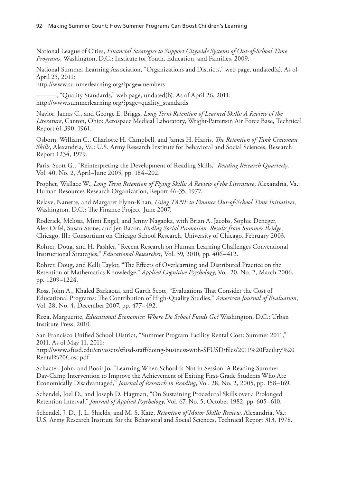National League of Cities, *Financial Strategies to Support Citywide Systems of Out-of-School Time Programs*, Washington, D.C.: Institute for Youth, Education, and Families, 2009.

National Summer Learning Association, "Organizations and Districts," web page, undated(a). As of April 25, 2011:

http://www.summerlearning.org/?page=members

———, "Quality Standards," web page, undated(b). As of April 26, 2011: http://www.summerlearning.org/?page=quality\_standards

Naylor, James C., and George E. Briggs, *Long-Term Retention of Learned Skills: A Review of the Literature*, Canton, Ohio: Aerospace Medical Laboratory, Wright-Patterson Air Force Base, Technical Report 61-390, 1961.

Osborn, William C., Charlotte H. Campbell, and James H. Harris, *The Retention of Tank Crewman Skills*, Alexandria, Va.: U.S. Army Research Institute for Behavioral and Social Sciences, Research Report 1234, 1979.

Paris, Scott G., "Reinterpreting the Development of Reading Skills," *Reading Research Quarterly*, Vol. 40, No. 2, April–June 2005, pp. 184–202.

Prophet, Wallace W., *Long Term Retention of Flying Skills: A Review of the Literature*, Alexandria, Va.: Human Resources Research Organization, Report 46-35, 1977.

Relave, Nanette, and Margaret Flynn-Khan, *Using TANF to Finance Out-of-School Time Initiatives*, Washington, D.C.: The Finance Project, June 2007.

Roderick, Melissa, Mimi Engel, and Jenny Nagaoka, with Brian A. Jacobs, Sophie Deneger, Alex Orfel, Susan Stone, and Jen Bacon, *Ending Social Promotion: Results from Summer Bridge*, Chicago, Ill.: Consortium on Chicago School Research, University of Chicago, February 2003.

Rohrer, Doug, and H. Pashler, "Recent Research on Human Learning Challenges Conventional Instructional Strategies," *Educational Researcher*, Vol. 39, 2010, pp. 406–412.

Rohrer, Doug, and Kelli Taylor, "The Effects of Overlearning and Distributed Practice on the Retention of Mathematics Knowledge," *Applied Cognitive Psychology*, Vol. 20, No. 2, March 2006, pp. 1209–1224.

Ross, John A., Khaled Barkaoui, and Garth Scott, "Evaluations That Consider the Cost of Educational Programs: The Contribution of High-Quality Studies," *American Journal of Evaluation*, Vol. 28, No. 4, December 2007, pp. 477–492.

Roza, Marguerite, *Educational Economics: Where Do School Funds Go?* Washington, D.C.: Urban Institute Press, 2010.

San Francisco Unified School District, "Summer Program Facility Rental Cost: Summer 2011," 2011. As of May 11, 2011:

http://www.sfusd.edu/en/assets/sfusd-staff/doing-business-with-SFUSD/files/2011%20Facility%20 Rental%20Cost.pdf

Schacter, John, and Booil Jo, "Learning When School Is Not in Session: A Reading Summer Day-Camp Intervention to Improve the Achievement of Exiting First-Grade Students Who Are Economically Disadvantaged," *Journal of Research in Reading*, Vol. 28, No. 2, 2005, pp. 158–169.

Schendel, Joel D., and Joseph D. Hagman, "On Sustaining Procedural Skills over a Prolonged Retention Interval," *Journal of Applied Psychology*, Vol. 67, No. 5, October 1982, pp. 605–610.

Schendel, J. D., J. L. Shields, and M. S. Katz, *Retention of Motor Skills: Review*, Alexandria, Va.: U.S. Army Research Institute for the Behavioral and Social Sciences, Technical Report 313, 1978.